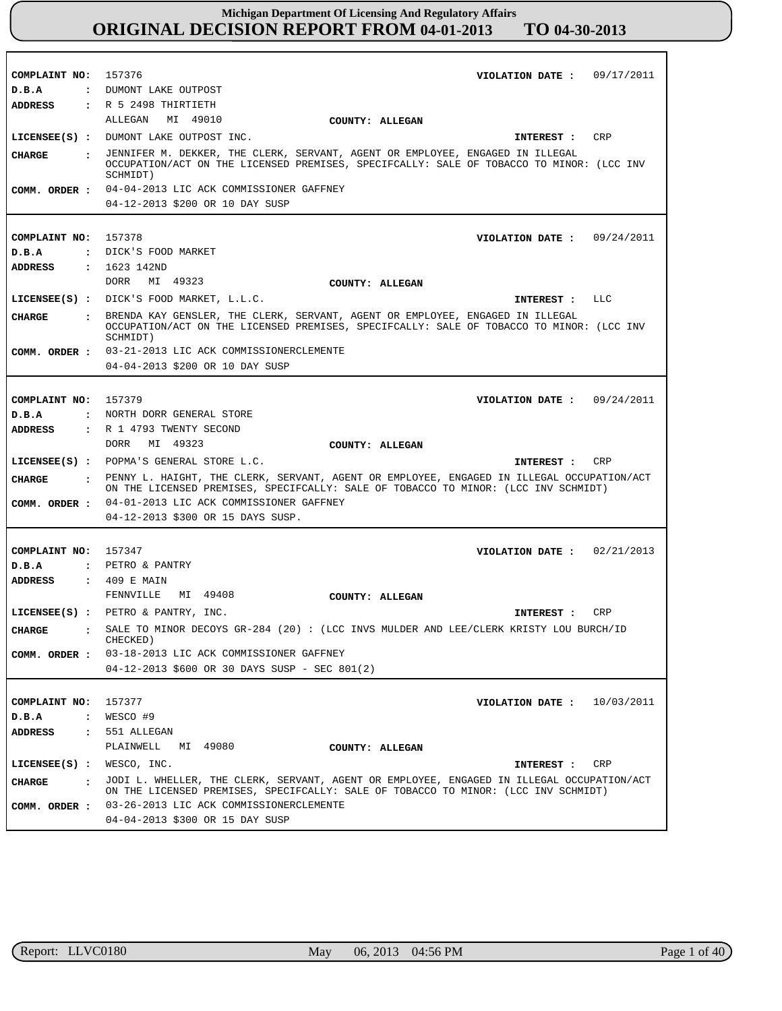| COMPLAINT NO: 157376          | VIOLATION DATE: $09/17/2011$                                                                                                                                                                                                               |
|-------------------------------|--------------------------------------------------------------------------------------------------------------------------------------------------------------------------------------------------------------------------------------------|
|                               | : DUMONT LAKE OUTPOST                                                                                                                                                                                                                      |
| D.B.A                         |                                                                                                                                                                                                                                            |
| <b>ADDRESS</b>                | $:$ R 5 2498 THIRTIETH                                                                                                                                                                                                                     |
|                               | ALLEGAN MI 49010<br>COUNTY: ALLEGAN                                                                                                                                                                                                        |
|                               | LICENSEE(S) : DUMONT LAKE OUTPOST INC.<br>CRP<br>INTEREST :                                                                                                                                                                                |
| CHARGE                        | : JENNIFER M. DEKKER, THE CLERK, SERVANT, AGENT OR EMPLOYEE, ENGAGED IN ILLEGAL<br>OCCUPATION/ACT ON THE LICENSED PREMISES, SPECIFCALLY: SALE OF TOBACCO TO MINOR: (LCC INV<br>SCHMIDT)                                                    |
|                               | COMM. ORDER : 04-04-2013 LIC ACK COMMISSIONER GAFFNEY                                                                                                                                                                                      |
|                               | 04-12-2013 \$200 OR 10 DAY SUSP                                                                                                                                                                                                            |
|                               |                                                                                                                                                                                                                                            |
| COMPLAINT NO: 157378          | VIOLATION DATE: $09/24/2011$                                                                                                                                                                                                               |
| D.B.A                         | : DICK'S FOOD MARKET                                                                                                                                                                                                                       |
| ADDRESS                       | : 1623 142ND                                                                                                                                                                                                                               |
|                               | DORR<br>MI 49323                                                                                                                                                                                                                           |
|                               | COUNTY: ALLEGAN                                                                                                                                                                                                                            |
|                               | LICENSEE(S) : DICK'S FOOD MARKET, L.L.C.<br>LLC<br>INTEREST :                                                                                                                                                                              |
| <b>CHARGE</b><br>$\mathbf{r}$ | BRENDA KAY GENSLER, THE CLERK, SERVANT, AGENT OR EMPLOYEE, ENGAGED IN ILLEGAL<br>OCCUPATION/ACT ON THE LICENSED PREMISES, SPECIFCALLY: SALE OF TOBACCO TO MINOR: (LCC INV<br>SCHMIDT)                                                      |
|                               | COMM. ORDER : 03-21-2013 LIC ACK COMMISSIONERCLEMENTE                                                                                                                                                                                      |
|                               | 04-04-2013 \$200 OR 10 DAY SUSP                                                                                                                                                                                                            |
|                               |                                                                                                                                                                                                                                            |
| COMPLAINT NO:                 | 157379<br>VIOLATION DATE: $09/24/2011$                                                                                                                                                                                                     |
| D.B.A                         | : NORTH DORR GENERAL STORE                                                                                                                                                                                                                 |
| ADDRESS                       | : R 1 4793 TWENTY SECOND                                                                                                                                                                                                                   |
|                               | DORR<br>MI 49323<br>COUNTY: ALLEGAN                                                                                                                                                                                                        |
|                               |                                                                                                                                                                                                                                            |
|                               | LICENSEE(S) : POPMA'S GENERAL STORE L.C.<br>CRP<br>INTEREST :                                                                                                                                                                              |
| CIIARGE                       | . PENNY L. HAIGHT, THE CLERK, SERVANT, AGENT OR EMPLOYEE, ENGAGED IN ILLEGAL OCCUPATION/ACT                                                                                                                                                |
|                               | ON THE LICENSED PREMISES, SPECIFCALLY: SALE OF TOBACCO TO MINOR: (LCC INV SCHMIDT)                                                                                                                                                         |
|                               | COMM. ORDER : 04-01-2013 LIC ACK COMMISSIONER GAFFNEY<br>04-12-2013 \$300 OR 15 DAYS SUSP.                                                                                                                                                 |
|                               |                                                                                                                                                                                                                                            |
|                               |                                                                                                                                                                                                                                            |
| COMPLAINT NO:<br>D.B.A        | 157347<br>VIOLATION DATE: $02/21/2013$<br>: PETRO & PANTRY                                                                                                                                                                                 |
| ADDRESS                       |                                                                                                                                                                                                                                            |
|                               | : 409 E MAIN<br>MI 49408                                                                                                                                                                                                                   |
|                               | FENNVILLE<br>COUNTY: ALLEGAN                                                                                                                                                                                                               |
|                               | LICENSEE(S) : PETRO & PANTRY, INC.<br>CRP<br>INTEREST:                                                                                                                                                                                     |
| CHARGE                        | $\,$ . SALE TO MINOR DECOYS GR-284 (20) : (LCC INVS MULDER AND LEE/CLERK KRISTY LOU BURCH/ID<br>CHECKED)                                                                                                                                   |
|                               | COMM. ORDER : 03-18-2013 LIC ACK COMMISSIONER GAFFNEY                                                                                                                                                                                      |
|                               | 04-12-2013 \$600 OR 30 DAYS SUSP - SEC 801(2)                                                                                                                                                                                              |
|                               |                                                                                                                                                                                                                                            |
| COMPLAINT NO:                 | 157377<br>VIOLATION DATE: $10/03/2011$                                                                                                                                                                                                     |
| D.B.A                         | $:$ WESCO #9                                                                                                                                                                                                                               |
| ADDRESS                       | : 551 ALLEGAN                                                                                                                                                                                                                              |
|                               | PLAINWELL MI 49080                                                                                                                                                                                                                         |
|                               | COUNTY: ALLEGAN<br>CRP                                                                                                                                                                                                                     |
| LICENSEE(S) : WESCO, INC.     | INTEREST :                                                                                                                                                                                                                                 |
| CHARGE                        | : JODI L. WHELLER, THE CLERK, SERVANT, AGENT OR EMPLOYEE, ENGAGED IN ILLEGAL OCCUPATION/ACT<br>ON THE LICENSED PREMISES, SPECIFCALLY: SALE OF TOBACCO TO MINOR: (LCC INV SCHMIDT)<br>COMM. ORDER : 03-26-2013 LIC ACK COMMISSIONERCLEMENTE |

r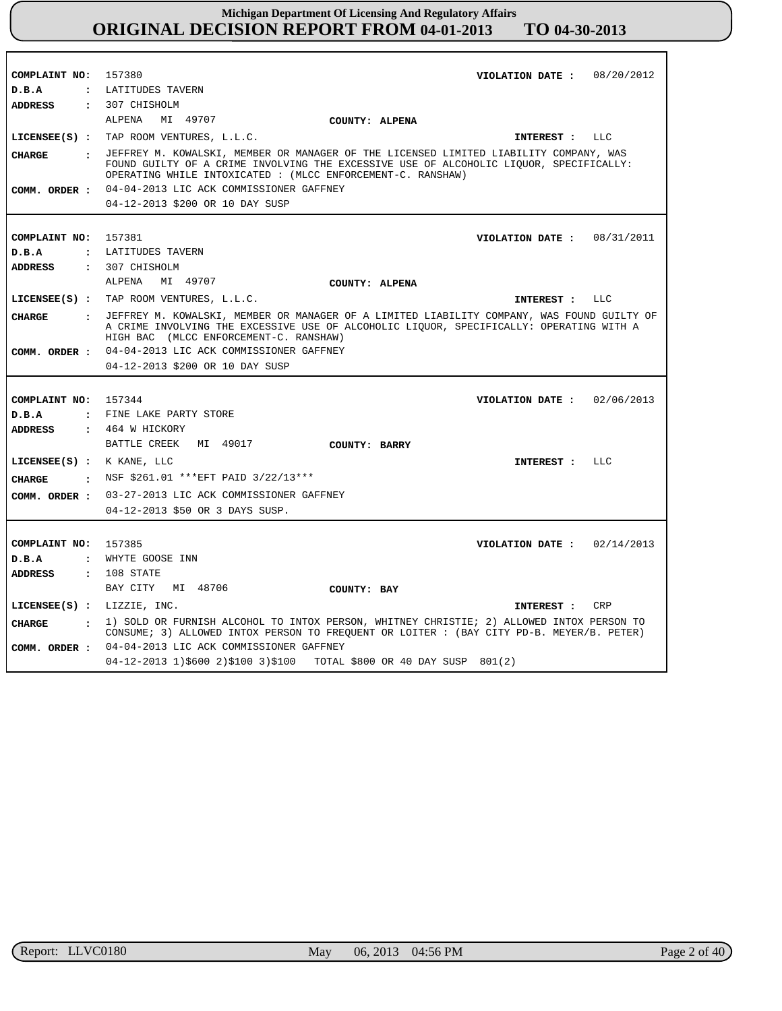| COMPLAINT NO: 157380       | VIOLATION DATE: $08/20/2012$                                                                                                                                                                                                                     |
|----------------------------|--------------------------------------------------------------------------------------------------------------------------------------------------------------------------------------------------------------------------------------------------|
|                            |                                                                                                                                                                                                                                                  |
| D.B.A                      | : LATITUDES TAVERN                                                                                                                                                                                                                               |
| <b>ADDRESS</b>             | : 307 CHISHOLM                                                                                                                                                                                                                                   |
|                            | MI 49707<br>ALPENA<br><b>COUNTY: ALPENA</b>                                                                                                                                                                                                      |
|                            | LICENSEE(S) : TAP ROOM VENTURES, L.L.C.<br>INTEREST : LLC                                                                                                                                                                                        |
| CHARGE                     | : JEFFREY M. KOWALSKI, MEMBER OR MANAGER OF THE LICENSED LIMITED LIABILITY COMPANY, WAS<br>FOUND GUILTY OF A CRIME INVOLVING THE EXCESSIVE USE OF ALCOHOLIC LIQUOR, SPECIFICALLY:<br>OPERATING WHILE INTOXICATED : (MLCC ENFORCEMENT-C. RANSHAW) |
|                            | COMM. ORDER : 04-04-2013 LIC ACK COMMISSIONER GAFFNEY                                                                                                                                                                                            |
|                            | 04-12-2013 \$200 OR 10 DAY SUSP                                                                                                                                                                                                                  |
|                            |                                                                                                                                                                                                                                                  |
| COMPLAINT NO: 157381       | VIOLATION DATE: 08/31/2011                                                                                                                                                                                                                       |
| D.B.A                      | : LATITUDES TAVERN                                                                                                                                                                                                                               |
|                            | ADDRESS : 307 CHISHOLM                                                                                                                                                                                                                           |
|                            | ALPENA MI 49707                                                                                                                                                                                                                                  |
|                            | COUNTY: ALPENA                                                                                                                                                                                                                                   |
|                            | LICENSEE(S) : TAP ROOM VENTURES, L.L.C.<br>INTEREST : LLC                                                                                                                                                                                        |
| CHARGE                     | : JEFFREY M. KOWALSKI, MEMBER OR MANAGER OF A LIMITED LIABILITY COMPANY, WAS FOUND GUILTY OF<br>A CRIME INVOLVING THE EXCESSIVE USE OF ALCOHOLIC LIQUOR, SPECIFICALLY: OPERATING WITH A<br>HIGH BAC (MLCC ENFORCEMENT-C. RANSHAW)                |
|                            | COMM. ORDER : 04-04-2013 LIC ACK COMMISSIONER GAFFNEY                                                                                                                                                                                            |
|                            | 04-12-2013 \$200 OR 10 DAY SUSP                                                                                                                                                                                                                  |
|                            |                                                                                                                                                                                                                                                  |
| COMPLAINT NO: 157344       | VIOLATION DATE: $02/06/2013$                                                                                                                                                                                                                     |
| D.B.A                      | : FINE LAKE PARTY STORE                                                                                                                                                                                                                          |
| ADDRESS                    | : 464 W HICKORY                                                                                                                                                                                                                                  |
|                            | BATTLE CREEK MI 49017<br>COUNTY: BARRY                                                                                                                                                                                                           |
|                            |                                                                                                                                                                                                                                                  |
| LICENSEE(S) : K KANE, LLC  | INTEREST : LLC                                                                                                                                                                                                                                   |
| CIIARGE                    | . NSF \$261.01 *** EFT PAID 3/22/13***                                                                                                                                                                                                           |
|                            | COMM. ORDER : 03-27-2013 LIC ACK COMMISSIONER GAFFNEY                                                                                                                                                                                            |
|                            | 04-12-2013 \$50 OR 3 DAYS SUSP.                                                                                                                                                                                                                  |
|                            |                                                                                                                                                                                                                                                  |
| COMPLAINT NO: 157385       | VIOLATION DATE: $02/14/2013$                                                                                                                                                                                                                     |
| D.B.A                      | : WHYTE GOOSE INN                                                                                                                                                                                                                                |
| <b>ADDRESS</b>             | $: 108$ STATE                                                                                                                                                                                                                                    |
|                            | BAY CITY MI 48706<br>COUNTY: BAY                                                                                                                                                                                                                 |
|                            |                                                                                                                                                                                                                                                  |
| LICENSEE(S) : LIZZIE, INC. | INTEREST : CRP                                                                                                                                                                                                                                   |
| <b>CHARGE</b>              | : 1) SOLD OR FURNISH ALCOHOL TO INTOX PERSON, WHITNEY CHRISTIE; 2) ALLOWED INTOX PERSON TO<br>CONSUME; 3) ALLOWED INTOX PERSON TO FREQUENT OR LOITER : (BAY CITY PD-B. MEYER/B. PETER)                                                           |
|                            | COMM. ORDER : 04-04-2013 LIC ACK COMMISSIONER GAFFNEY                                                                                                                                                                                            |
|                            | 04-12-2013 1)\$600 2)\$100 3)\$100 TOTAL \$800 OR 40 DAY SUSP 801(2)                                                                                                                                                                             |
|                            |                                                                                                                                                                                                                                                  |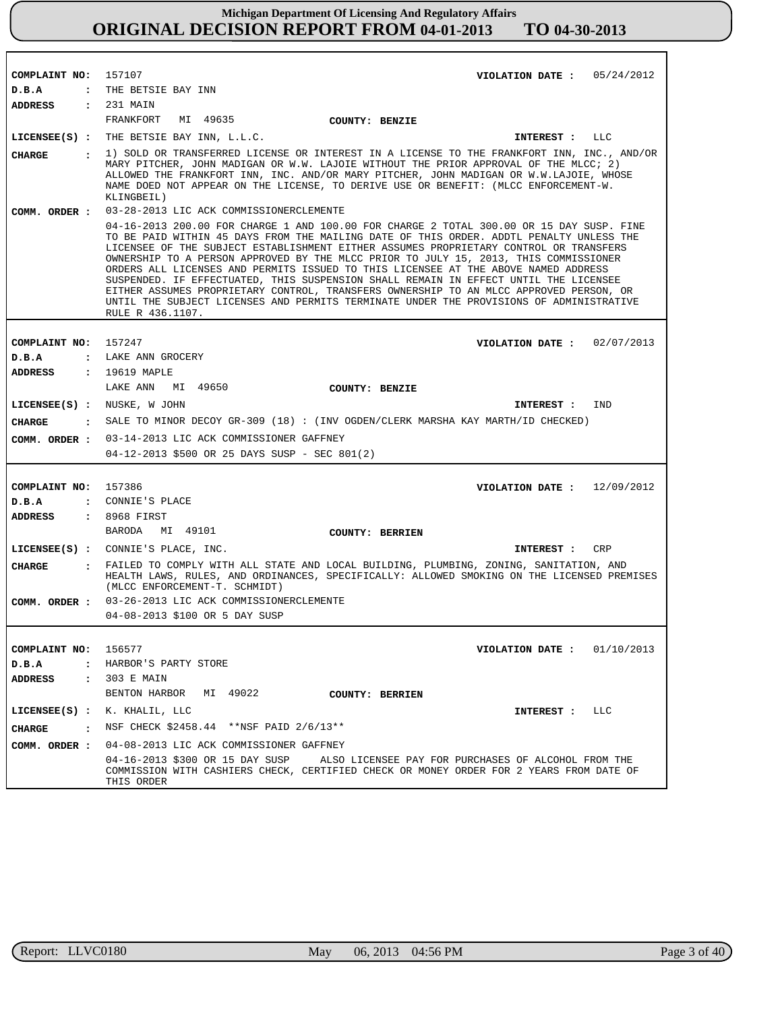| COMPLAINT NO: 157107<br>D.B.A | VIOLATION DATE: $05/24/2012$<br>: THE BETSIE BAY INN                                                                                                                                                                                                                                                                                                                                                                                                                                                                                                                                                                                                                                                                                                        |
|-------------------------------|-------------------------------------------------------------------------------------------------------------------------------------------------------------------------------------------------------------------------------------------------------------------------------------------------------------------------------------------------------------------------------------------------------------------------------------------------------------------------------------------------------------------------------------------------------------------------------------------------------------------------------------------------------------------------------------------------------------------------------------------------------------|
| <b>ADDRESS</b>                | : 231 MAIN                                                                                                                                                                                                                                                                                                                                                                                                                                                                                                                                                                                                                                                                                                                                                  |
|                               | FRANKFORT<br>MI 49635<br>COUNTY: BENZIE                                                                                                                                                                                                                                                                                                                                                                                                                                                                                                                                                                                                                                                                                                                     |
|                               | LICENSEE(S) : THE BETSIE BAY INN, L.L.C.<br>INTEREST : LLC                                                                                                                                                                                                                                                                                                                                                                                                                                                                                                                                                                                                                                                                                                  |
| CIIARGE                       | : 1) SOLD OR TRANSFERRED LICENSE OR INTEREST IN A LICENSE TO THE FRANKFORT INN, INC., AND/OR<br>MARY PITCHER, JOHN MADIGAN OR W.W. LAJOIE WITHOUT THE PRIOR APPROVAL OF THE MLCC; 2)<br>ALLOWED THE FRANKFORT INN, INC. AND/OR MARY PITCHER, JOHN MADIGAN OR W.W.LAJOIE, WHOSE<br>NAME DOED NOT APPEAR ON THE LICENSE, TO DERIVE USE OR BENEFIT: (MLCC ENFORCEMENT-W.<br>KLINGBEIL)                                                                                                                                                                                                                                                                                                                                                                         |
| COMM. ORDER :                 | 03-28-2013 LIC ACK COMMISSIONERCLEMENTE                                                                                                                                                                                                                                                                                                                                                                                                                                                                                                                                                                                                                                                                                                                     |
|                               | 04-16-2013 200.00 FOR CHARGE 1 AND 100.00 FOR CHARGE 2 TOTAL 300.00 OR 15 DAY SUSP. FINE<br>TO BE PAID WITHIN 45 DAYS FROM THE MAILING DATE OF THIS ORDER. ADDTL PENALTY UNLESS THE<br>LICENSEE OF THE SUBJECT ESTABLISHMENT EITHER ASSUMES PROPRIETARY CONTROL OR TRANSFERS<br>OWNERSHIP TO A PERSON APPROVED BY THE MLCC PRIOR TO JULY 15, 2013, THIS COMMISSIONER<br>ORDERS ALL LICENSES AND PERMITS ISSUED TO THIS LICENSEE AT THE ABOVE NAMED ADDRESS<br>SUSPENDED. IF EFFECTUATED, THIS SUSPENSION SHALL REMAIN IN EFFECT UNTIL THE LICENSEE<br>EITHER ASSUMES PROPRIETARY CONTROL, TRANSFERS OWNERSHIP TO AN MLCC APPROVED PERSON, OR<br>UNTIL THE SUBJECT LICENSES AND PERMITS TERMINATE UNDER THE PROVISIONS OF ADMINISTRATIVE<br>RULE R 436.1107. |
|                               |                                                                                                                                                                                                                                                                                                                                                                                                                                                                                                                                                                                                                                                                                                                                                             |
| COMPLAINT NO: 157247          | VIOLATION DATE: $02/07/2013$                                                                                                                                                                                                                                                                                                                                                                                                                                                                                                                                                                                                                                                                                                                                |
| D.B.A                         | : LAKE ANN GROCERY                                                                                                                                                                                                                                                                                                                                                                                                                                                                                                                                                                                                                                                                                                                                          |
| ADDRESS                       | : 19619 MAPLE                                                                                                                                                                                                                                                                                                                                                                                                                                                                                                                                                                                                                                                                                                                                               |
|                               | LAKE ANN<br>MI 49650<br><b>COUNTY: BENZIE</b>                                                                                                                                                                                                                                                                                                                                                                                                                                                                                                                                                                                                                                                                                                               |
| LICENSEE(S) : NUSKE, W JOHN   | IND<br><b>INTEREST :</b>                                                                                                                                                                                                                                                                                                                                                                                                                                                                                                                                                                                                                                                                                                                                    |
| CHARGE                        | : SALE TO MINOR DECOY GR-309 (18) : (INV OGDEN/CLERK MARSHA KAY MARTH/ID CHECKED)                                                                                                                                                                                                                                                                                                                                                                                                                                                                                                                                                                                                                                                                           |
|                               | COMM. ORDER : 03-14-2013 LIC ACK COMMISSIONER GAFFNEY                                                                                                                                                                                                                                                                                                                                                                                                                                                                                                                                                                                                                                                                                                       |
|                               | 04-12-2013 \$500 OR 25 DAYS SUSP - SEC 801(2)                                                                                                                                                                                                                                                                                                                                                                                                                                                                                                                                                                                                                                                                                                               |
|                               |                                                                                                                                                                                                                                                                                                                                                                                                                                                                                                                                                                                                                                                                                                                                                             |
| COMPLAINT NO: 157386          | VIOLATION DATE: $12/09/2012$                                                                                                                                                                                                                                                                                                                                                                                                                                                                                                                                                                                                                                                                                                                                |
| D.B.A                         | : CONNIE'S PLACE                                                                                                                                                                                                                                                                                                                                                                                                                                                                                                                                                                                                                                                                                                                                            |
| ADDRESS                       | : 8968 FIRST                                                                                                                                                                                                                                                                                                                                                                                                                                                                                                                                                                                                                                                                                                                                                |
|                               | BARODA MI 49101<br><b>COUNTY: BERRIEN</b>                                                                                                                                                                                                                                                                                                                                                                                                                                                                                                                                                                                                                                                                                                                   |
|                               | LICENSEE(S) : CONNIE'S PLACE, INC.<br>CRP<br>INTEREST :                                                                                                                                                                                                                                                                                                                                                                                                                                                                                                                                                                                                                                                                                                     |
| <b>CHARGE</b>                 | : FAILED TO COMPLY WITH ALL STATE AND LOCAL BUILDING, PLUMBING, ZONING, SANITATION, AND<br>HEALTH LAWS, RULES, AND ORDINANCES, SPECIFICALLY: ALLOWED SMOKING ON THE LICENSED PREMISES<br>(MLCC ENFORCEMENT-T. SCHMIDT)                                                                                                                                                                                                                                                                                                                                                                                                                                                                                                                                      |
|                               | COMM. ORDER : 03-26-2013 LIC ACK COMMISSIONERCLEMENTE                                                                                                                                                                                                                                                                                                                                                                                                                                                                                                                                                                                                                                                                                                       |
|                               | 04-08-2013 \$100 OR 5 DAY SUSP                                                                                                                                                                                                                                                                                                                                                                                                                                                                                                                                                                                                                                                                                                                              |
|                               |                                                                                                                                                                                                                                                                                                                                                                                                                                                                                                                                                                                                                                                                                                                                                             |
| COMPLAINT NO:                 | 156577<br>VIOLATION DATE: $01/10/2013$                                                                                                                                                                                                                                                                                                                                                                                                                                                                                                                                                                                                                                                                                                                      |
| D.B.A<br>$\mathbf{r}$         | HARBOR'S PARTY STORE                                                                                                                                                                                                                                                                                                                                                                                                                                                                                                                                                                                                                                                                                                                                        |
| ADDRESS<br>$\mathbf{r}$       | 303 E MAIN                                                                                                                                                                                                                                                                                                                                                                                                                                                                                                                                                                                                                                                                                                                                                  |
|                               | BENTON HARBOR<br>MI 49022<br><b>COUNTY: BERRIEN</b>                                                                                                                                                                                                                                                                                                                                                                                                                                                                                                                                                                                                                                                                                                         |
| $LICENSEE(S)$ :               | K. KHALIL, LLC<br>LLC<br>INTEREST :                                                                                                                                                                                                                                                                                                                                                                                                                                                                                                                                                                                                                                                                                                                         |
| CHARGE<br>$\cdot$             | NSF CHECK \$2458.44 ** NSF PAID 2/6/13**                                                                                                                                                                                                                                                                                                                                                                                                                                                                                                                                                                                                                                                                                                                    |
| COMM. ORDER :                 | 04-08-2013 LIC ACK COMMISSIONER GAFFNEY                                                                                                                                                                                                                                                                                                                                                                                                                                                                                                                                                                                                                                                                                                                     |
|                               | 04-16-2013 \$300 OR 15 DAY SUSP<br>ALSO LICENSEE PAY FOR PURCHASES OF ALCOHOL FROM THE<br>COMMISSION WITH CASHIERS CHECK, CERTIFIED CHECK OR MONEY ORDER FOR 2 YEARS FROM DATE OF<br>THIS ORDER                                                                                                                                                                                                                                                                                                                                                                                                                                                                                                                                                             |

r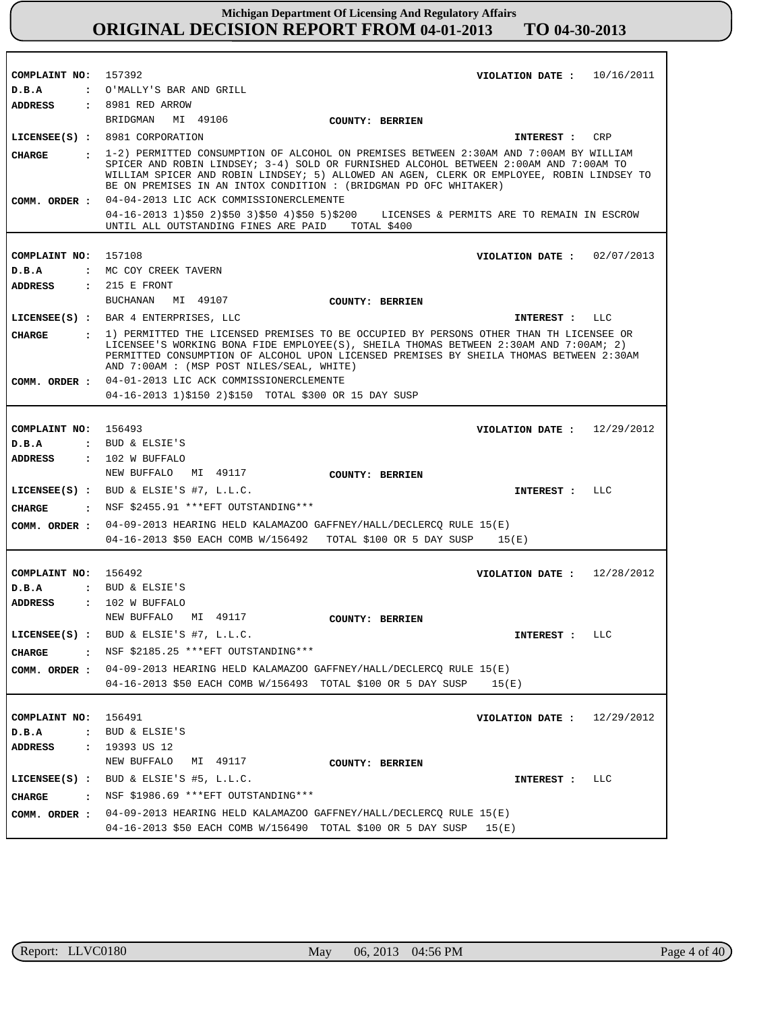| COMPLAINT NO: 157392            | VIOLATION DATE : $10/16/2011$                                                                                                                                                      |
|---------------------------------|------------------------------------------------------------------------------------------------------------------------------------------------------------------------------------|
| D.B.A                           | : O'MALLY'S BAR AND GRILL                                                                                                                                                          |
| ADDRESS                         | $: 8981$ RED ARROW                                                                                                                                                                 |
|                                 | BRIDGMAN<br>MI 49106<br>COUNTY: BERRIEN                                                                                                                                            |
|                                 | LICENSEE(S) : 8981 CORPORATION<br>INTEREST : CRP                                                                                                                                   |
| CHARGE                          | : 1-2) PERMITTED CONSUMPTION OF ALCOHOL ON PREMISES BETWEEN 2:30AM AND 7:00AM BY WILLIAM                                                                                           |
|                                 | SPICER AND ROBIN LINDSEY; 3-4) SOLD OR FURNISHED ALCOHOL BETWEEN 2:00AM AND 7:00AM TO<br>WILLIAM SPICER AND ROBIN LINDSEY; 5) ALLOWED AN AGEN, CLERK OR EMPLOYEE, ROBIN LINDSEY TO |
|                                 | BE ON PREMISES IN AN INTOX CONDITION : (BRIDGMAN PD OFC WHITAKER)                                                                                                                  |
|                                 | COMM. ORDER : 04-04-2013 LIC ACK COMMISSIONERCLEMENTE                                                                                                                              |
|                                 | 04-16-2013 1)\$50 2)\$50 3)\$50 4)\$50 5)\$200 LICENSES & PERMITS ARE TO REMAIN IN ESCROW                                                                                          |
|                                 | UNTIL ALL OUTSTANDING FINES ARE PAID TOTAL \$400                                                                                                                                   |
|                                 |                                                                                                                                                                                    |
| COMPLAINT NO: 157108            | VIOLATION DATE : $02/07/2013$                                                                                                                                                      |
| D.B.A                           | : MC COY CREEK TAVERN                                                                                                                                                              |
| ADDRESS                         | $: 215 E$ FRONT                                                                                                                                                                    |
|                                 | BUCHANAN<br>MI 49107<br>COUNTY: BERRIEN                                                                                                                                            |
|                                 | LICENSEE(S) : BAR 4 ENTERPRISES, LLC<br>INTEREST : LLC                                                                                                                             |
| CHARGE                          | : 1) PERMITTED THE LICENSED PREMISES TO BE OCCUPIED BY PERSONS OTHER THAN TH LICENSEE OR                                                                                           |
|                                 | LICENSEE'S WORKING BONA FIDE EMPLOYEE(S), SHEILA THOMAS BETWEEN 2:30AM AND 7:00AM; 2)                                                                                              |
|                                 | PERMITTED CONSUMPTION OF ALCOHOL UPON LICENSED PREMISES BY SHEILA THOMAS BETWEEN 2:30AM<br>AND 7:00AM : (MSP POST NILES/SEAL, WHITE)                                               |
|                                 | COMM. ORDER: 04-01-2013 LIC ACK COMMISSIONERCLEMENTE                                                                                                                               |
|                                 | 04-16-2013 1)\$150 2)\$150 TOTAL \$300 OR 15 DAY SUSP                                                                                                                              |
|                                 |                                                                                                                                                                                    |
| COMPLAINT NO: 156493            | VIOLATION DATE: $12/29/2012$                                                                                                                                                       |
| D.B.A                           | : BUD & ELSIE'S                                                                                                                                                                    |
| ADDRESS                         | $: 102$ W BUFFALO                                                                                                                                                                  |
|                                 | MI 49117<br>NEW BUFFALO                                                                                                                                                            |
|                                 | COUNTY: BERRIEN                                                                                                                                                                    |
|                                 | LICENSEE(S) : BUD & ELSIE'S #7, L.L.C.<br>INTEREST : LLC                                                                                                                           |
| CHARGE<br>$\cdot$               | NSF \$2455.91 ***EFT OUTSTANDING***                                                                                                                                                |
| COMM. ORDER :                   | 04-09-2013 HEARING HELD KALAMAZOO GAFFNEY/HALL/DECLERCQ RULE 15(E)                                                                                                                 |
|                                 | $04-16-2013$ \$50 EACH COMB W/156492 TOTAL \$100 OR 5 DAY SUSP 15(E)                                                                                                               |
|                                 |                                                                                                                                                                                    |
| COMPLAINT NO:                   | 156492<br>VIOLATION DATE :<br>12/28/2012                                                                                                                                           |
| D.B.A                           | : BUD & ELSIE'S                                                                                                                                                                    |
| <b>ADDRESS</b>                  | : 102 W BUFFALO                                                                                                                                                                    |
|                                 | NEW BUFFALO<br>MI 49117<br><b>COUNTY: BERRIEN</b>                                                                                                                                  |
| $LICENSEE(S)$ :                 | BUD & ELSIE'S #7, L.L.C.<br>LLC<br>INTEREST :                                                                                                                                      |
| $\cdot$<br>CHARGE               | NSF \$2185.25 ***EFT OUTSTANDING***                                                                                                                                                |
| COMM. ORDER :                   | 04-09-2013 HEARING HELD KALAMAZOO GAFFNEY/HALL/DECLERCQ RULE 15(E)                                                                                                                 |
|                                 | 04-16-2013 \$50 EACH COMB W/156493 TOTAL \$100 OR 5 DAY SUSP<br>15(E)                                                                                                              |
|                                 |                                                                                                                                                                                    |
|                                 |                                                                                                                                                                                    |
| COMPLAINT NO:                   | 156491<br>12/29/2012<br>VIOLATION DATE :                                                                                                                                           |
| D.B.A<br>$\ddot{\phantom{a}}$   | BUD & ELSIE'S                                                                                                                                                                      |
| <b>ADDRESS</b>                  | $: 19393 \text{ US } 12$                                                                                                                                                           |
|                                 | NEW BUFFALO<br>MI 49117<br><b>COUNTY: BERRIEN</b>                                                                                                                                  |
|                                 | LICENSEE(S) : BUD & ELSIE'S #5, L.L.C.<br>LLC<br>INTEREST :                                                                                                                        |
| <b>CHARGE</b><br>$\ddot{\cdot}$ | NSF \$1986.69 *** EFT OUTSTANDING***                                                                                                                                               |
| COMM. ORDER :                   | 04-09-2013 HEARING HELD KALAMAZOO GAFFNEY/HALL/DECLERCQ RULE 15(E)                                                                                                                 |
|                                 | 04-16-2013 \$50 EACH COMB W/156490 TOTAL \$100 OR 5 DAY SUSP<br>15(E)                                                                                                              |

٦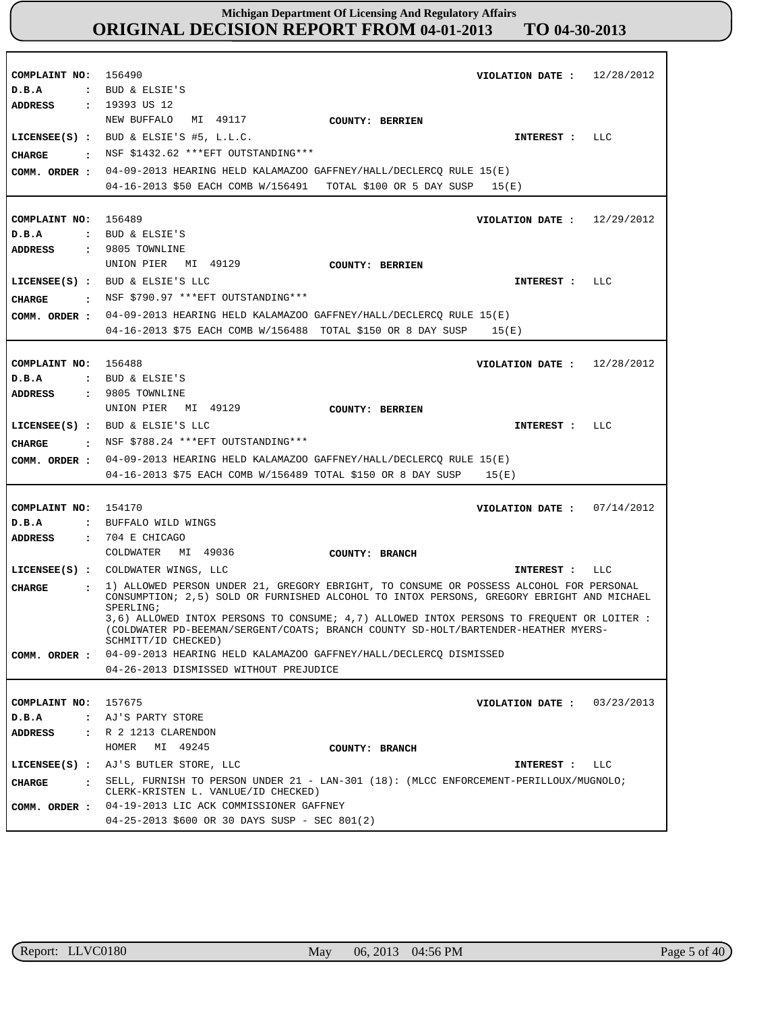| COMPLAINT NO:<br>D.B.A<br>ADDRESS               |                      | 156490<br>: BUD & ELSIE'S<br>: 19393 US 12                                                                                                                                                                         | VIOLATION DATE: $12/28/2012$  |     |
|-------------------------------------------------|----------------------|--------------------------------------------------------------------------------------------------------------------------------------------------------------------------------------------------------------------|-------------------------------|-----|
| <b>CHARGE</b><br>$\sim$ $\sim$<br>COMM. ORDER : |                      | MI 49117<br>NEW BUFFALO<br><b>COUNTY: BERRIEN</b><br>LICENSEE(S) : BUD & ELSIE'S #5, L.L.C.<br>NSF \$1432.62 *** EFT OUTSTANDING***<br>04-09-2013 HEARING HELD KALAMAZOO GAFFNEY/HALL/DECLERCQ RULE 15(E)          | INTEREST :                    | LLC |
|                                                 |                      | 04-16-2013 \$50 EACH COMB W/156491 TOTAL \$100 OR 5 DAY SUSP 15(E)                                                                                                                                                 |                               |     |
| COMPLAINT NO: 156489<br>D.B.A                   |                      | : BUD & ELSIE'S                                                                                                                                                                                                    | VIOLATION DATE: $12/29/2012$  |     |
| <b>ADDRESS</b><br>CHARGE<br>COMM. ORDER :       |                      | : 9805 TOWNLINE<br>MI 49129<br>UNION PIER<br>COUNTY: BERRIEN<br>LICENSEE(S) : BUD & ELSIE'S LLC<br>: NSF \$790.97 ***EFT OUTSTANDING***<br>04-09-2013 HEARING HELD KALAMAZOO GAFFNEY/HALL/DECLERCO RULE 15(E)      | INTEREST :                    | LLC |
|                                                 |                      | 04-16-2013 \$75 EACH COMB W/156488 TOTAL \$150 OR 8 DAY SUSP                                                                                                                                                       | 15(E)                         |     |
| COMPLAINT NO:<br>D.B.A                          |                      | 156488<br>: BUD & ELSIE'S                                                                                                                                                                                          | VIOLATION DATE: $12/28/2012$  |     |
| <b>ADDRESS</b><br>CHARGE<br>$\sim$ $\sim$       |                      | $: 9805$ TOWNLINE<br>UNION PIER MI 49129<br><b>COUNTY: BERRIEN</b><br>LICENSEE(S) : BUD & ELSIE'S LLC<br>NSF \$788.24 *** EFT OUTSTANDING***                                                                       | INTEREST :                    | LLC |
| COMM. ORDER :                                   |                      | 04-09-2013 HEARING HELD KALAMAZOO GAFFNEY/HALL/DECLERCQ RULE 15(E)<br>04-16-2013 \$75 EACH COMB W/156489 TOTAL \$150 OR 8 DAY SUSP                                                                                 | 15(E)                         |     |
| COMPLAINT NO:                                   |                      | 154170                                                                                                                                                                                                             | VIOLATION DATE : $07/14/2012$ |     |
| D.B.A                                           |                      | : BUFFALO WILD WINGS                                                                                                                                                                                               |                               |     |
| <b>ADDRESS</b>                                  | $\ddot{\cdot}$       | 704 E CHICAGO                                                                                                                                                                                                      |                               |     |
|                                                 |                      | COLDWATER<br>MI 49036<br>COUNTY: BRANCH                                                                                                                                                                            |                               |     |
|                                                 |                      | LICENSEE(S) : COLDWATER WINGS, LLC                                                                                                                                                                                 | INTEREST :                    | LLC |
| <b>CHARGE</b>                                   | $\ddot{\phantom{a}}$ | 1) ALLOWED PERSON UNDER 21, GREGORY EBRIGHT, TO CONSUME OR POSSESS ALCOHOL FOR PERSONAL<br>CONSUMPTION; 2,5) SOLD OR FURNISHED ALCOHOL TO INTOX PERSONS, GREGORY EBRIGHT AND MICHAEL                               |                               |     |
|                                                 |                      | SPERLING;<br>3,6) ALLOWED INTOX PERSONS TO CONSUME; 4,7) ALLOWED INTOX PERSONS TO FREOUENT OR LOITER:<br>(COLDWATER PD-BEEMAN/SERGENT/COATS; BRANCH COUNTY SD-HOLT/BARTENDER-HEATHER MYERS-<br>SCHMITT/ID CHECKED) |                               |     |
|                                                 |                      | COMM. ORDER : 04-09-2013 HEARING HELD KALAMAZOO GAFFNEY/HALL/DECLERCQ DISMISSED<br>04-26-2013 DISMISSED WITHOUT PREJUDICE                                                                                          |                               |     |
|                                                 |                      |                                                                                                                                                                                                                    |                               |     |
| COMPLAINT NO: 157675                            |                      |                                                                                                                                                                                                                    | VIOLATION DATE: $03/23/2013$  |     |
| D.B.A                                           |                      | : AJ'S PARTY STORE                                                                                                                                                                                                 |                               |     |
| ADDRESS                                         |                      | : R 2 1213 CLARENDON<br>HOMER<br>MI 49245                                                                                                                                                                          |                               |     |
|                                                 |                      | COUNTY: BRANCH                                                                                                                                                                                                     |                               |     |
|                                                 |                      | LICENSEE(S) : AJ'S BUTLER STORE, LLC                                                                                                                                                                               | INTEREST :                    | LLC |
| CHARGE                                          |                      | . SELL, FURNISH TO PERSON UNDER 21 - LAN-301 (18): (MLCC ENFORCEMENT-PERILLOUX/MUGNOLO;<br>CLERK-KRISTEN L. VANLUE/ID CHECKED)<br>COMM. ORDER : 04-19-2013 LIC ACK COMMISSIONER GAFFNEY                            |                               |     |
|                                                 |                      | 04-25-2013 \$600 OR 30 DAYS SUSP - SEC 801(2)                                                                                                                                                                      |                               |     |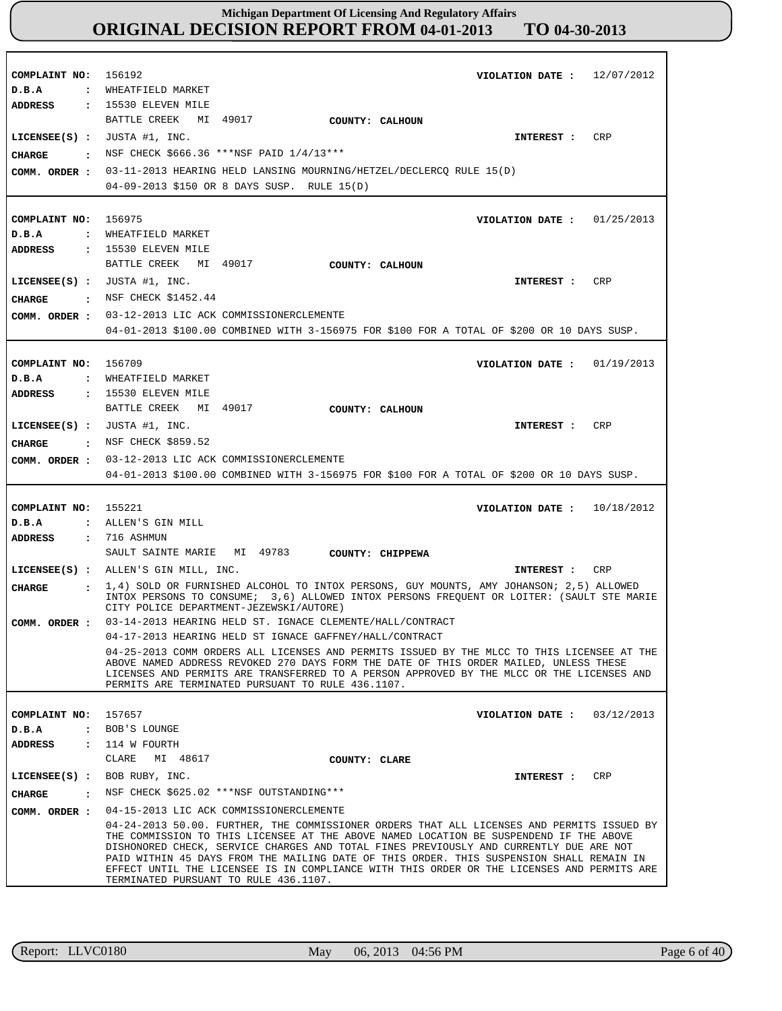**COMPLAINT NO: COMPLAINT NO:** 156975 **COMPLAINT NO:** 156709 **COMPLAINT NO:** 155221 **COMPLAINT NO:** 156192 157657 **VIOLATION DATE : VIOLATION DATE :** 01/25/2013 **VIOLATION DATE : VIOLATION DATE : VIOLATION DATE :** 12/07/2012 01/19/2013 10/18/2012 03/12/2013 **D.B.A : D.B.A : D.B.A : D.B.A : D.B.A :** WHEATFIELD MARKET WHEATFIELD MARKET WHEATFIELD MARKET ALLEN'S GIN MILL BOB'S LOUNGE **ADDRESS : ADDRESS : ADDRESS : ADDRESS : ADDRESS :** 15530 ELEVEN MILE 15530 ELEVEN MILE : 15530 ELEVEN MILE 716 ASHMUN 114 W FOURTH BATTLE CREEK MI 49017 BATTLE CREEK MI 49017 BATTLE CREEK MI 49017 SAULT SAINTE MARIE MI 49783 CLARE MI 48617 03-11-2013 HEARING HELD LANSING MOURNING/HETZEL/DECLERCQ RULE 15(D) 04-09-2013 \$150 OR 8 DAYS SUSP. RULE 15(D) 03-12-2013 LIC ACK COMMISSIONERCLEMENTE **COMM. ORDER :** 04-01-2013 \$100.00 COMBINED WITH 3-156975 FOR \$100 FOR A TOTAL OF \$200 OR 10 DAYS SUSP. 03-12-2013 LIC ACK COMMISSIONERCLEMENTE **COMM. ORDER :** 04-01-2013 \$100.00 COMBINED WITH 3-156975 FOR \$100 FOR A TOTAL OF \$200 OR 10 DAYS SUSP. 03-14-2013 HEARING HELD ST. IGNACE CLEMENTE/HALL/CONTRACT 04-17-2013 HEARING HELD ST IGNACE GAFFNEY/HALL/CONTRACT 04-25-2013 COMM ORDERS ALL LICENSES AND PERMITS ISSUED BY THE MLCC TO THIS LICENSEE AT THE ABOVE NAMED ADDRESS REVOKED 270 DAYS FORM THE DATE OF THIS ORDER MAILED, UNLESS THESE LICENSES AND PERMITS ARE TRANSFERRED TO A PERSON APPROVED BY THE MLCC OR THE LICENSES AND PERMITS ARE TERMINATED PURSUANT TO RULE 436.1107. 04-15-2013 LIC ACK COMMISSIONERCLEMENTE **COMM. ORDER :** 04-24-2013 50.00. FURTHER, THE COMMISSIONER ORDERS THAT ALL LICENSES AND PERMITS ISSUED BY THE COMMISSION TO THIS LICENSEE AT THE ABOVE NAMED LOCATION BE SUSPENDEND IF THE ABOVE DISHONORED CHECK, SERVICE CHARGES AND TOTAL FINES PREVIOUSLY AND CURRENTLY DUE ARE NOT PAID WITHIN 45 DAYS FROM THE MAILING DATE OF THIS ORDER. THIS SUSPENSION SHALL REMAIN IN EFFECT UNTIL THE LICENSEE IS IN COMPLIANCE WITH THIS ORDER OR THE LICENSES AND PERMITS ARE TERMINATED PURSUANT TO RULE 436.1107. **LICENSEE(S) :** JUSTA #1, INC. **LICENSEE(S) :** JUSTA #1, INC. **LICENSEE(S) :** JUSTA #1, INC. **LICENSEE(S) :** ALLEN'S GIN MILL, INC. **LICENSEE(S) :** BOB RUBY, INC. CRP CR<sub>P</sub> CRP CRP CRP **CHARGE : CHARGE : CHARGE : CHARGE : CHARGE :** NSF CHECK \$666.36 \*\*\*NSF PAID 1/4/13\*\*\* : NSF CHECK \$1452.44 : NSF CHECK \$859.52 1,4) SOLD OR FURNISHED ALCOHOL TO INTOX PERSONS, GUY MOUNTS, AMY JOHANSON; 2,5) ALLOWED INTOX PERSONS TO CONSUME; 3,6) ALLOWED INTOX PERSONS FREQUENT OR LOITER: (SAULT STE MARIE CITY POLICE DEPARTMENT-JEZEWSKI/AUTORE) : NSF CHECK \$625.02 \*\*\*NSF OUTSTANDING\*\*\* **INTEREST : INTEREST : INTEREST : INTEREST : INTEREST : COMM. ORDER : COMM. ORDER : COUNTY: CALHOUN COUNTY: CALHOUN COUNTY: CALHOUN COUNTY: CHIPPEWA COUNTY: CLARE**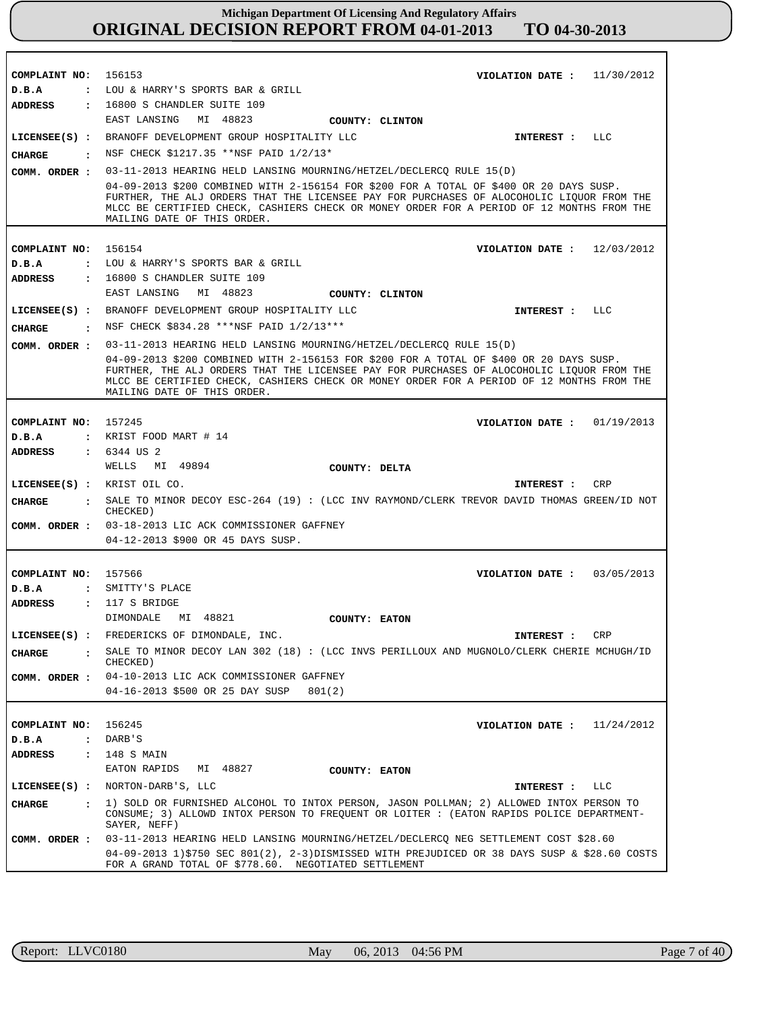| COMPLAINT NO: 156153            | 11/30/2012<br>VIOLATION DATE :                                                                                                                                                                                                                                                                                   |
|---------------------------------|------------------------------------------------------------------------------------------------------------------------------------------------------------------------------------------------------------------------------------------------------------------------------------------------------------------|
| D.B.A                           | : LOU & HARRY'S SPORTS BAR & GRILL                                                                                                                                                                                                                                                                               |
| ADDRESS                         | : 16800 S CHANDLER SUITE 109                                                                                                                                                                                                                                                                                     |
|                                 | EAST LANSING MI 48823<br>COUNTY: CLINTON                                                                                                                                                                                                                                                                         |
|                                 | LICENSEE(S) : BRANOFF DEVELOPMENT GROUP HOSPITALITY LLC<br>INTEREST : LLC                                                                                                                                                                                                                                        |
| CHARGE                          | : NSF CHECK \$1217.35 **NSF PAID 1/2/13*                                                                                                                                                                                                                                                                         |
| COMM. ORDER :                   | 03-11-2013 HEARING HELD LANSING MOURNING/HETZEL/DECLERCQ RULE 15(D)                                                                                                                                                                                                                                              |
|                                 | 04-09-2013 \$200 COMBINED WITH 2-156154 FOR \$200 FOR A TOTAL OF \$400 OR 20 DAYS SUSP.<br>FURTHER, THE ALJ ORDERS THAT THE LICENSEE PAY FOR PURCHASES OF ALOCOHOLIC LIQUOR FROM THE<br>MLCC BE CERTIFIED CHECK, CASHIERS CHECK OR MONEY ORDER FOR A PERIOD OF 12 MONTHS FROM THE<br>MAILING DATE OF THIS ORDER. |
|                                 |                                                                                                                                                                                                                                                                                                                  |
| COMPLAINT NO: 156154            | VIOLATION DATE: $12/03/2012$                                                                                                                                                                                                                                                                                     |
| D.B.A                           | : LOU & HARRY'S SPORTS BAR & GRILL                                                                                                                                                                                                                                                                               |
| <b>ADDRESS</b>                  | : 16800 S CHANDLER SUITE 109<br>EAST LANSING<br>MI 48823                                                                                                                                                                                                                                                         |
|                                 | COUNTY: CLINTON                                                                                                                                                                                                                                                                                                  |
|                                 | LICENSEE(S) : BRANOFF DEVELOPMENT GROUP HOSPITALITY LLC<br>INTEREST : LLC                                                                                                                                                                                                                                        |
| CHARGE                          | : NSF CHECK \$834.28 ***NSF PAID 1/2/13***                                                                                                                                                                                                                                                                       |
| COMM. ORDER :                   | 03-11-2013 HEARING HELD LANSING MOURNING/HETZEL/DECLERCQ RULE 15(D)                                                                                                                                                                                                                                              |
|                                 | 04-09-2013 \$200 COMBINED WITH 2-156153 FOR \$200 FOR A TOTAL OF \$400 OR 20 DAYS SUSP.<br>FURTHER, THE ALJ ORDERS THAT THE LICENSEE PAY FOR PURCHASES OF ALOCOHOLIC LIQUOR FROM THE<br>MLCC BE CERTIFIED CHECK, CASHIERS CHECK OR MONEY ORDER FOR A PERIOD OF 12 MONTHS FROM THE<br>MAILING DATE OF THIS ORDER. |
|                                 |                                                                                                                                                                                                                                                                                                                  |
| COMPLAINT NO: 157245            | VIOLATION DATE : $01/19/2013$                                                                                                                                                                                                                                                                                    |
| D.B.A                           | $:$ KRIST FOOD MART $# 14$                                                                                                                                                                                                                                                                                       |
| <b>ADDRESS</b>                  | : 6344 US 2                                                                                                                                                                                                                                                                                                      |
|                                 | WELLS MI 49894<br>COUNTY: DELTA                                                                                                                                                                                                                                                                                  |
|                                 | LICENSEE(S) : KRIST OIL CO.<br>CRP<br>INTEREST :                                                                                                                                                                                                                                                                 |
| CHARGE                          | SALE TO MINOR DECOY ESC-264 (19) : (LCC INV RAYMOND/CLERK TREVOR DAVID THOMAS GREEN/ID NOT<br>$\mathbf{r}$<br>CHECKED)                                                                                                                                                                                           |
|                                 | COMM. ORDER : 03-18-2013 LIC ACK COMMISSIONER GAFFNEY                                                                                                                                                                                                                                                            |
|                                 | 04-12-2013 \$900 OR 45 DAYS SUSP.                                                                                                                                                                                                                                                                                |
|                                 |                                                                                                                                                                                                                                                                                                                  |
| COMPLAINT NO: 157566<br>D.B.A   | VIOLATION DATE: $03/05/2013$<br>: SMITTY'S PLACE                                                                                                                                                                                                                                                                 |
| <b>ADDRESS</b>                  | $: 117 S$ BRIDGE                                                                                                                                                                                                                                                                                                 |
|                                 | DIMONDALE<br>MI 48821<br>COUNTY: EATON                                                                                                                                                                                                                                                                           |
| $LICENSEE(S)$ :                 | FREDERICKS OF DIMONDALE, INC.                                                                                                                                                                                                                                                                                    |
|                                 | CRP<br>INTEREST :<br>SALE TO MINOR DECOY LAN 302 (18) : (LCC INVS PERILLOUX AND MUGNOLO/CLERK CHERIE MCHUGH/ID                                                                                                                                                                                                   |
| <b>CHARGE</b><br>$\ddot{\cdot}$ | CHECKED)                                                                                                                                                                                                                                                                                                         |
| COMM. ORDER :                   | 04-10-2013 LIC ACK COMMISSIONER GAFFNEY                                                                                                                                                                                                                                                                          |
|                                 | 04-16-2013 \$500 OR 25 DAY SUSP<br>801(2)                                                                                                                                                                                                                                                                        |
|                                 |                                                                                                                                                                                                                                                                                                                  |
| COMPLAINT NO:                   | 156245<br>11/24/2012<br>VIOLATION DATE :                                                                                                                                                                                                                                                                         |
| D.B.A<br>$\ddot{\phantom{a}}$   | DARB'S                                                                                                                                                                                                                                                                                                           |
| ADDRESS<br>$\ddot{\phantom{a}}$ | 148 S MAIN                                                                                                                                                                                                                                                                                                       |
|                                 | EATON RAPIDS<br>MI 48827<br>COUNTY: EATON                                                                                                                                                                                                                                                                        |
| $LICENSEE(S)$ :                 | NORTON-DARB'S, LLC<br>LLC<br>INTEREST :                                                                                                                                                                                                                                                                          |
| <b>CHARGE</b><br>$\mathbf{r}$   | 1) SOLD OR FURNISHED ALCOHOL TO INTOX PERSON, JASON POLLMAN; 2) ALLOWED INTOX PERSON TO<br>CONSUME; 3) ALLOWD INTOX PERSON TO FREQUENT OR LOITER : (EATON RAPIDS POLICE DEPARTMENT-<br>SAYER, NEFF)                                                                                                              |
| COMM. ORDER :                   | 03-11-2013 HEARING HELD LANSING MOURNING/HETZEL/DECLERCQ NEG SETTLEMENT COST \$28.60                                                                                                                                                                                                                             |
|                                 | 04-09-2013 1)\$750 SEC 801(2), 2-3)DISMISSED WITH PREJUDICED OR 38 DAYS SUSP & \$28.60 COSTS                                                                                                                                                                                                                     |
|                                 | FOR A GRAND TOTAL OF \$778.60. NEGOTIATED SETTLEMENT                                                                                                                                                                                                                                                             |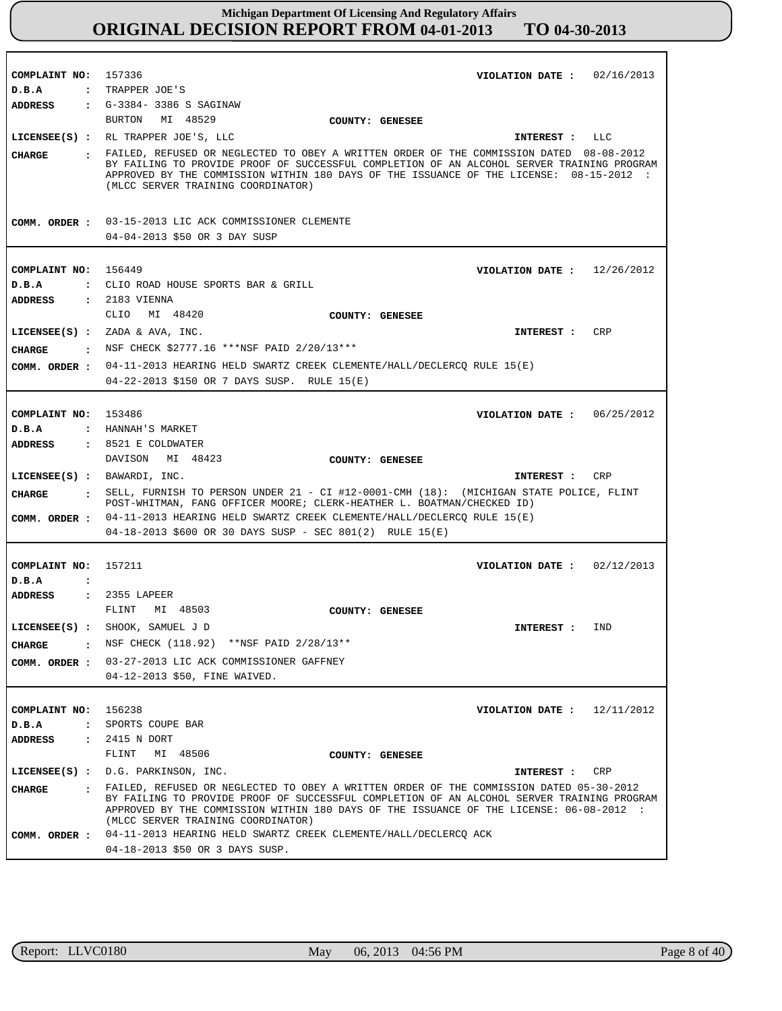| COMPLAINT NO: 157336                      | 02/16/2013<br>VIOLATION DATE :                                                                                                                                                                                                                                                                                           |
|-------------------------------------------|--------------------------------------------------------------------------------------------------------------------------------------------------------------------------------------------------------------------------------------------------------------------------------------------------------------------------|
| D.B.A                                     | : TRAPPER JOE'S                                                                                                                                                                                                                                                                                                          |
| <b>ADDRESS</b>                            | : G-3384- 3386 S SAGINAW                                                                                                                                                                                                                                                                                                 |
|                                           | BURTON<br>MI 48529<br>COUNTY: GENESEE                                                                                                                                                                                                                                                                                    |
|                                           | LICENSEE(S) : RL TRAPPER JOE'S, LLC<br>INTEREST :<br>LLC                                                                                                                                                                                                                                                                 |
| CHARGE                                    | . FAILED, REFUSED OR NEGLECTED TO OBEY A WRITTEN ORDER OF THE COMMISSION DATED 08-08-2012<br>BY FAILING TO PROVIDE PROOF OF SUCCESSFUL COMPLETION OF AN ALCOHOL SERVER TRAINING PROGRAM<br>APPROVED BY THE COMMISSION WITHIN 180 DAYS OF THE ISSUANCE OF THE LICENSE: 08-15-2012 :<br>(MLCC SERVER TRAINING COORDINATOR) |
|                                           | COMM. ORDER : 03-15-2013 LIC ACK COMMISSIONER CLEMENTE                                                                                                                                                                                                                                                                   |
|                                           | 04-04-2013 \$50 OR 3 DAY SUSP                                                                                                                                                                                                                                                                                            |
|                                           |                                                                                                                                                                                                                                                                                                                          |
| COMPLAINT NO: 156449                      | VIOLATION DATE: $12/26/2012$                                                                                                                                                                                                                                                                                             |
| D.B.A                                     | : CLIO ROAD HOUSE SPORTS BAR & GRILL                                                                                                                                                                                                                                                                                     |
| <b>ADDRESS</b>                            | : 2183 VIENNA                                                                                                                                                                                                                                                                                                            |
|                                           | CLIO<br>MI 48420<br>COUNTY: GENESEE                                                                                                                                                                                                                                                                                      |
|                                           | $LICENSEE(S)$ : ZADA & AVA, INC.<br>CRP<br>INTEREST :                                                                                                                                                                                                                                                                    |
|                                           | . NSF CHECK \$2777.16 ***NSF PAID 2/20/13***                                                                                                                                                                                                                                                                             |
| CHARGE                                    |                                                                                                                                                                                                                                                                                                                          |
| COMM. ORDER :                             | 04-11-2013 HEARING HELD SWARTZ CREEK CLEMENTE/HALL/DECLERCQ RULE 15(E)                                                                                                                                                                                                                                                   |
|                                           | 04-22-2013 \$150 OR 7 DAYS SUSP. RULE 15(E)                                                                                                                                                                                                                                                                              |
|                                           |                                                                                                                                                                                                                                                                                                                          |
| COMPLAINT NO: 153486                      | VIOLATION DATE: 06/25/2012                                                                                                                                                                                                                                                                                               |
| D.B.A                                     | : HANNAH'S MARKET<br>$: 8521$ E COLDWATER                                                                                                                                                                                                                                                                                |
| <b>ADDRESS</b>                            | DAVISON MI 48423                                                                                                                                                                                                                                                                                                         |
|                                           | COUNTY: GENESEE<br>LICENSEE(S) : BAWARDI, INC.<br>CRP                                                                                                                                                                                                                                                                    |
|                                           | INTEREST :                                                                                                                                                                                                                                                                                                               |
| CHARGE<br><b>Contract Contract Street</b> | SELL, FURNISH TO PERSON UNDER 21 - CI #12-0001-CMH (18): (MICHIGAN STATE POLICE, FLINT<br>POST-WHITMAN, FANG OFFICER MOORE; CLERK-HEATHER L. BOATMAN/CHECKED ID)                                                                                                                                                         |
| COMM. ORDER :                             | 04-11-2013 HEARING HELD SWARTZ CREEK CLEMENTE/HALL/DECLERCQ RULE 15(E)                                                                                                                                                                                                                                                   |
|                                           | $04-18-2013$ \$600 OR 30 DAYS SUSP - SEC 801(2) RULE 15(E)                                                                                                                                                                                                                                                               |
|                                           |                                                                                                                                                                                                                                                                                                                          |
| COMPLAINT NO:                             | 157211<br>02/12/2013<br>VIOLATION DATE :                                                                                                                                                                                                                                                                                 |
| D.B.A<br>$\ddot{\cdot}$                   |                                                                                                                                                                                                                                                                                                                          |
| <b>ADDRESS</b>                            | : 2355 LAPEER                                                                                                                                                                                                                                                                                                            |
|                                           | FLINT<br>MI 48503<br>COUNTY: GENESEE                                                                                                                                                                                                                                                                                     |
|                                           | LICENSEE(S) : SHOOK, SAMUEL J D<br>INTEREST :<br>IND                                                                                                                                                                                                                                                                     |
|                                           | <b>CHARGE</b> : NSF CHECK $(118.92)$ **NSF PAID $2/28/13$ **                                                                                                                                                                                                                                                             |
|                                           | COMM. ORDER : 03-27-2013 LIC ACK COMMISSIONER GAFFNEY                                                                                                                                                                                                                                                                    |
|                                           | 04-12-2013 \$50, FINE WAIVED.                                                                                                                                                                                                                                                                                            |
|                                           |                                                                                                                                                                                                                                                                                                                          |
| COMPLAINT NO: 156238                      | VIOLATION DATE : $12/11/2012$                                                                                                                                                                                                                                                                                            |
| $D$ . B. A                                | : SPORTS COUPE BAR                                                                                                                                                                                                                                                                                                       |
| ADDRESS                                   | : 2415 N DORT                                                                                                                                                                                                                                                                                                            |
|                                           | FLINT<br>MI 48506<br>COUNTY: GENESEE                                                                                                                                                                                                                                                                                     |
|                                           | LICENSEE(S) : D.G. PARKINSON, INC.<br>INTEREST :<br>CRP                                                                                                                                                                                                                                                                  |
| CHARGE                                    | : FAILED, REFUSED OR NEGLECTED TO OBEY A WRITTEN ORDER OF THE COMMISSION DATED 05-30-2012<br>BY FAILING TO PROVIDE PROOF OF SUCCESSFUL COMPLETION OF AN ALCOHOL SERVER TRAINING PROGRAM<br>APPROVED BY THE COMMISSION WITHIN 180 DAYS OF THE ISSUANCE OF THE LICENSE: 06-08-2012 :<br>(MLCC SERVER TRAINING COORDINATOR) |
|                                           | COMM. ORDER : 04-11-2013 HEARING HELD SWARTZ CREEK CLEMENTE/HALL/DECLERCQ ACK<br>04-18-2013 \$50 OR 3 DAYS SUSP.                                                                                                                                                                                                         |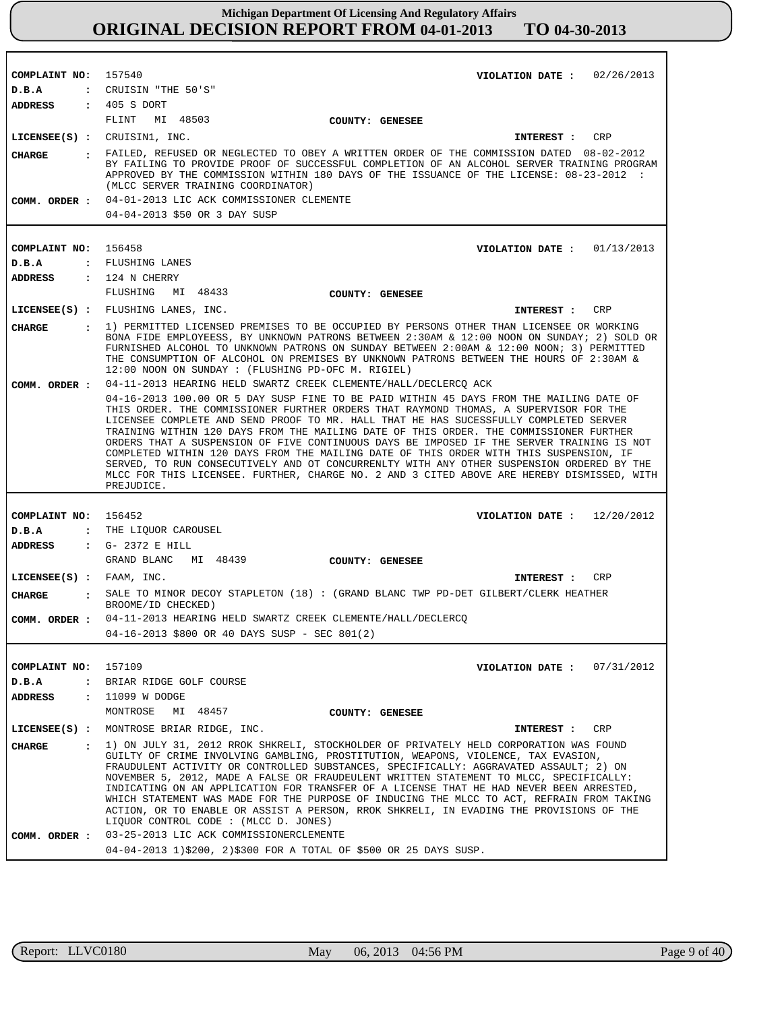| COMPLAINT NO: 157540     |                      | VIOLATION DATE: $02/26/2013$                                                                                                                                                                                                                                                                                                                                                                                                                                                                                                                                                                                                                                                                                                                                        |
|--------------------------|----------------------|---------------------------------------------------------------------------------------------------------------------------------------------------------------------------------------------------------------------------------------------------------------------------------------------------------------------------------------------------------------------------------------------------------------------------------------------------------------------------------------------------------------------------------------------------------------------------------------------------------------------------------------------------------------------------------------------------------------------------------------------------------------------|
| D.B.A                    |                      | : CRUISIN "THE 50'S"                                                                                                                                                                                                                                                                                                                                                                                                                                                                                                                                                                                                                                                                                                                                                |
| <b>ADDRESS</b>           |                      | : 405 S DORT                                                                                                                                                                                                                                                                                                                                                                                                                                                                                                                                                                                                                                                                                                                                                        |
|                          |                      | FLINT<br>MI 48503<br>COUNTY: GENESEE                                                                                                                                                                                                                                                                                                                                                                                                                                                                                                                                                                                                                                                                                                                                |
|                          |                      | LICENSEE(S) : CRUISIN1, INC.<br>INTEREST : CRP                                                                                                                                                                                                                                                                                                                                                                                                                                                                                                                                                                                                                                                                                                                      |
| CHARGE                   |                      | : FAILED, REFUSED OR NEGLECTED TO OBEY A WRITTEN ORDER OF THE COMMISSION DATED 08-02-2012<br>BY FAILING TO PROVIDE PROOF OF SUCCESSFUL COMPLETION OF AN ALCOHOL SERVER TRAINING PROGRAM<br>APPROVED BY THE COMMISSION WITHIN 180 DAYS OF THE ISSUANCE OF THE LICENSE: 08-23-2012 :<br>(MLCC SERVER TRAINING COORDINATOR)                                                                                                                                                                                                                                                                                                                                                                                                                                            |
|                          |                      | COMM. ORDER : 04-01-2013 LIC ACK COMMISSIONER CLEMENTE                                                                                                                                                                                                                                                                                                                                                                                                                                                                                                                                                                                                                                                                                                              |
|                          |                      | 04-04-2013 \$50 OR 3 DAY SUSP                                                                                                                                                                                                                                                                                                                                                                                                                                                                                                                                                                                                                                                                                                                                       |
|                          |                      |                                                                                                                                                                                                                                                                                                                                                                                                                                                                                                                                                                                                                                                                                                                                                                     |
| COMPLAINT NO: 156458     |                      | VIOLATION DATE: $01/13/2013$                                                                                                                                                                                                                                                                                                                                                                                                                                                                                                                                                                                                                                                                                                                                        |
| D.B.A                    |                      | : FLUSHING LANES                                                                                                                                                                                                                                                                                                                                                                                                                                                                                                                                                                                                                                                                                                                                                    |
| <b>ADDRESS</b>           |                      | $: 124$ N CHERRY                                                                                                                                                                                                                                                                                                                                                                                                                                                                                                                                                                                                                                                                                                                                                    |
|                          |                      | FLUSHING<br>MI 48433<br>COUNTY: GENESEE                                                                                                                                                                                                                                                                                                                                                                                                                                                                                                                                                                                                                                                                                                                             |
|                          |                      | LICENSEE(S) : FLUSHING LANES, INC.<br>CRP<br>INTEREST :                                                                                                                                                                                                                                                                                                                                                                                                                                                                                                                                                                                                                                                                                                             |
| <b>CHARGE</b>            |                      | : 1) PERMITTED LICENSED PREMISES TO BE OCCUPIED BY PERSONS OTHER THAN LICENSEE OR WORKING<br>BONA FIDE EMPLOYEESS, BY UNKNOWN PATRONS BETWEEN 2:30AM & 12:00 NOON ON SUNDAY; 2) SOLD OR<br>FURNISHED ALCOHOL TO UNKNOWN PATRONS ON SUNDAY BETWEEN 2:00AM & 12:00 NOON; 3) PERMITTED<br>THE CONSUMPTION OF ALCOHOL ON PREMISES BY UNKNOWN PATRONS BETWEEN THE HOURS OF 2:30AM &<br>12:00 NOON ON SUNDAY : (FLUSHING PD-OFC M. RIGIEL)                                                                                                                                                                                                                                                                                                                                |
| COMM. ORDER :            |                      | 04-11-2013 HEARING HELD SWARTZ CREEK CLEMENTE/HALL/DECLERCQ ACK                                                                                                                                                                                                                                                                                                                                                                                                                                                                                                                                                                                                                                                                                                     |
|                          |                      | 04-16-2013 100.00 OR 5 DAY SUSP FINE TO BE PAID WITHIN 45 DAYS FROM THE MAILING DATE OF<br>THIS ORDER. THE COMMISSIONER FURTHER ORDERS THAT RAYMOND THOMAS, A SUPERVISOR FOR THE<br>LICENSEE COMPLETE AND SEND PROOF TO MR. HALL THAT HE HAS SUCESSFULLY COMPLETED SERVER<br>TRAINING WITHIN 120 DAYS FROM THE MAILING DATE OF THIS ORDER. THE COMMISSIONER FURTHER<br>ORDERS THAT A SUSPENSION OF FIVE CONTINUOUS DAYS BE IMPOSED IF THE SERVER TRAINING IS NOT<br>COMPLETED WITHIN 120 DAYS FROM THE MAILING DATE OF THIS ORDER WITH THIS SUSPENSION, IF<br>SERVED, TO RUN CONSECUTIVELY AND OT CONCURRENLTY WITH ANY OTHER SUSPENSION ORDERED BY THE<br>MLCC FOR THIS LICENSEE. FURTHER, CHARGE NO. 2 AND 3 CITED ABOVE ARE HEREBY DISMISSED, WITH<br>PREJUDICE. |
|                          |                      |                                                                                                                                                                                                                                                                                                                                                                                                                                                                                                                                                                                                                                                                                                                                                                     |
| COMPLAINT NO: 156452     |                      | VIOLATION DATE: $12/20/2012$                                                                                                                                                                                                                                                                                                                                                                                                                                                                                                                                                                                                                                                                                                                                        |
| D.B.A                    |                      | : THE LIQUOR CAROUSEL                                                                                                                                                                                                                                                                                                                                                                                                                                                                                                                                                                                                                                                                                                                                               |
| ADDRESS                  |                      | $\cdot$ G- 2372 E HILL                                                                                                                                                                                                                                                                                                                                                                                                                                                                                                                                                                                                                                                                                                                                              |
|                          |                      | GRAND BLANC MI 48439<br><b>COUNTY: GENESEE</b>                                                                                                                                                                                                                                                                                                                                                                                                                                                                                                                                                                                                                                                                                                                      |
| LICENSEE(S) : FAAM, INC. |                      | CRP<br>INTEREST :                                                                                                                                                                                                                                                                                                                                                                                                                                                                                                                                                                                                                                                                                                                                                   |
| <b>CHARGE</b>            |                      | : SALE TO MINOR DECOY STAPLETON (18) : (GRAND BLANC TWP PD-DET GILBERT/CLERK HEATHER<br>BROOME/ID CHECKED)                                                                                                                                                                                                                                                                                                                                                                                                                                                                                                                                                                                                                                                          |
|                          |                      | COMM. ORDER : 04-11-2013 HEARING HELD SWARTZ CREEK CLEMENTE/HALL/DECLERCQ                                                                                                                                                                                                                                                                                                                                                                                                                                                                                                                                                                                                                                                                                           |
|                          |                      | 04-16-2013 \$800 OR 40 DAYS SUSP - SEC 801(2)                                                                                                                                                                                                                                                                                                                                                                                                                                                                                                                                                                                                                                                                                                                       |
|                          |                      |                                                                                                                                                                                                                                                                                                                                                                                                                                                                                                                                                                                                                                                                                                                                                                     |
| COMPLAINT NO:            |                      | 157109<br>VIOLATION DATE: $07/31/2012$                                                                                                                                                                                                                                                                                                                                                                                                                                                                                                                                                                                                                                                                                                                              |
| D.B.A                    | $\ddot{\phantom{a}}$ | BRIAR RIDGE GOLF COURSE                                                                                                                                                                                                                                                                                                                                                                                                                                                                                                                                                                                                                                                                                                                                             |
| <b>ADDRESS</b>           | $\ddot{\phantom{a}}$ | 11099 W DODGE                                                                                                                                                                                                                                                                                                                                                                                                                                                                                                                                                                                                                                                                                                                                                       |
|                          |                      | MONTROSE<br>MI 48457<br>COUNTY: GENESEE                                                                                                                                                                                                                                                                                                                                                                                                                                                                                                                                                                                                                                                                                                                             |
| $LICENSEE(S)$ :          |                      | MONTROSE BRIAR RIDGE, INC.<br>CRP<br>INTEREST :                                                                                                                                                                                                                                                                                                                                                                                                                                                                                                                                                                                                                                                                                                                     |
| <b>CHARGE</b>            | $\mathbf{r}$         | 1) ON JULY 31, 2012 RROK SHKRELI, STOCKHOLDER OF PRIVATELY HELD CORPORATION WAS FOUND                                                                                                                                                                                                                                                                                                                                                                                                                                                                                                                                                                                                                                                                               |
|                          |                      | GUILTY OF CRIME INVOLVING GAMBLING, PROSTITUTION, WEAPONS, VIOLENCE, TAX EVASION,<br>FRAUDULENT ACTIVITY OR CONTROLLED SUBSTANCES, SPECIFICALLY: AGGRAVATED ASSAULT; 2) ON<br>NOVEMBER 5, 2012, MADE A FALSE OR FRAUDEULENT WRITTEN STATEMENT TO MLCC, SPECIFICALLY:<br>INDICATING ON AN APPLICATION FOR TRANSFER OF A LICENSE THAT HE HAD NEVER BEEN ARRESTED,<br>WHICH STATEMENT WAS MADE FOR THE PURPOSE OF INDUCING THE MLCC TO ACT, REFRAIN FROM TAKING<br>ACTION, OR TO ENABLE OR ASSIST A PERSON, RROK SHKRELI, IN EVADING THE PROVISIONS OF THE                                                                                                                                                                                                             |
|                          |                      | LIQUOR CONTROL CODE : (MLCC D. JONES)                                                                                                                                                                                                                                                                                                                                                                                                                                                                                                                                                                                                                                                                                                                               |
| COMM. ORDER :            |                      | 03-25-2013 LIC ACK COMMISSIONERCLEMENTE                                                                                                                                                                                                                                                                                                                                                                                                                                                                                                                                                                                                                                                                                                                             |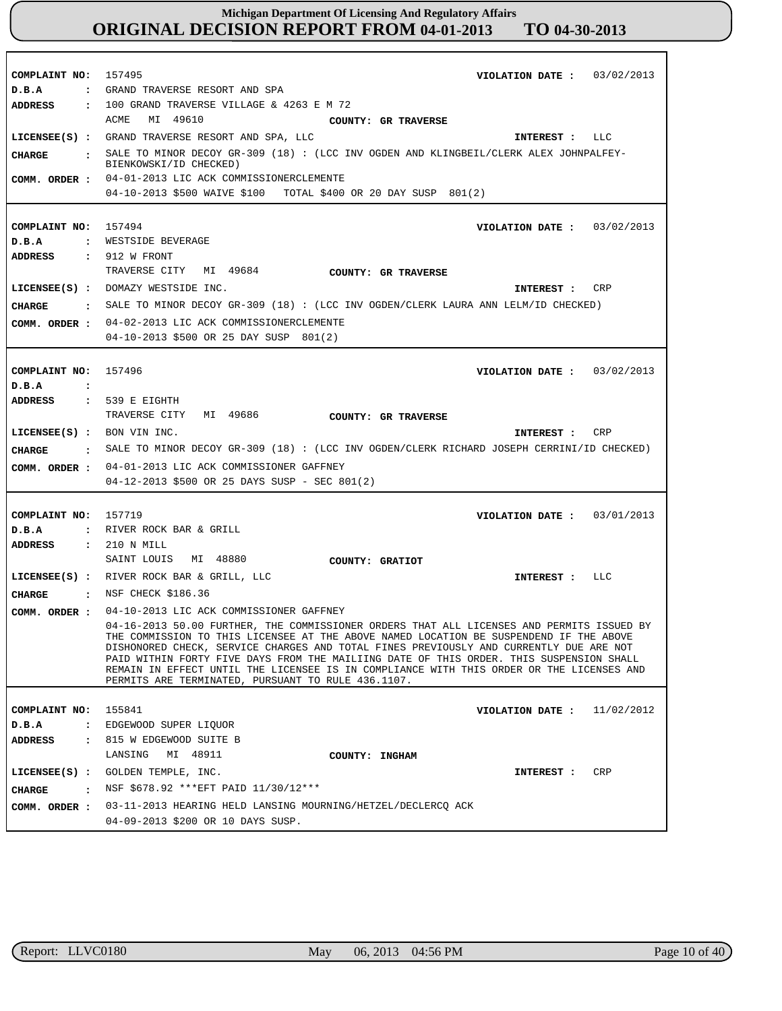| COMPLAINT NO:        |                | 157495<br>VIOLATION DATE: $03/02/2013$                                                                                                                                           |
|----------------------|----------------|----------------------------------------------------------------------------------------------------------------------------------------------------------------------------------|
| D.B.A                | $\ddot{\cdot}$ | GRAND TRAVERSE RESORT AND SPA                                                                                                                                                    |
| ADDRESS              |                | $: 100$ GRAND TRAVERSE VILLAGE & 4263 E M 72                                                                                                                                     |
|                      |                | ACME<br>MI 49610<br>COUNTY: GR TRAVERSE                                                                                                                                          |
|                      |                | LICENSEE(S) : GRAND TRAVERSE RESORT AND SPA, LLC<br>INTEREST : LLC                                                                                                               |
| <b>CHARGE</b>        | $\mathbf{r}$   | SALE TO MINOR DECOY GR-309 (18): (LCC INV OGDEN AND KLINGBEIL/CLERK ALEX JOHNPALFEY-                                                                                             |
|                      |                | BIENKOWSKI/ID CHECKED)                                                                                                                                                           |
| COMM. ORDER :        |                | 04-01-2013 LIC ACK COMMISSIONERCLEMENTE                                                                                                                                          |
|                      |                | 04-10-2013 \$500 WAIVE \$100 TOTAL \$400 OR 20 DAY SUSP 801(2)                                                                                                                   |
|                      |                |                                                                                                                                                                                  |
| COMPLAINT NO: 157494 |                | VIOLATION DATE: $03/02/2013$                                                                                                                                                     |
| D.B.A                |                | : WESTSIDE BEVERAGE                                                                                                                                                              |
| ADDRESS              |                | $: 912$ W FRONT                                                                                                                                                                  |
|                      |                | TRAVERSE CITY MI 49684<br><b>COUNTY: GR TRAVERSE</b>                                                                                                                             |
|                      |                | LICENSEE(S) : DOMAZY WESTSIDE INC.<br>CRP<br>INTEREST :                                                                                                                          |
| CHARGE               |                | : SALE TO MINOR DECOY GR-309 (18): (LCC INV OGDEN/CLERK LAURA ANN LELM/ID CHECKED)                                                                                               |
| COMM. ORDER :        |                | 04-02-2013 LIC ACK COMMISSIONERCLEMENTE                                                                                                                                          |
|                      |                | 04-10-2013 \$500 OR 25 DAY SUSP 801(2)                                                                                                                                           |
|                      |                |                                                                                                                                                                                  |
|                      |                |                                                                                                                                                                                  |
| COMPLAINT NO:        |                | 157496<br>VIOLATION DATE: 03/02/2013                                                                                                                                             |
| D.B.A                | $\cdot$        |                                                                                                                                                                                  |
| ADDRESS              |                | : 539 E EIGHTH                                                                                                                                                                   |
|                      |                | TRAVERSE CITY<br>MI 49686<br>COUNTY: GR TRAVERSE                                                                                                                                 |
|                      |                | LICENSEE $(s)$ : BON VIN INC.<br>CRP<br>INTEREST :                                                                                                                               |
|                      |                |                                                                                                                                                                                  |
| CHARGE               |                | : SALE TO MINOR DECOY GR-309 (18): (LCC INV OGDEN/CLERK RICHARD JOSEPH CERRINI/ID CHECKED)                                                                                       |
|                      |                | COMM. ORDER : 04-01-2013 LIC ACK COMMISSIONER GAFFNEY                                                                                                                            |
|                      |                | 04-12-2013 \$500 OR 25 DAYS SUSP - SEC 801(2)                                                                                                                                    |
|                      |                |                                                                                                                                                                                  |
|                      |                |                                                                                                                                                                                  |
| COMPLAINT NO:        |                | 157719<br>VIOLATION DATE: $03/01/2013$                                                                                                                                           |
| D.B.A                |                | : RIVER ROCK BAR & GRILL                                                                                                                                                         |
| <b>ADDRESS</b>       |                | : 210 N MILL<br>SAINT LOUIS<br>MI 48880                                                                                                                                          |
|                      |                | COUNTY: GRATIOT                                                                                                                                                                  |
|                      |                | LICENSEE(S) : RIVER ROCK BAR & GRILL, LLC<br>INTEREST : LLC                                                                                                                      |
| CHARGE               |                | . NSF CHECK \$186.36                                                                                                                                                             |
|                      |                | COMM. ORDER : 04-10-2013 LIC ACK COMMISSIONER GAFFNEY                                                                                                                            |
|                      |                | 04-16-2013 50.00 FURTHER, THE COMMISSIONER ORDERS THAT ALL LICENSES AND PERMITS ISSUED BY                                                                                        |
|                      |                | THE COMMISSION TO THIS LICENSEE AT THE ABOVE NAMED LOCATION BE SUSPENDEND IF THE ABOVE<br>DISHONORED CHECK, SERVICE CHARGES AND TOTAL FINES PREVIOUSLY AND CURRENTLY DUE ARE NOT |
|                      |                | PAID WITHIN FORTY FIVE DAYS FROM THE MAILIING DATE OF THIS ORDER. THIS SUSPENSION SHALL                                                                                          |
|                      |                | REMAIN IN EFFECT UNTIL THE LICENSEE IS IN COMPLIANCE WITH THIS ORDER OR THE LICENSES AND                                                                                         |
|                      |                | PERMITS ARE TERMINATED, PURSUANT TO RULE 436.1107.                                                                                                                               |
|                      |                |                                                                                                                                                                                  |
| COMPLAINT NO:        |                | 155841<br>VIOLATION DATE :<br>11/02/2012                                                                                                                                         |
| D.B.A                |                | : EDGEWOOD SUPER LIQUOR                                                                                                                                                          |
| ADDRESS              |                | : 815 W EDGEWOOD SUITE B                                                                                                                                                         |
|                      |                | LANSING MI 48911<br>COUNTY: INGHAM                                                                                                                                               |
|                      |                | LICENSEE(S) : GOLDEN TEMPLE, INC.<br>CRP<br>INTEREST :                                                                                                                           |
| <b>CHARGE</b>        | $\mathbf{r}$   | NSF \$678.92 *** EFT PAID 11/30/12***                                                                                                                                            |
| COMM. ORDER :        |                | 03-11-2013 HEARING HELD LANSING MOURNING/HETZEL/DECLERCQ ACK                                                                                                                     |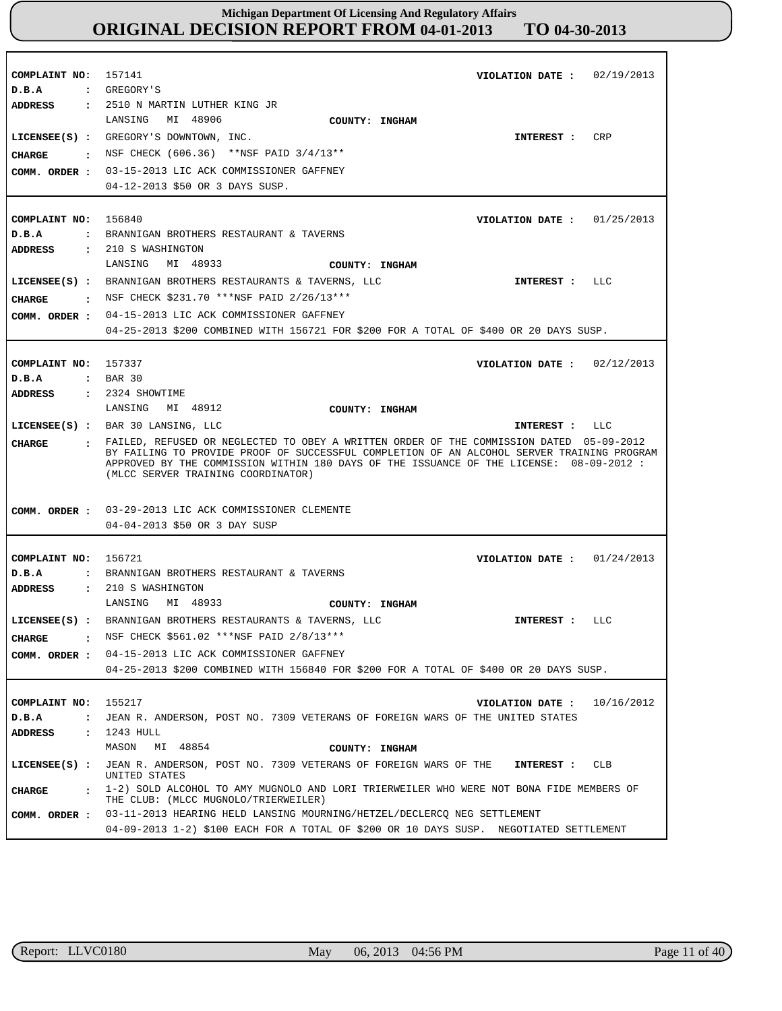| COMPLAINT NO:<br>D.B.A                                                            | 157141<br>02/19/2013<br>VIOLATION DATE :<br>: GREGORY'S                                                                                                                                                                                                                                                                                                                                                                                     |
|-----------------------------------------------------------------------------------|---------------------------------------------------------------------------------------------------------------------------------------------------------------------------------------------------------------------------------------------------------------------------------------------------------------------------------------------------------------------------------------------------------------------------------------------|
| CIIARGE                                                                           | ADDRESS : 2510 N MARTIN LUTHER KING JR<br>MI 48906<br>LANSING<br>COUNTY: INGHAM<br>LICENSEE(S) : GREGORY'S DOWNTOWN, INC.<br>CRP<br>INTEREST :<br>: NSF CHECK (606.36) **NSF PAID $3/4/13**$<br>COMM. ORDER : 03-15-2013 LIC ACK COMMISSIONER GAFFNEY<br>04-12-2013 \$50 OR 3 DAYS SUSP.                                                                                                                                                    |
| COMPLAINT NO: 156840<br>D.B.A<br>ADDRESS                                          | VIOLATION DATE : $01/25/2013$<br>: BRANNIGAN BROTHERS RESTAURANT & TAVERNS<br>: 210 S WASHINGTON                                                                                                                                                                                                                                                                                                                                            |
| CHARGE                                                                            | LANSING<br>MI 48933<br>COUNTY: INGHAM<br>LICENSEE(S) : BRANNIGAN BROTHERS RESTAURANTS & TAVERNS, LLC<br>INTEREST : LLC<br>. NSF CHECK \$231.70 ***NSF PAID 2/26/13***<br>COMM. ORDER : 04-15-2013 LIC ACK COMMISSIONER GAFFNEY<br>04-25-2013 \$200 COMBINED WITH 156721 FOR \$200 FOR A TOTAL OF \$400 OR 20 DAYS SUSP.                                                                                                                     |
| COMPLAINT NO: 157337<br>D.B.A                                                     | VIOLATION DATE: $02/12/2013$<br>$\epsilon$ BAR 30                                                                                                                                                                                                                                                                                                                                                                                           |
| ADDRESS<br>CIIARGE                                                                | : 2324 SHOWTIME<br>LANSING MI 48912<br>COUNTY: INGHAM<br>LICENSEE(S) : BAR 30 LANSING, LLC<br>LLC<br>INTEREST :<br>: FAILED, REFUSED OR NEGLECTED TO OBEY A WRITTEN ORDER OF THE COMMISSION DATED 05-09-2012<br>BY FAILING TO PROVIDE PROOF OF SUCCESSFUL COMPLETION OF AN ALCOHOL SERVER TRAINING PROGRAM<br>APPROVED BY THE COMMISSION WITHIN 180 DAYS OF THE ISSUANCE OF THE LICENSE: 08-09-2012 :<br>(MLCC SERVER TRAINING COORDINATOR) |
|                                                                                   | COMM. ORDER : 03-29-2013 LIC ACK COMMISSIONER CLEMENTE<br>04-04-2013 \$50 OR 3 DAY SUSP                                                                                                                                                                                                                                                                                                                                                     |
| COMPLAINT NO: 156721<br>D.B.A                                                     | VIOLATION DATE: $01/24/2013$<br>: BRANNIGAN BROTHERS RESTAURANT & TAVERNS<br>ADDRESS : 210 S WASHINGTON<br>MI 48933<br>LANSING<br>COUNTY: INGHAM                                                                                                                                                                                                                                                                                            |
| <b>CHARGE</b><br>$\ddot{\phantom{a}}$<br>COMM. ORDER :                            | LICENSEE(S) : BRANNIGAN BROTHERS RESTAURANTS & TAVERNS, LLC<br>INTEREST : LLC<br>NSF CHECK \$561.02 ***NSF PAID 2/8/13***<br>04-15-2013 LIC ACK COMMISSIONER GAFFNEY<br>04-25-2013 \$200 COMBINED WITH 156840 FOR \$200 FOR A TOTAL OF \$400 OR 20 DAYS SUSP.                                                                                                                                                                               |
| COMPLAINT NO:<br>D.B.A<br>$\ddot{\phantom{a}}$<br>ADDRESS<br>$\ddot{\phantom{a}}$ | 155217<br>10/16/2012<br>VIOLATION DATE :<br>JEAN R. ANDERSON, POST NO. 7309 VETERANS OF FOREIGN WARS OF THE UNITED STATES<br>1243 HULL<br>MI 48854<br>MASON<br>COUNTY: INGHAM                                                                                                                                                                                                                                                               |
| $LICENSEE(S)$ :<br><b>CHARGE</b><br>$\ddot{\phantom{a}}$                          | JEAN R. ANDERSON, POST NO. 7309 VETERANS OF FOREIGN WARS OF THE<br>CLB<br>INTEREST :<br>UNITED STATES<br>1-2) SOLD ALCOHOL TO AMY MUGNOLO AND LORI TRIERWEILER WHO WERE NOT BONA FIDE MEMBERS OF<br>THE CLUB: (MLCC MUGNOLO/TRIERWEILER)                                                                                                                                                                                                    |
| COMM. ORDER :                                                                     | 03-11-2013 HEARING HELD LANSING MOURNING/HETZEL/DECLERCQ NEG SETTLEMENT<br>04-09-2013 1-2) \$100 EACH FOR A TOTAL OF \$200 OR 10 DAYS SUSP. NEGOTIATED SETTLEMENT                                                                                                                                                                                                                                                                           |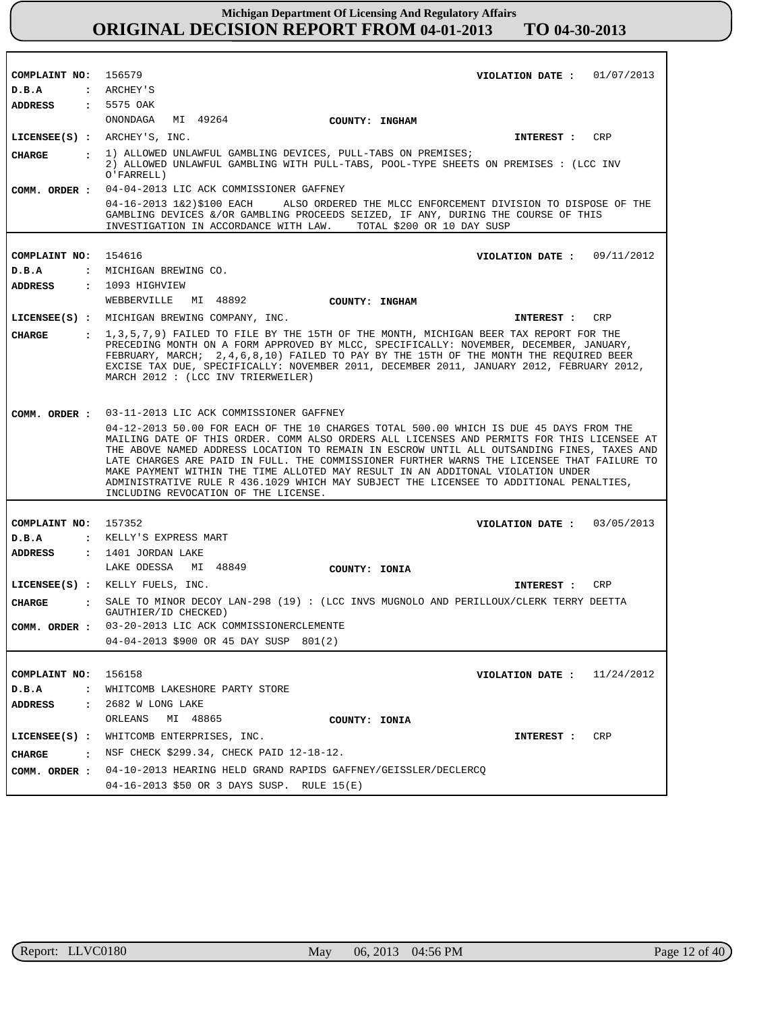| COMPLAINT NO: 156579   |                      | VIOLATION DATE : $01/07/2013$                                                                                                                                                                                                                                                                                                                                                                                                                                                                                                                                                                         |
|------------------------|----------------------|-------------------------------------------------------------------------------------------------------------------------------------------------------------------------------------------------------------------------------------------------------------------------------------------------------------------------------------------------------------------------------------------------------------------------------------------------------------------------------------------------------------------------------------------------------------------------------------------------------|
| D.B.A                  |                      | : ARCHEY'S                                                                                                                                                                                                                                                                                                                                                                                                                                                                                                                                                                                            |
| ADDRESS : 5575 OAK     |                      |                                                                                                                                                                                                                                                                                                                                                                                                                                                                                                                                                                                                       |
|                        |                      | MI 49264<br>ONONDAGA<br>COUNTY: INGHAM                                                                                                                                                                                                                                                                                                                                                                                                                                                                                                                                                                |
|                        |                      | LICENSEE $(s)$ : ARCHEY'S, INC.<br>INTEREST : CRP                                                                                                                                                                                                                                                                                                                                                                                                                                                                                                                                                     |
| <b>CHARGE</b>          |                      | : 1) ALLOWED UNLAWFUL GAMBLING DEVICES, PULL-TABS ON PREMISES;<br>2) ALLOWED UNLAWFUL GAMBLING WITH PULL-TABS, POOL-TYPE SHEETS ON PREMISES : (LCC INV<br>O'FARRELL)                                                                                                                                                                                                                                                                                                                                                                                                                                  |
|                        |                      | COMM. ORDER: 04-04-2013 LIC ACK COMMISSIONER GAFFNEY                                                                                                                                                                                                                                                                                                                                                                                                                                                                                                                                                  |
|                        |                      | 04-16-2013 1&2)\$100 EACH ALSO ORDERED THE MLCC ENFORCEMENT DIVISION TO DISPOSE OF THE<br>GAMBLING DEVICES &/OR GAMBLING PROCEEDS SEIZED, IF ANY, DURING THE COURSE OF THIS<br>INVESTIGATION IN ACCORDANCE WITH LAW.<br>TOTAL \$200 OR 10 DAY SUSP                                                                                                                                                                                                                                                                                                                                                    |
|                        |                      |                                                                                                                                                                                                                                                                                                                                                                                                                                                                                                                                                                                                       |
| COMPLAINT NO: 154616   |                      | VIOLATION DATE: $09/11/2012$                                                                                                                                                                                                                                                                                                                                                                                                                                                                                                                                                                          |
| D.B.A                  |                      | : MICHIGAN BREWING CO.                                                                                                                                                                                                                                                                                                                                                                                                                                                                                                                                                                                |
| <b>ADDRESS</b>         |                      | $: 1093$ HIGHVIEW                                                                                                                                                                                                                                                                                                                                                                                                                                                                                                                                                                                     |
|                        |                      | MI 48892<br>WEBBERVILLE<br>COUNTY: INGHAM                                                                                                                                                                                                                                                                                                                                                                                                                                                                                                                                                             |
|                        |                      | LICENSEE(S) : MICHIGAN BREWING COMPANY, INC.<br>INTEREST : CRP                                                                                                                                                                                                                                                                                                                                                                                                                                                                                                                                        |
| CHARGE                 |                      | 1,3,5,7,9) FAILED TO FILE BY THE 15TH OF THE MONTH, MICHIGAN BEER TAX REPORT FOR THE<br>PRECEDING MONTH ON A FORM APPROVED BY MLCC, SPECIFICALLY: NOVEMBER, DECEMBER, JANUARY,<br>FEBRUARY, MARCH; 2,4,6,8,10) FAILED TO PAY BY THE 15TH OF THE MONTH THE REQUIRED BEER<br>EXCISE TAX DUE, SPECIFICALLY: NOVEMBER 2011, DECEMBER 2011, JANUARY 2012, FEBRUARY 2012,<br>MARCH 2012 : (LCC INV TRIERWEILER)                                                                                                                                                                                             |
|                        |                      | COMM. ORDER : 03-11-2013 LIC ACK COMMISSIONER GAFFNEY                                                                                                                                                                                                                                                                                                                                                                                                                                                                                                                                                 |
|                        |                      | 04-12-2013 50.00 FOR EACH OF THE 10 CHARGES TOTAL 500.00 WHICH IS DUE 45 DAYS FROM THE<br>MAILING DATE OF THIS ORDER. COMM ALSO ORDERS ALL LICENSES AND PERMITS FOR THIS LICENSEE AT<br>THE ABOVE NAMED ADDRESS LOCATION TO REMAIN IN ESCROW UNTIL ALL OUTSANDING FINES, TAXES AND<br>LATE CHARGES ARE PAID IN FULL. THE COMMISSIONER FURTHER WARNS THE LICENSEE THAT FAILURE TO<br>MAKE PAYMENT WITHIN THE TIME ALLOTED MAY RESULT IN AN ADDITONAL VIOLATION UNDER<br>ADMINISTRATIVE RULE R 436.1029 WHICH MAY SUBJECT THE LICENSEE TO ADDITIONAL PENALTIES,<br>INCLUDING REVOCATION OF THE LICENSE. |
|                        |                      |                                                                                                                                                                                                                                                                                                                                                                                                                                                                                                                                                                                                       |
| COMPLAINT NO: 157352   |                      | VIOLATION DATE: $03/05/2013$                                                                                                                                                                                                                                                                                                                                                                                                                                                                                                                                                                          |
| D.B.A                  |                      | : KELLY'S EXPRESS MART                                                                                                                                                                                                                                                                                                                                                                                                                                                                                                                                                                                |
| <b>ADDRESS</b>         |                      | : 1401 JORDAN LAKE                                                                                                                                                                                                                                                                                                                                                                                                                                                                                                                                                                                    |
|                        |                      | LAKE ODESSA MI 48849<br>COUNTY: IONIA                                                                                                                                                                                                                                                                                                                                                                                                                                                                                                                                                                 |
|                        |                      | LICENSEE(S) : KELLY FUELS, INC.<br>CRP<br>INTEREST :                                                                                                                                                                                                                                                                                                                                                                                                                                                                                                                                                  |
| <b>CHARGE</b>          |                      | . SALE TO MINOR DECOY LAN-298 (19) : (LCC INVS MUGNOLO AND PERILLOUX/CLERK TERRY DEETTA                                                                                                                                                                                                                                                                                                                                                                                                                                                                                                               |
| COMM. ORDER :          |                      | GAUTHIER/ID CHECKED)<br>03-20-2013 LIC ACK COMMISSIONERCLEMENTE                                                                                                                                                                                                                                                                                                                                                                                                                                                                                                                                       |
|                        |                      | 04-04-2013 \$900 OR 45 DAY SUSP 801(2)                                                                                                                                                                                                                                                                                                                                                                                                                                                                                                                                                                |
|                        |                      |                                                                                                                                                                                                                                                                                                                                                                                                                                                                                                                                                                                                       |
| COMPLAINT NO:<br>D.B.A | $\mathbf{r}$         | 156158<br>VIOLATION DATE : $11/24/2012$<br>WHITCOMB LAKESHORE PARTY STORE                                                                                                                                                                                                                                                                                                                                                                                                                                                                                                                             |
| ADDRESS                | $\ddot{\phantom{a}}$ | 2682 W LONG LAKE                                                                                                                                                                                                                                                                                                                                                                                                                                                                                                                                                                                      |
|                        |                      | ORLEANS<br>MI 48865<br>COUNTY: IONIA                                                                                                                                                                                                                                                                                                                                                                                                                                                                                                                                                                  |
|                        |                      | LICENSEE(S) : WHITCOMB ENTERPRISES, INC.<br>CRP<br><b>INTEREST :</b>                                                                                                                                                                                                                                                                                                                                                                                                                                                                                                                                  |
|                        |                      | : NSF CHECK \$299.34, CHECK PAID 12-18-12.                                                                                                                                                                                                                                                                                                                                                                                                                                                                                                                                                            |
| CHARGE                 |                      |                                                                                                                                                                                                                                                                                                                                                                                                                                                                                                                                                                                                       |
|                        |                      | COMM. ORDER : 04-10-2013 HEARING HELD GRAND RAPIDS GAFFNEY/GEISSLER/DECLERCQ<br>04-16-2013 \$50 OR 3 DAYS SUSP. RULE 15(E)                                                                                                                                                                                                                                                                                                                                                                                                                                                                            |

r

٦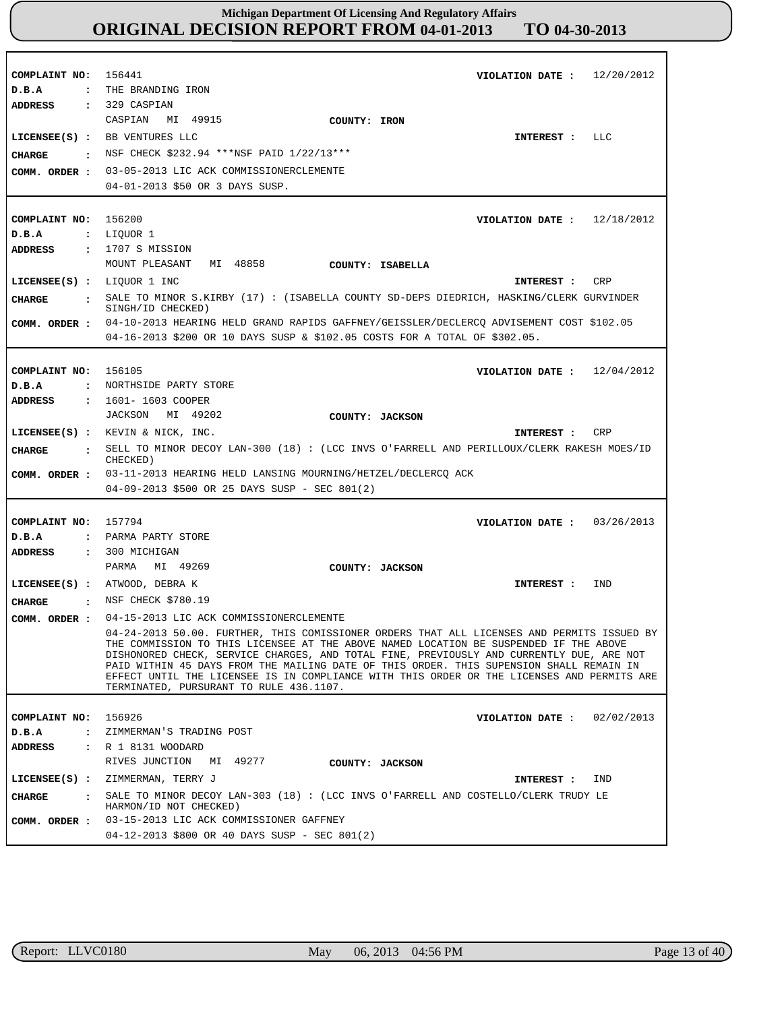| COMPLAINT NO:<br>D.B.A<br>$\ddot{\phantom{a}}$ | 12/20/2012<br>156441<br>VIOLATION DATE :<br>THE BRANDING IRON                                                                                                                                                                                                                                                                                                                                                                                                                                                       |
|------------------------------------------------|---------------------------------------------------------------------------------------------------------------------------------------------------------------------------------------------------------------------------------------------------------------------------------------------------------------------------------------------------------------------------------------------------------------------------------------------------------------------------------------------------------------------|
| <b>ADDRESS</b>                                 | $: 329$ CASPIAN                                                                                                                                                                                                                                                                                                                                                                                                                                                                                                     |
|                                                | MI 49915<br>CASPIAN<br>COUNTY: IRON                                                                                                                                                                                                                                                                                                                                                                                                                                                                                 |
| $LICENSEE(S)$ :                                | BB VENTURES LLC<br>LLC<br>INTEREST :                                                                                                                                                                                                                                                                                                                                                                                                                                                                                |
| <b>CHARGE</b><br>$\ddot{\phantom{a}}$          | NSF CHECK \$232.94 ***NSF PAID 1/22/13***                                                                                                                                                                                                                                                                                                                                                                                                                                                                           |
| COMM. ORDER :                                  | 03-05-2013 LIC ACK COMMISSIONERCLEMENTE                                                                                                                                                                                                                                                                                                                                                                                                                                                                             |
|                                                | 04-01-2013 \$50 OR 3 DAYS SUSP.                                                                                                                                                                                                                                                                                                                                                                                                                                                                                     |
|                                                |                                                                                                                                                                                                                                                                                                                                                                                                                                                                                                                     |
| COMPLAINT NO:                                  | 156200<br>VIOLATION DATE: $12/18/2012$                                                                                                                                                                                                                                                                                                                                                                                                                                                                              |
| D.B.A                                          | : LIQUOR 1                                                                                                                                                                                                                                                                                                                                                                                                                                                                                                          |
| <b>ADDRESS</b><br>$\ddot{\phantom{a}}$         | 1707 S MISSION                                                                                                                                                                                                                                                                                                                                                                                                                                                                                                      |
|                                                | MOUNT PLEASANT<br>MI 48858<br>COUNTY: ISABELLA                                                                                                                                                                                                                                                                                                                                                                                                                                                                      |
| LICENSEE(S) : LIQUOR 1 INC                     | CRP<br>INTEREST :                                                                                                                                                                                                                                                                                                                                                                                                                                                                                                   |
| <b>CIIARGE</b><br>$\ddot{\phantom{a}}$         | SALE TO MINOR S.KIRBY (17) : (ISABELLA COUNTY SD-DEPS DIEDRICH, HASKING/CLERK GURVINDER<br>SINGH/ID CHECKED)                                                                                                                                                                                                                                                                                                                                                                                                        |
| COMM. ORDER :                                  | 04-10-2013 HEARING HELD GRAND RAPIDS GAFFNEY/GEISSLER/DECLERCQ ADVISEMENT COST \$102.05                                                                                                                                                                                                                                                                                                                                                                                                                             |
|                                                | 04-16-2013 \$200 OR 10 DAYS SUSP & \$102.05 COSTS FOR A TOTAL OF \$302.05.                                                                                                                                                                                                                                                                                                                                                                                                                                          |
|                                                |                                                                                                                                                                                                                                                                                                                                                                                                                                                                                                                     |
| COMPLAINT NO:                                  | 156105<br>12/04/2012<br>VIOLATION DATE :                                                                                                                                                                                                                                                                                                                                                                                                                                                                            |
| D.B.A<br>$\ddot{\cdot}$                        | NORTHSIDE PARTY STORE                                                                                                                                                                                                                                                                                                                                                                                                                                                                                               |
| ADDRESS<br>$\ddot{\phantom{a}}$                | 1601- 1603 COOPER                                                                                                                                                                                                                                                                                                                                                                                                                                                                                                   |
|                                                | JACKSON<br>MI 49202<br>COUNTY: JACKSON                                                                                                                                                                                                                                                                                                                                                                                                                                                                              |
|                                                | LICENSEE(S) : KEVIN & NICK, INC.<br><b>CRP</b><br>INTEREST :                                                                                                                                                                                                                                                                                                                                                                                                                                                        |
| CHARGE<br>$\ddot{\phantom{a}}$                 | SELL TO MINOR DECOY LAN-300 (18): (LCC INVS O'FARRELL AND PERILLOUX/CLERK RAKESH MOES/ID                                                                                                                                                                                                                                                                                                                                                                                                                            |
|                                                | CHECKED)                                                                                                                                                                                                                                                                                                                                                                                                                                                                                                            |
| COMM. ORDER :                                  | 03-11-2013 HEARING HELD LANSING MOURNING/HETZEL/DECLERCQ ACK                                                                                                                                                                                                                                                                                                                                                                                                                                                        |
|                                                | 04-09-2013 \$500 OR 25 DAYS SUSP - SEC 801(2)                                                                                                                                                                                                                                                                                                                                                                                                                                                                       |
|                                                |                                                                                                                                                                                                                                                                                                                                                                                                                                                                                                                     |
| COMPLAINT NO:                                  | 157794<br>03/26/2013<br>VIOLATION DATE :                                                                                                                                                                                                                                                                                                                                                                                                                                                                            |
| D.B.A<br>$\ddot{\phantom{a}}$                  | PARMA PARTY STORE                                                                                                                                                                                                                                                                                                                                                                                                                                                                                                   |
| <b>ADDRESS</b><br>$\ddot{\phantom{a}}$         | 300 MICHIGAN                                                                                                                                                                                                                                                                                                                                                                                                                                                                                                        |
|                                                | MI 49269<br>PARMA<br>COUNTY: JACKSON                                                                                                                                                                                                                                                                                                                                                                                                                                                                                |
| $LICENSEE(S)$ :                                | ATWOOD, DEBRA K<br>IND<br>INTEREST :                                                                                                                                                                                                                                                                                                                                                                                                                                                                                |
| CHARGE<br>$\cdot$                              | NSF CHECK \$780.19                                                                                                                                                                                                                                                                                                                                                                                                                                                                                                  |
| COMM. ORDER :                                  | 04-15-2013 LIC ACK COMMISSIONERCLEMENTE                                                                                                                                                                                                                                                                                                                                                                                                                                                                             |
|                                                | 04-24-2013 50.00. FURTHER, THIS COMISSIONER ORDERS THAT ALL LICENSES AND PERMITS ISSUED BY<br>THE COMMISSION TO THIS LICENSEE AT THE ABOVE NAMED LOCATION BE SUSPENDED IF THE ABOVE<br>DISHONORED CHECK, SERVICE CHARGES, AND TOTAL FINE, PREVIOUSLY AND CURRENTLY DUE, ARE NOT<br>PAID WITHIN 45 DAYS FROM THE MAILING DATE OF THIS ORDER. THIS SUPENSION SHALL REMAIN IN<br>EFFECT UNTIL THE LICENSEE IS IN COMPLIANCE WITH THIS ORDER OR THE LICENSES AND PERMITS ARE<br>TERMINATED, PURSURANT TO RULE 436.1107. |
|                                                |                                                                                                                                                                                                                                                                                                                                                                                                                                                                                                                     |
| COMPLAINT NO: 156926                           | VIOLATION DATE: $02/02/2013$                                                                                                                                                                                                                                                                                                                                                                                                                                                                                        |
| D.B.A                                          | : ZIMMERMAN'S TRADING POST                                                                                                                                                                                                                                                                                                                                                                                                                                                                                          |
| <b>ADDRESS</b>                                 | : R 1 8131 WOODARD                                                                                                                                                                                                                                                                                                                                                                                                                                                                                                  |
|                                                | RIVES JUNCTION MI 49277<br>COUNTY: JACKSON                                                                                                                                                                                                                                                                                                                                                                                                                                                                          |
|                                                | LICENSEE(S) : ZIMMERMAN, TERRY J<br>IND<br>INTEREST :                                                                                                                                                                                                                                                                                                                                                                                                                                                               |
| CHARGE                                         | : SALE TO MINOR DECOY LAN-303 (18) : (LCC INVS O'FARRELL AND COSTELLO/CLERK TRUDY LE<br>HARMON/ID NOT CHECKED)                                                                                                                                                                                                                                                                                                                                                                                                      |
| COMM. ORDER :                                  | 03-15-2013 LIC ACK COMMISSIONER GAFFNEY                                                                                                                                                                                                                                                                                                                                                                                                                                                                             |

٦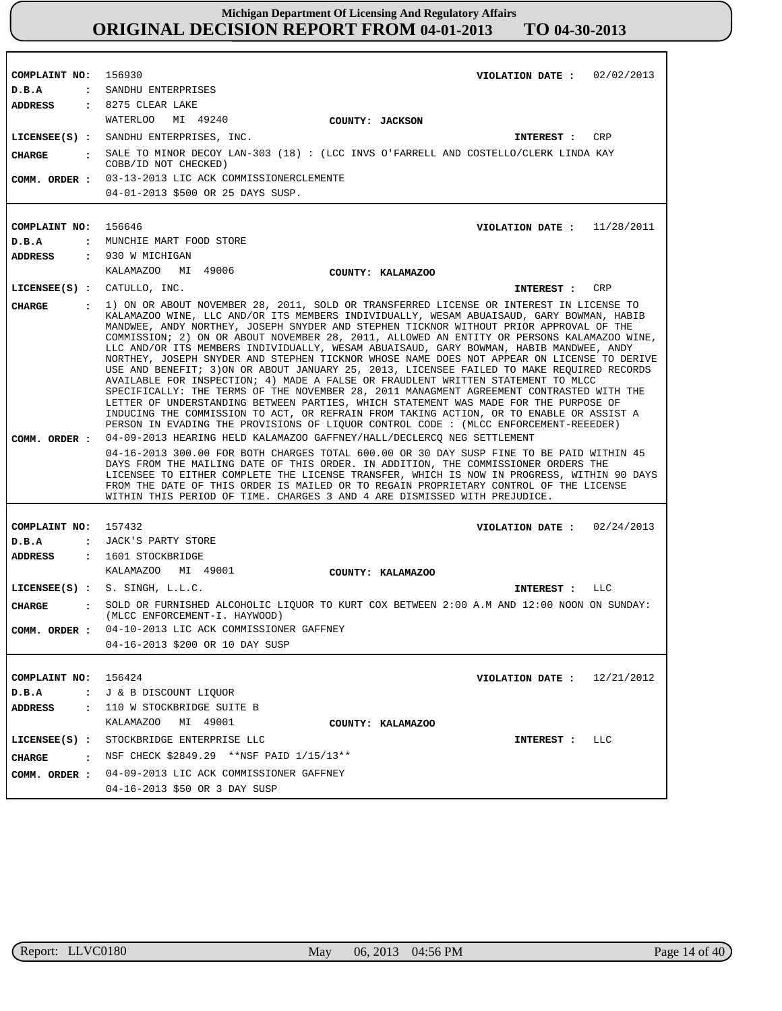| COMPLAINT NO: 156930                  | VIOLATION DATE: $02/02/2013$                                                                                                                                                                                                                                                                                                                                                                                                                                                                                                                                                                                                                                                                                                                                                                                                                                                                                                                                                                                                                                                                                                 |
|---------------------------------------|------------------------------------------------------------------------------------------------------------------------------------------------------------------------------------------------------------------------------------------------------------------------------------------------------------------------------------------------------------------------------------------------------------------------------------------------------------------------------------------------------------------------------------------------------------------------------------------------------------------------------------------------------------------------------------------------------------------------------------------------------------------------------------------------------------------------------------------------------------------------------------------------------------------------------------------------------------------------------------------------------------------------------------------------------------------------------------------------------------------------------|
| D.B.A                                 | : SANDHU ENTERPRISES                                                                                                                                                                                                                                                                                                                                                                                                                                                                                                                                                                                                                                                                                                                                                                                                                                                                                                                                                                                                                                                                                                         |
|                                       | ADDRESS : 8275 CLEAR LAKE                                                                                                                                                                                                                                                                                                                                                                                                                                                                                                                                                                                                                                                                                                                                                                                                                                                                                                                                                                                                                                                                                                    |
|                                       | WATERLOO<br>MI 49240<br>COUNTY: JACKSON                                                                                                                                                                                                                                                                                                                                                                                                                                                                                                                                                                                                                                                                                                                                                                                                                                                                                                                                                                                                                                                                                      |
|                                       | CRP<br>LICENSEE(S) : SANDHU ENTERPRISES, INC.<br><b>INTEREST :</b>                                                                                                                                                                                                                                                                                                                                                                                                                                                                                                                                                                                                                                                                                                                                                                                                                                                                                                                                                                                                                                                           |
| <b>CHARGE</b><br>$\sim$ $\sim$ $\sim$ | SALE TO MINOR DECOY LAN-303 (18) : (LCC INVS O'FARRELL AND COSTELLO/CLERK LINDA KAY                                                                                                                                                                                                                                                                                                                                                                                                                                                                                                                                                                                                                                                                                                                                                                                                                                                                                                                                                                                                                                          |
|                                       | COBB/ID NOT CHECKED)                                                                                                                                                                                                                                                                                                                                                                                                                                                                                                                                                                                                                                                                                                                                                                                                                                                                                                                                                                                                                                                                                                         |
| COMM. ORDER :                         | 03-13-2013 LIC ACK COMMISSIONERCLEMENTE                                                                                                                                                                                                                                                                                                                                                                                                                                                                                                                                                                                                                                                                                                                                                                                                                                                                                                                                                                                                                                                                                      |
|                                       | 04-01-2013 \$500 OR 25 DAYS SUSP.                                                                                                                                                                                                                                                                                                                                                                                                                                                                                                                                                                                                                                                                                                                                                                                                                                                                                                                                                                                                                                                                                            |
|                                       |                                                                                                                                                                                                                                                                                                                                                                                                                                                                                                                                                                                                                                                                                                                                                                                                                                                                                                                                                                                                                                                                                                                              |
| COMPLAINT NO:                         | 156646<br>VIOLATION DATE: $11/28/2011$                                                                                                                                                                                                                                                                                                                                                                                                                                                                                                                                                                                                                                                                                                                                                                                                                                                                                                                                                                                                                                                                                       |
| D.B.A                                 | : MUNCHIE MART FOOD STORE                                                                                                                                                                                                                                                                                                                                                                                                                                                                                                                                                                                                                                                                                                                                                                                                                                                                                                                                                                                                                                                                                                    |
| <b>ADDRESS</b>                        | : 930 W MICHIGAN                                                                                                                                                                                                                                                                                                                                                                                                                                                                                                                                                                                                                                                                                                                                                                                                                                                                                                                                                                                                                                                                                                             |
|                                       | KALAMAZOO MI 49006<br>COUNTY: KALAMAZOO                                                                                                                                                                                                                                                                                                                                                                                                                                                                                                                                                                                                                                                                                                                                                                                                                                                                                                                                                                                                                                                                                      |
| LICENSEE(S) : CATULLO, INC.           | CRP<br><b>INTEREST :</b>                                                                                                                                                                                                                                                                                                                                                                                                                                                                                                                                                                                                                                                                                                                                                                                                                                                                                                                                                                                                                                                                                                     |
| <b>CHARGE</b>                         | 1) ON OR ABOUT NOVEMBER 28, 2011, SOLD OR TRANSFERRED LICENSE OR INTEREST IN LICENSE TO<br>KALAMAZOO WINE, LLC AND/OR ITS MEMBERS INDIVIDUALLY, WESAM ABUAISAUD, GARY BOWMAN, HABIB<br>MANDWEE, ANDY NORTHEY, JOSEPH SNYDER AND STEPHEN TICKNOR WITHOUT PRIOR APPROVAL OF THE<br>COMMISSION; 2) ON OR ABOUT NOVEMBER 28, 2011, ALLOWED AN ENTITY OR PERSONS KALAMAZOO WINE,<br>LLC AND/OR ITS MEMBERS INDIVIDUALLY, WESAM ABUAISAUD, GARY BOWMAN, HABIB MANDWEE, ANDY<br>NORTHEY, JOSEPH SNYDER AND STEPHEN TICKNOR WHOSE NAME DOES NOT APPEAR ON LICENSE TO DERIVE<br>USE AND BENEFIT; 3) ON OR ABOUT JANUARY 25, 2013, LICENSEE FAILED TO MAKE REQUIRED RECORDS<br>AVAILABLE FOR INSPECTION; 4) MADE A FALSE OR FRAUDLENT WRITTEN STATEMENT TO MLCC<br>SPECIFICALLY: THE TERMS OF THE NOVEMBER 28, 2011 MANAGMENT AGREEMENT CONTRASTED WITH THE<br>LETTER OF UNDERSTANDING BETWEEN PARTIES, WHICH STATEMENT WAS MADE FOR THE PURPOSE OF<br>INDUCING THE COMMISSION TO ACT, OR REFRAIN FROM TAKING ACTION, OR TO ENABLE OR ASSIST A<br>PERSON IN EVADING THE PROVISIONS OF LIQUOR CONTROL CODE : (MLCC ENFORCEMENT-REEEDER) |
| COMM. ORDER :                         | 04-09-2013 HEARING HELD KALAMAZOO GAFFNEY/HALL/DECLERCQ NEG SETTLEMENT                                                                                                                                                                                                                                                                                                                                                                                                                                                                                                                                                                                                                                                                                                                                                                                                                                                                                                                                                                                                                                                       |
|                                       | 04-16-2013 300.00 FOR BOTH CHARGES TOTAL 600.00 OR 30 DAY SUSP FINE TO BE PAID WITHIN 45<br>DAYS FROM THE MAILING DATE OF THIS ORDER. IN ADDITION, THE COMMISSIONER ORDERS THE<br>LICENSEE TO EITHER COMPLETE THE LICENSE TRANSFER, WHICH IS NOW IN PROGRESS, WITHIN 90 DAYS<br>FROM THE DATE OF THIS ORDER IS MAILED OR TO REGAIN PROPRIETARY CONTROL OF THE LICENSE<br>WITHIN THIS PERIOD OF TIME. CHARGES 3 AND 4 ARE DISMISSED WITH PREJUDICE.                                                                                                                                                                                                                                                                                                                                                                                                                                                                                                                                                                                                                                                                           |
|                                       |                                                                                                                                                                                                                                                                                                                                                                                                                                                                                                                                                                                                                                                                                                                                                                                                                                                                                                                                                                                                                                                                                                                              |
| COMPLAINT NO: 157432                  | VIOLATION DATE : $02/24/2013$                                                                                                                                                                                                                                                                                                                                                                                                                                                                                                                                                                                                                                                                                                                                                                                                                                                                                                                                                                                                                                                                                                |
| D.B.A                                 | : JACK'S PARTY STORE                                                                                                                                                                                                                                                                                                                                                                                                                                                                                                                                                                                                                                                                                                                                                                                                                                                                                                                                                                                                                                                                                                         |
| ADDRESS                               | : 1601 STOCKBRIDGE                                                                                                                                                                                                                                                                                                                                                                                                                                                                                                                                                                                                                                                                                                                                                                                                                                                                                                                                                                                                                                                                                                           |
|                                       | KALAMAZOO MI 49001<br>COUNTY: KALAMAZOO                                                                                                                                                                                                                                                                                                                                                                                                                                                                                                                                                                                                                                                                                                                                                                                                                                                                                                                                                                                                                                                                                      |
|                                       | LICENSEE $(s)$ : S. SINGH, L.L.C.<br>LLC<br>INTEREST :                                                                                                                                                                                                                                                                                                                                                                                                                                                                                                                                                                                                                                                                                                                                                                                                                                                                                                                                                                                                                                                                       |
| <b>CHARGE</b>                         | : SOLD OR FURNISHED ALCOHOLIC LIQUOR TO KURT COX BETWEEN 2:00 A.M AND 12:00 NOON ON SUNDAY:<br>(MLCC ENFORCEMENT-I. HAYWOOD)                                                                                                                                                                                                                                                                                                                                                                                                                                                                                                                                                                                                                                                                                                                                                                                                                                                                                                                                                                                                 |
|                                       | COMM. ORDER : 04-10-2013 LIC ACK COMMISSIONER GAFFNEY                                                                                                                                                                                                                                                                                                                                                                                                                                                                                                                                                                                                                                                                                                                                                                                                                                                                                                                                                                                                                                                                        |
|                                       | 04-16-2013 \$200 OR 10 DAY SUSP                                                                                                                                                                                                                                                                                                                                                                                                                                                                                                                                                                                                                                                                                                                                                                                                                                                                                                                                                                                                                                                                                              |
|                                       |                                                                                                                                                                                                                                                                                                                                                                                                                                                                                                                                                                                                                                                                                                                                                                                                                                                                                                                                                                                                                                                                                                                              |
| COMPLAINT NO: 156424                  | VIOLATION DATE: $12/21/2012$                                                                                                                                                                                                                                                                                                                                                                                                                                                                                                                                                                                                                                                                                                                                                                                                                                                                                                                                                                                                                                                                                                 |
| D.B.A                                 | : J & B DISCOUNT LIQUOR                                                                                                                                                                                                                                                                                                                                                                                                                                                                                                                                                                                                                                                                                                                                                                                                                                                                                                                                                                                                                                                                                                      |
| ADDRESS                               | : 110 W STOCKBRIDGE SUITE B                                                                                                                                                                                                                                                                                                                                                                                                                                                                                                                                                                                                                                                                                                                                                                                                                                                                                                                                                                                                                                                                                                  |
|                                       | KALAMAZOO MI 49001<br>COUNTY: KALAMAZOO                                                                                                                                                                                                                                                                                                                                                                                                                                                                                                                                                                                                                                                                                                                                                                                                                                                                                                                                                                                                                                                                                      |
|                                       | LICENSEE(S) : STOCKBRIDGE ENTERPRISE LLC<br>INTEREST : LLC                                                                                                                                                                                                                                                                                                                                                                                                                                                                                                                                                                                                                                                                                                                                                                                                                                                                                                                                                                                                                                                                   |
| CHARGE                                | $:$ NSF CHECK \$2849.29 **NSF PAID 1/15/13**                                                                                                                                                                                                                                                                                                                                                                                                                                                                                                                                                                                                                                                                                                                                                                                                                                                                                                                                                                                                                                                                                 |
|                                       | COMM. ORDER : 04-09-2013 LIC ACK COMMISSIONER GAFFNEY                                                                                                                                                                                                                                                                                                                                                                                                                                                                                                                                                                                                                                                                                                                                                                                                                                                                                                                                                                                                                                                                        |
|                                       | 04-16-2013 \$50 OR 3 DAY SUSP                                                                                                                                                                                                                                                                                                                                                                                                                                                                                                                                                                                                                                                                                                                                                                                                                                                                                                                                                                                                                                                                                                |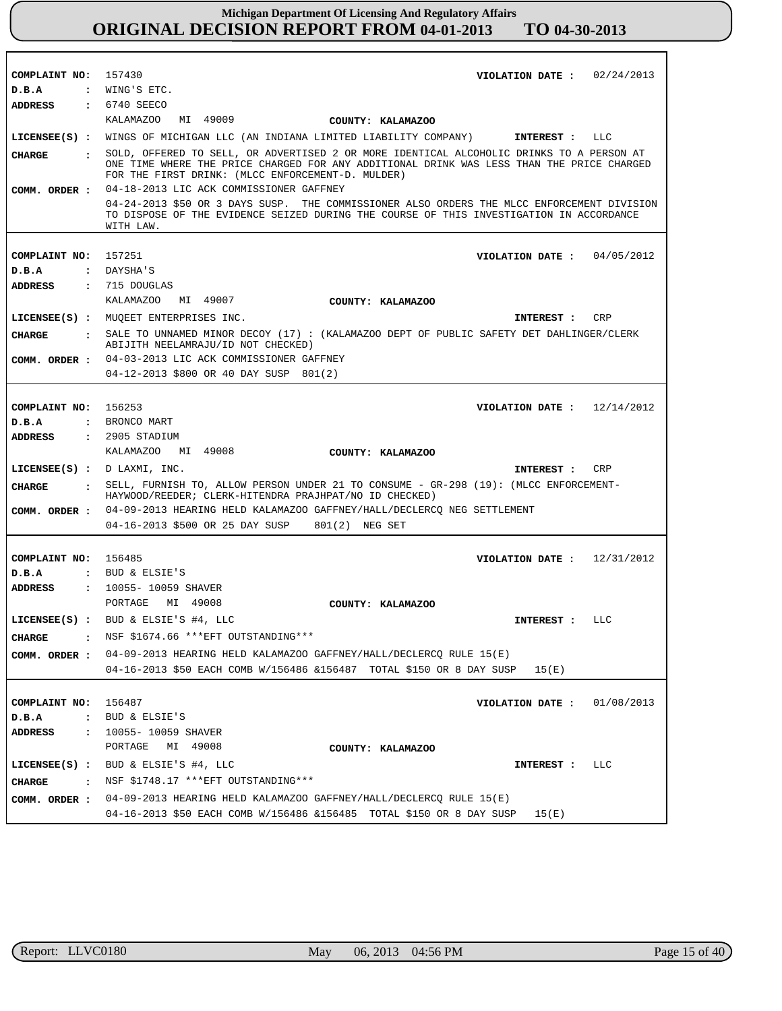| COMPLAINT NO:                          | 157430<br>VIOLATION DATE: $02/24/2013$                                                                                                                                                                                                     |
|----------------------------------------|--------------------------------------------------------------------------------------------------------------------------------------------------------------------------------------------------------------------------------------------|
| D.B.A                                  | $:$ WING'S ETC.                                                                                                                                                                                                                            |
| ADDRESS                                | : 6740 SEECO                                                                                                                                                                                                                               |
|                                        | MI 49009<br>KALAMAZOO<br>COUNTY: KALAMAZOO                                                                                                                                                                                                 |
|                                        | LICENSEE(S) : WINGS OF MICHIGAN LLC (AN INDIANA LIMITED LIABILITY COMPANY)<br>LLC<br>INTEREST:                                                                                                                                             |
| CHARGE<br>$\mathbf{r}$                 | SOLD, OFFERED TO SELL, OR ADVERTISED 2 OR MORE IDENTICAL ALCOHOLIC DRINKS TO A PERSON AT<br>ONE TIME WHERE THE PRICE CHARGED FOR ANY ADDITIONAL DRINK WAS LESS THAN THE PRICE CHARGED<br>FOR THE FIRST DRINK: (MLCC ENFORCEMENT-D. MULDER) |
| COMM. ORDER :                          | 04-18-2013 LIC ACK COMMISSIONER GAFFNEY                                                                                                                                                                                                    |
|                                        | 04-24-2013 \$50 OR 3 DAYS SUSP. THE COMMISSIONER ALSO ORDERS THE MLCC ENFORCEMENT DIVISION<br>TO DISPOSE OF THE EVIDENCE SEIZED DURING THE COURSE OF THIS INVESTIGATION IN ACCORDANCE<br>WITH LAW.                                         |
| COMPLAINT NO:                          | 157251                                                                                                                                                                                                                                     |
|                                        | VIOLATION DATE: $04/05/2012$                                                                                                                                                                                                               |
| D.B.A                                  | : DAYSHA'S                                                                                                                                                                                                                                 |
| <b>ADDRESS</b>                         | $: 715$ DOUGLAS                                                                                                                                                                                                                            |
|                                        | MI 49007<br>KALAMAZOO<br>COUNTY: KALAMAZOO                                                                                                                                                                                                 |
|                                        | LICENSEE(S) : MUOEET ENTERPRISES INC.<br>CRP<br>INTEREST :                                                                                                                                                                                 |
| <b>CHARGE</b><br>$\mathbf{r}$          | SALE TO UNNAMED MINOR DECOY (17): (KALAMAZOO DEPT OF PUBLIC SAFETY DET DAHLINGER/CLERK<br>ABIJITH NEELAMRAJU/ID NOT CHECKED)                                                                                                               |
| COMM. ORDER :                          | 04-03-2013 LIC ACK COMMISSIONER GAFFNEY                                                                                                                                                                                                    |
|                                        | 04-12-2013 \$800 OR 40 DAY SUSP 801(2)                                                                                                                                                                                                     |
|                                        |                                                                                                                                                                                                                                            |
| COMPLAINT NO:                          | 156253<br>VIOLATION DATE: $12/14/2012$                                                                                                                                                                                                     |
| D.B.A                                  | : BRONCO MART                                                                                                                                                                                                                              |
| <b>ADDRESS</b>                         | $: 2905$ STADIUM                                                                                                                                                                                                                           |
|                                        | KALAMAZOO MI 49008<br>COUNTY: KALAMAZOO                                                                                                                                                                                                    |
|                                        |                                                                                                                                                                                                                                            |
|                                        | LICENSEE(S) : $D$ LAXMI, INC.<br>CRP<br>INTEREST :                                                                                                                                                                                         |
| CIIARGE<br>$\ddot{\mathbf{r}}$         | SELL, FURNISH TO, ALLOW PERSON UNDER 21 TO CONSUME - GR-298 (19): (MLCC ENFORCEMENT-<br>HAYWOOD/REEDER; CLERK-HITENDRA PRAJHPAT/NO ID CHECKED)                                                                                             |
| COMM. ORDER :                          | 04-09-2013 HEARING HELD KALAMAZOO GAFFNEY/HALL/DECLERCQ NEG SETTLEMENT                                                                                                                                                                     |
|                                        | 04-16-2013 \$500 OR 25 DAY SUSP 801(2) NEG SET                                                                                                                                                                                             |
|                                        |                                                                                                                                                                                                                                            |
| COMPLAINT NO: 156485                   | VIOLATION DATE: $12/31/2012$                                                                                                                                                                                                               |
| D.B.A                                  | : BUD & ELSIE'S                                                                                                                                                                                                                            |
| <b>ADDRESS</b>                         | : 10055- 10059 SHAVER                                                                                                                                                                                                                      |
|                                        | PORTAGE<br>MI 49008<br>COUNTY: KALAMAZOO                                                                                                                                                                                                   |
|                                        | LICENSEE(S) : BUD & ELSIE'S #4, LLC<br>INTEREST : LLC                                                                                                                                                                                      |
|                                        | NSF \$1674.66 ***EFT OUTSTANDING***                                                                                                                                                                                                        |
| <b>CHARGE</b>                          |                                                                                                                                                                                                                                            |
| COMM. ORDER :                          | 04-09-2013 HEARING HELD KALAMAZOO GAFFNEY/HALL/DECLERCQ RULE 15(E)                                                                                                                                                                         |
|                                        | 04-16-2013 \$50 EACH COMB W/156486 &156487 TOTAL \$150 OR 8 DAY SUSP<br>15(E)                                                                                                                                                              |
|                                        |                                                                                                                                                                                                                                            |
| COMPLAINT NO:                          | 156487<br>01/08/2013<br>VIOLATION DATE :                                                                                                                                                                                                   |
| D.B.A                                  | : BUD & ELSIE'S                                                                                                                                                                                                                            |
| <b>ADDRESS</b><br>$\ddot{\phantom{a}}$ | 10055- 10059 SHAVER                                                                                                                                                                                                                        |
|                                        | PORTAGE<br>MI 49008<br>COUNTY: KALAMAZOO                                                                                                                                                                                                   |
| $LICENSEE(S)$ :                        | BUD & ELSIE'S #4, LLC<br>LLC<br>INTEREST :                                                                                                                                                                                                 |
| CHARGE<br>$\ddot{\mathbf{r}}$          | NSF \$1748.17 *** EFT OUTSTANDING***                                                                                                                                                                                                       |
| COMM. ORDER :                          | 04-09-2013 HEARING HELD KALAMAZOO GAFFNEY/HALL/DECLERCQ RULE 15(E)                                                                                                                                                                         |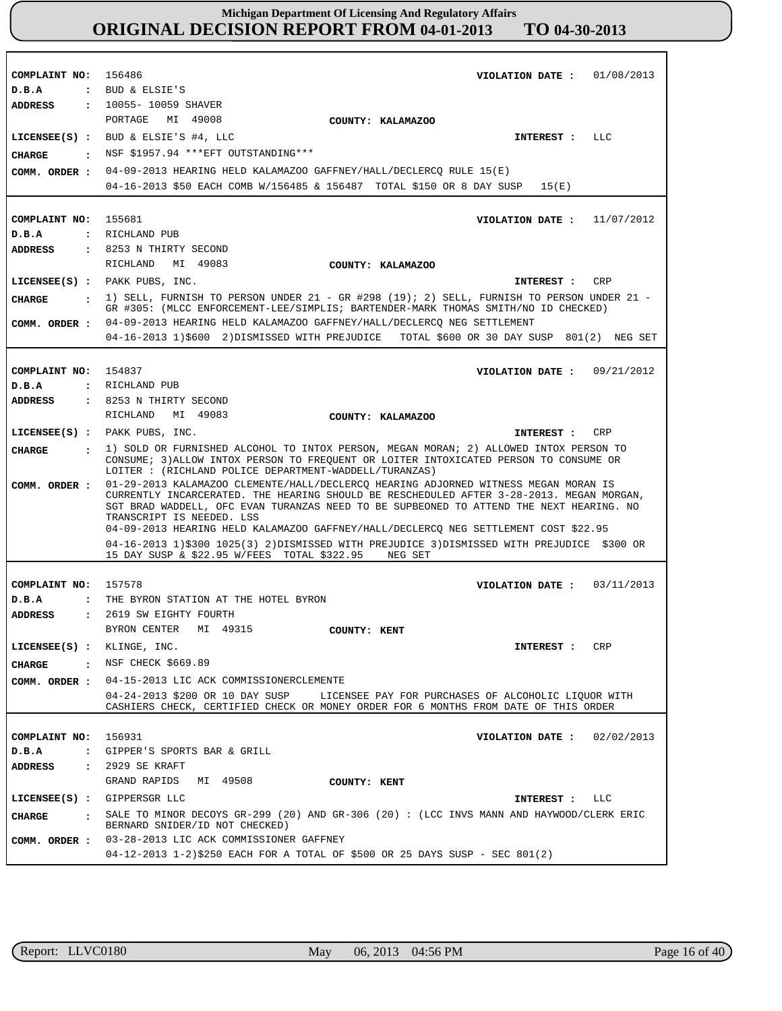**COMPLAINT NO: COMPLAINT NO:** 155681 **COMPLAINT NO: COMPLAINT NO: COMPLAINT NO:** 156931 156486 154837 157578 **VIOLATION DATE : VIOLATION DATE : VIOLATION DATE : VIOLATION DATE : VIOLATION DATE :** 02/02/2013 01/08/2013 11/07/2012 09/21/2012 03/11/2013 **D.B.A : D.B.A : D.B.A : D.B.A : D.B.A :** BUD & ELSIE'S RICHLAND PUB RICHLAND PUB THE BYRON STATION AT THE HOTEL BYRON GIPPER'S SPORTS BAR & GRILL **ADDRESS : ADDRESS : ADDRESS : ADDRESS : ADDRESS :** 10055- 10059 SHAVER 8253 N THIRTY SECOND 8253 N THIRTY SECOND 2619 SW EIGHTY FOURTH 2929 SE KRAFT PORTAGE MI 49008 RICHLAND MI 49083 RICHLAND MI 49083 BYRON CENTER MI 49315 GRAND RAPIDS MI 49508 04-09-2013 HEARING HELD KALAMAZOO GAFFNEY/HALL/DECLERCQ RULE 15(E) 04-16-2013 \$50 EACH COMB W/156485 & 156487 TOTAL \$150 OR 8 DAY SUSP 15(E) 04-09-2013 HEARING HELD KALAMAZOO GAFFNEY/HALL/DECLERCQ NEG SETTLEMENT 04-16-2013 1)\$600 2)DISMISSED WITH PREJUDICE TOTAL \$600 OR 30 DAY SUSP 801(2) NEG SET 01-29-2013 KALAMAZOO CLEMENTE/HALL/DECLERCQ HEARING ADJORNED WITNESS MEGAN MORAN IS CURRENTLY INCARCERATED. THE HEARING SHOULD BE RESCHEDULED AFTER 3-28-2013. MEGAN MORGAN, SGT BRAD WADDELL, OFC EVAN TURANZAS NEED TO BE SUPBEONED TO ATTEND THE NEXT HEARING. NO TRANSCRIPT IS NEEDED. LSS 04-09-2013 HEARING HELD KALAMAZOO GAFFNEY/HALL/DECLERCQ NEG SETTLEMENT COST \$22.95 04-16-2013 1)\$300 1025(3) 2)DISMISSED WITH PREJUDICE 3)DISMISSED WITH PREJUDICE \$300 OR 15 DAY SUSP & \$22.95 W/FEES TOTAL \$322.95 NEG SET 04-15-2013 LIC ACK COMMISSIONERCLEMENTE 04-24-2013 \$200 OR 10 DAY SUSP LICENSEE PAY FOR PURCHASES OF ALCOHOLIC LIOUOR WITH CASHIERS CHECK, CERTIFIED CHECK OR MONEY ORDER FOR 6 MONTHS FROM DATE OF THIS ORDER 03-28-2013 LIC ACK COMMISSIONER GAFFNEY 04-12-2013 1-2)\$250 EACH FOR A TOTAL OF \$500 OR 25 DAYS SUSP - SEC 801(2) **LICENSEE(S) : LICENSEE(S) :** PAKK PUBS, INC. **LICENSEE(S) :** PAKK PUBS, INC. **LICENSEE(S) :** KLINGE, INC. **LICENSEE(S) :** GIPPERSGR LLC BUD & ELSIE'S #4, LLC LLC CR<sub>P</sub> CR<sub>P</sub> CRP LLC **CHARGE : CHARGE : CHARGE : CHARGE : CHARGE :** NSF \$1957.94 \*\*\*EFT OUTSTANDING\*\*\* 1) SELL, FURNISH TO PERSON UNDER 21 - GR #298 (19); 2) SELL, FURNISH TO PERSON UNDER 21 -GR #305: (MLCC ENFORCEMENT-LEE/SIMPLIS; BARTENDER-MARK THOMAS SMITH/NO ID CHECKED) 1) SOLD OR FURNISHED ALCOHOL TO INTOX PERSON, MEGAN MORAN; 2) ALLOWED INTOX PERSON TO CONSUME; 3)ALLOW INTOX PERSON TO FREQUENT OR LOITER INTOXICATED PERSON TO CONSUME OR LOITER : (RICHLAND POLICE DEPARTMENT-WADDELL/TURANZAS) : NSF CHECK \$669.89 SALE TO MINOR DECOYS GR-299 (20) AND GR-306 (20) : (LCC INVS MANN AND HAYWOOD/CLERK ERIC BERNARD SNIDER/ID NOT CHECKED) **INTEREST : INTEREST : INTEREST : INTEREST : INTEREST : COMM. ORDER : COMM. ORDER : COMM. ORDER : COMM. ORDER : COMM. ORDER : COUNTY: KALAMAZOO COUNTY: KALAMAZOO COUNTY: KALAMAZOO COUNTY: KENT COUNTY: KENT**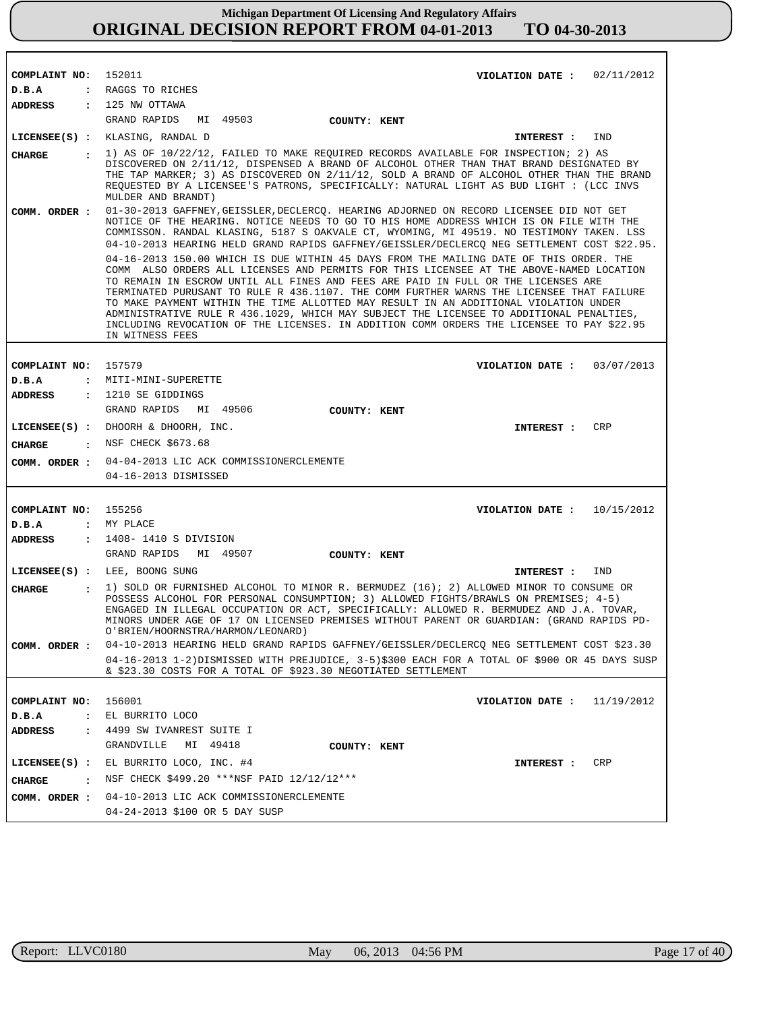| COMPLAINT NO: 152011                   | VIOLATION DATE: $02/11/2012$                                                                                                                                                                                                                                                                                                                                                                                                                                                                                                                                                                                                                                          |
|----------------------------------------|-----------------------------------------------------------------------------------------------------------------------------------------------------------------------------------------------------------------------------------------------------------------------------------------------------------------------------------------------------------------------------------------------------------------------------------------------------------------------------------------------------------------------------------------------------------------------------------------------------------------------------------------------------------------------|
| D.B.A                                  | : RAGGS TO RICHES                                                                                                                                                                                                                                                                                                                                                                                                                                                                                                                                                                                                                                                     |
| ADDRESS : 125 NW OTTAWA                |                                                                                                                                                                                                                                                                                                                                                                                                                                                                                                                                                                                                                                                                       |
|                                        | GRAND RAPIDS MI 49503<br><b>COUNTY: KENT</b>                                                                                                                                                                                                                                                                                                                                                                                                                                                                                                                                                                                                                          |
|                                        | LICENSEE(S) : KLASING, RANDAL D<br>IND<br>INTEREST :                                                                                                                                                                                                                                                                                                                                                                                                                                                                                                                                                                                                                  |
| <b>CHARGE</b><br>$\sim$ $\sim$ $\sim$  | 1) AS OF 10/22/12, FAILED TO MAKE REQUIRED RECORDS AVAILABLE FOR INSPECTION; 2) AS                                                                                                                                                                                                                                                                                                                                                                                                                                                                                                                                                                                    |
|                                        | DISCOVERED ON 2/11/12, DISPENSED A BRAND OF ALCOHOL OTHER THAN THAT BRAND DESIGNATED BY<br>THE TAP MARKER; 3) AS DISCOVERED ON 2/11/12, SOLD A BRAND OF ALCOHOL OTHER THAN THE BRAND<br>REQUESTED BY A LICENSEE'S PATRONS, SPECIFICALLY: NATURAL LIGHT AS BUD LIGHT : (LCC INVS<br>MULDER AND BRANDT)                                                                                                                                                                                                                                                                                                                                                                 |
| COMM. ORDER :                          | 01-30-2013 GAFFNEY, GEISSLER, DECLERCQ. HEARING ADJORNED ON RECORD LICENSEE DID NOT GET<br>NOTICE OF THE HEARING. NOTICE NEEDS TO GO TO HIS HOME ADDRESS WHICH IS ON FILE WITH THE<br>COMMISSON. RANDAL KLASING, 5187 S OAKVALE CT, WYOMING, MI 49519. NO TESTIMONY TAKEN. LSS<br>04-10-2013 HEARING HELD GRAND RAPIDS GAFFNEY/GEISSLER/DECLERCQ NEG SETTLEMENT COST \$22.95.                                                                                                                                                                                                                                                                                         |
|                                        | 04-16-2013 150.00 WHICH IS DUE WITHIN 45 DAYS FROM THE MAILING DATE OF THIS ORDER. THE<br>COMM ALSO ORDERS ALL LICENSES AND PERMITS FOR THIS LICENSEE AT THE ABOVE-NAMED LOCATION<br>TO REMAIN IN ESCROW UNTIL ALL FINES AND FEES ARE PAID IN FULL OR THE LICENSES ARE<br>TERMINATED PURUSANT TO RULE R 436.1107. THE COMM FURTHER WARNS THE LICENSEE THAT FAILURE<br>TO MAKE PAYMENT WITHIN THE TIME ALLOTTED MAY RESULT IN AN ADDITIONAL VIOLATION UNDER<br>ADMINISTRATIVE RULE R 436.1029, WHICH MAY SUBJECT THE LICENSEE TO ADDITIONAL PENALTIES,<br>INCLUDING REVOCATION OF THE LICENSES. IN ADDITION COMM ORDERS THE LICENSEE TO PAY \$22.95<br>IN WITNESS FEES |
|                                        |                                                                                                                                                                                                                                                                                                                                                                                                                                                                                                                                                                                                                                                                       |
| COMPLAINT NO:                          | 157579<br>VIOLATION DATE: $03/07/2013$                                                                                                                                                                                                                                                                                                                                                                                                                                                                                                                                                                                                                                |
| D.B.A                                  | : MITI-MINI-SUPERETTE                                                                                                                                                                                                                                                                                                                                                                                                                                                                                                                                                                                                                                                 |
| ADDRESS                                | : 1210 SE GIDDINGS<br>GRAND RAPIDS MI 49506                                                                                                                                                                                                                                                                                                                                                                                                                                                                                                                                                                                                                           |
|                                        | COUNTY: KENT<br>LICENSEE(S) : DHOORH & DHOORH, INC.<br>CRP                                                                                                                                                                                                                                                                                                                                                                                                                                                                                                                                                                                                            |
|                                        | INTEREST :<br>: NSF CHECK \$673.68                                                                                                                                                                                                                                                                                                                                                                                                                                                                                                                                                                                                                                    |
| CHARGE                                 |                                                                                                                                                                                                                                                                                                                                                                                                                                                                                                                                                                                                                                                                       |
|                                        | COMM. ORDER : 04-04-2013 LIC ACK COMMISSIONERCLEMENTE<br>04-16-2013 DISMISSED                                                                                                                                                                                                                                                                                                                                                                                                                                                                                                                                                                                         |
|                                        |                                                                                                                                                                                                                                                                                                                                                                                                                                                                                                                                                                                                                                                                       |
| COMPLAINT NO:                          | 155256<br>VIOLATION DATE: $10/15/2012$                                                                                                                                                                                                                                                                                                                                                                                                                                                                                                                                                                                                                                |
| D.B.A                                  | : MY PLACE                                                                                                                                                                                                                                                                                                                                                                                                                                                                                                                                                                                                                                                            |
| <b>ADDRESS</b>                         | : 1408-1410 S DIVISION                                                                                                                                                                                                                                                                                                                                                                                                                                                                                                                                                                                                                                                |
|                                        | GRAND RAPIDS<br>MI 49507<br>COUNTY: KENT                                                                                                                                                                                                                                                                                                                                                                                                                                                                                                                                                                                                                              |
|                                        | LICENSEE(S) : LEE, BOONG SUNG<br>INTEREST :<br>IND                                                                                                                                                                                                                                                                                                                                                                                                                                                                                                                                                                                                                    |
| <b>CHARGE</b><br>$\ddot{\phantom{a}}$  | 1) SOLD OR FURNISHED ALCOHOL TO MINOR R. BERMUDEZ (16); 2) ALLOWED MINOR TO CONSUME OR<br>POSSESS ALCOHOL FOR PERSONAL CONSUMPTION; 3) ALLOWED FIGHTS/BRAWLS ON PREMISES; 4-5)<br>ENGAGED IN ILLEGAL OCCUPATION OR ACT, SPECIFICALLY: ALLOWED R. BERMUDEZ AND J.A. TOVAR,<br>MINORS UNDER AGE OF 17 ON LICENSED PREMISES WITHOUT PARENT OR GUARDIAN: (GRAND RAPIDS PD-<br>O'BRIEN/HOORNSTRA/HARMON/LEONARD)                                                                                                                                                                                                                                                           |
| COMM. ORDER :                          | 04-10-2013 HEARING HELD GRAND RAPIDS GAFFNEY/GEISSLER/DECLERCQ NEG SETTLEMENT COST \$23.30                                                                                                                                                                                                                                                                                                                                                                                                                                                                                                                                                                            |
|                                        | 04-16-2013 1-2)DISMISSED WITH PREJUDICE, 3-5)\$300 EACH FOR A TOTAL OF \$900 OR 45 DAYS SUSP<br>& \$23.30 COSTS FOR A TOTAL OF \$923.30 NEGOTIATED SETTLEMENT                                                                                                                                                                                                                                                                                                                                                                                                                                                                                                         |
|                                        |                                                                                                                                                                                                                                                                                                                                                                                                                                                                                                                                                                                                                                                                       |
| COMPLAINT NO:                          | 156001<br>VIOLATION DATE :<br>11/19/2012                                                                                                                                                                                                                                                                                                                                                                                                                                                                                                                                                                                                                              |
| D.B.A<br>$\ddot{\phantom{a}}$          | EL BURRITO LOCO                                                                                                                                                                                                                                                                                                                                                                                                                                                                                                                                                                                                                                                       |
| <b>ADDRESS</b><br>$\ddot{\phantom{a}}$ | 4499 SW IVANREST SUITE I<br>MI 49418<br>GRANDVILLE                                                                                                                                                                                                                                                                                                                                                                                                                                                                                                                                                                                                                    |
|                                        | COUNTY: KENT                                                                                                                                                                                                                                                                                                                                                                                                                                                                                                                                                                                                                                                          |
| $LICENSEE(S)$ :                        | EL BURRITO LOCO, INC. #4<br>INTEREST :<br>CRP                                                                                                                                                                                                                                                                                                                                                                                                                                                                                                                                                                                                                         |
| <b>CHARGE</b><br>$\ddot{\cdot}$        | NSF CHECK \$499.20 *** NSF PAID 12/12/12 ***                                                                                                                                                                                                                                                                                                                                                                                                                                                                                                                                                                                                                          |
| COMM. ORDER :                          | 04-10-2013 LIC ACK COMMISSIONERCLEMENTE<br>04-24-2013 \$100 OR 5 DAY SUSP                                                                                                                                                                                                                                                                                                                                                                                                                                                                                                                                                                                             |
|                                        |                                                                                                                                                                                                                                                                                                                                                                                                                                                                                                                                                                                                                                                                       |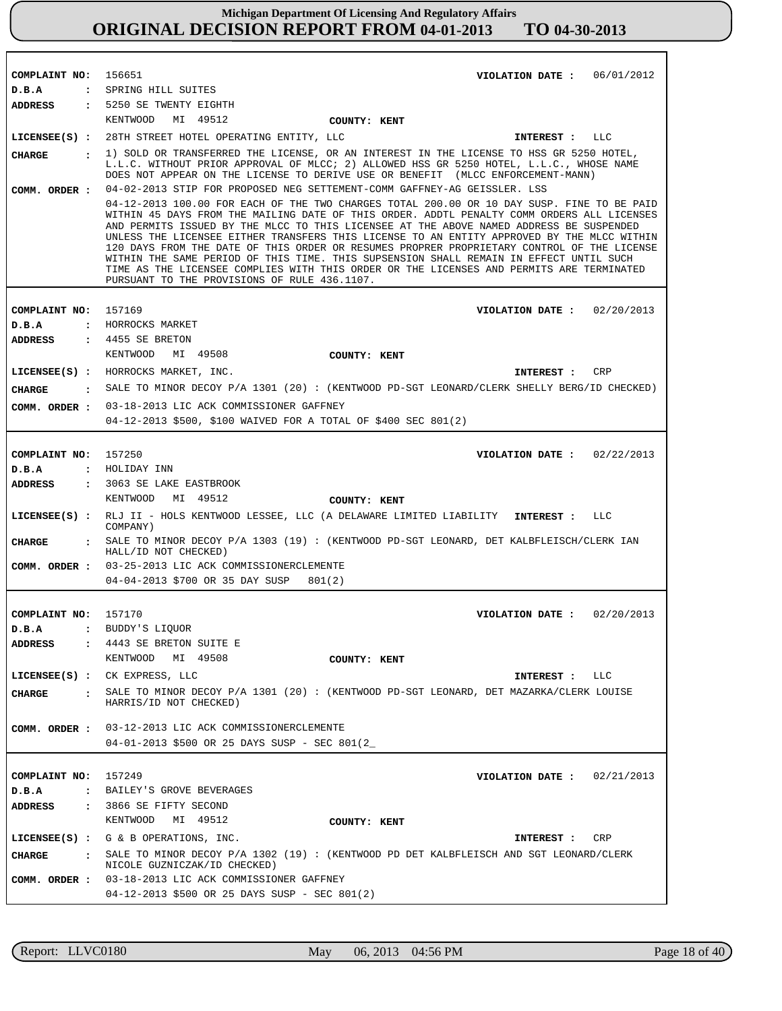| COMPLAINT NO: 156651   | VIOLATION DATE: $06/01/2012$                                                                                                                                                                                                                                                        |
|------------------------|-------------------------------------------------------------------------------------------------------------------------------------------------------------------------------------------------------------------------------------------------------------------------------------|
| D.B.A                  | : SPRING HILL SUITES                                                                                                                                                                                                                                                                |
| ADDRESS                | : 5250 SE TWENTY EIGHTH<br>KENTWOOD MI 49512                                                                                                                                                                                                                                        |
|                        | COUNTY: KENT<br>LICENSEE(S) : 28TH STREET HOTEL OPERATING ENTITY, LLC<br>LLC                                                                                                                                                                                                        |
|                        | INTEREST :                                                                                                                                                                                                                                                                          |
| CHARGE<br>$\mathbf{r}$ | 1) SOLD OR TRANSFERRED THE LICENSE, OR AN INTEREST IN THE LICENSE TO HSS GR 5250 HOTEL,<br>L.L.C. WITHOUT PRIOR APPROVAL OF MLCC; 2) ALLOWED HSS GR 5250 HOTEL, L.L.C., WHOSE NAME                                                                                                  |
|                        | DOES NOT APPEAR ON THE LICENSE TO DERIVE USE OR BENEFIT (MLCC ENFORCEMENT-MANN)                                                                                                                                                                                                     |
| COMM. ORDER :          | 04-02-2013 STIP FOR PROPOSED NEG SETTEMENT-COMM GAFFNEY-AG GEISSLER. LSS                                                                                                                                                                                                            |
|                        | 04-12-2013 100.00 FOR EACH OF THE TWO CHARGES TOTAL 200.00 OR 10 DAY SUSP. FINE TO BE PAID<br>WITHIN 45 DAYS FROM THE MAILING DATE OF THIS ORDER. ADDTL PENALTY COMM ORDERS ALL LICENSES<br>AND PERMITS ISSUED BY THE MLCC TO THIS LICENSEE AT THE ABOVE NAMED ADDRESS BE SUSPENDED |
|                        | UNLESS THE LICENSEE EITHER TRANSFERS THIS LICENSE TO AN ENTITY APPROVED BY THE MLCC WITHIN<br>120 DAYS FROM THE DATE OF THIS ORDER OR RESUMES PROPRER PROPRIETARY CONTROL OF THE LICENSE                                                                                            |
|                        | WITHIN THE SAME PERIOD OF THIS TIME. THIS SUPSENSION SHALL REMAIN IN EFFECT UNTIL SUCH                                                                                                                                                                                              |
|                        | TIME AS THE LICENSEE COMPLIES WITH THIS ORDER OR THE LICENSES AND PERMITS ARE TERMINATED<br>PURSUANT TO THE PROVISIONS OF RULE 436.1107.                                                                                                                                            |
|                        |                                                                                                                                                                                                                                                                                     |
| COMPLAINT NO:          | 157169<br>VIOLATION DATE: $02/20/2013$                                                                                                                                                                                                                                              |
| D.B.A                  | : HORROCKS MARKET                                                                                                                                                                                                                                                                   |
| <b>ADDRESS</b>         | $: 4455$ SE BRETON                                                                                                                                                                                                                                                                  |
|                        | KENTWOOD<br>MI 49508<br>COUNTY: KENT                                                                                                                                                                                                                                                |
|                        | LICENSEE(S) : HORROCKS MARKET, INC.<br>CRP<br>INTEREST :                                                                                                                                                                                                                            |
| <b>CHARGE</b>          | . SALE TO MINOR DECOY P/A 1301 (20): (KENTWOOD PD-SGT LEONARD/CLERK SHELLY BERG/ID CHECKED)                                                                                                                                                                                         |
| COMM. ORDER :          | 03-18-2013 LIC ACK COMMISSIONER GAFFNEY                                                                                                                                                                                                                                             |
|                        | 04-12-2013 \$500, \$100 WAIVED FOR A TOTAL OF \$400 SEC 801(2)                                                                                                                                                                                                                      |
| COMPLAINT NO: 157250   | VIOLATION DATE : $02/22/2013$                                                                                                                                                                                                                                                       |
| D.B.A                  | : HOLIDAY INN                                                                                                                                                                                                                                                                       |
| <b>ADDRESS</b>         | : 3063 SE LAKE EASTBROOK                                                                                                                                                                                                                                                            |
|                        | KENTWOOD<br>MI 49512<br>COUNTY: KENT                                                                                                                                                                                                                                                |
|                        | LICENSEE(S) : RLJ II - HOLS KENTWOOD LESSEE, LLC (A DELAWARE LIMITED LIABILITY INTEREST :<br>LLC<br>COMPANY)                                                                                                                                                                        |
| <b>CHARGE</b>          | : SALE TO MINOR DECOY P/A 1303 (19) : (KENTWOOD PD-SGT LEONARD, DET KALBFLEISCH/CLERK IAN<br>HALL/ID NOT CHECKED)                                                                                                                                                                   |
|                        | COMM. ORDER : 03-25-2013 LIC ACK COMMISSIONERCLEMENTE                                                                                                                                                                                                                               |
|                        | 04-04-2013 \$700 OR 35 DAY SUSP<br>801(2)                                                                                                                                                                                                                                           |
|                        |                                                                                                                                                                                                                                                                                     |
| COMPLAINT NO: 157170   | VIOLATION DATE: $02/20/2013$<br>D.B.A : BUDDY'S LIQUOR                                                                                                                                                                                                                              |
| <b>ADDRESS</b>         | : 4443 SE BRETON SUITE E                                                                                                                                                                                                                                                            |
|                        | KENTWOOD<br>MI 49508<br>COUNTY: KENT                                                                                                                                                                                                                                                |
|                        | LICENSEE(S) : CK EXPRESS, LLC<br>INTEREST : LLC                                                                                                                                                                                                                                     |
| <b>CHARGE</b>          | : SALE TO MINOR DECOY P/A 1301 (20): (KENTWOOD PD-SGT LEONARD, DET MAZARKA/CLERK LOUISE                                                                                                                                                                                             |
|                        | HARRIS/ID NOT CHECKED)                                                                                                                                                                                                                                                              |
| COMM. ORDER :          | 03-12-2013 LIC ACK COMMISSIONERCLEMENTE                                                                                                                                                                                                                                             |
|                        | 04-01-2013 \$500 OR 25 DAYS SUSP - SEC 801(2                                                                                                                                                                                                                                        |
|                        |                                                                                                                                                                                                                                                                                     |
| COMPLAINT NO: 157249   | VIOLATION DATE: $02/21/2013$                                                                                                                                                                                                                                                        |
| D.B.A                  | : BAILEY'S GROVE BEVERAGES                                                                                                                                                                                                                                                          |
| <b>ADDRESS</b>         | : 3866 SE FIFTY SECOND                                                                                                                                                                                                                                                              |
|                        | KENTWOOD<br>MI 49512<br>COUNTY: KENT                                                                                                                                                                                                                                                |
|                        | LICENSEE(S) : $G \& B$ OPERATIONS, INC.<br>CRP<br>INTEREST :                                                                                                                                                                                                                        |
| CHARGE                 | : SALE TO MINOR DECOY P/A 1302 (19) : (KENTWOOD PD DET KALBFLEISCH AND SGT LEONARD/CLERK<br>NICOLE GUZNICZAK/ID CHECKED)                                                                                                                                                            |
|                        | COMM. ORDER : 03-18-2013 LIC ACK COMMISSIONER GAFFNEY                                                                                                                                                                                                                               |
|                        | 04-12-2013 \$500 OR 25 DAYS SUSP - SEC 801(2)                                                                                                                                                                                                                                       |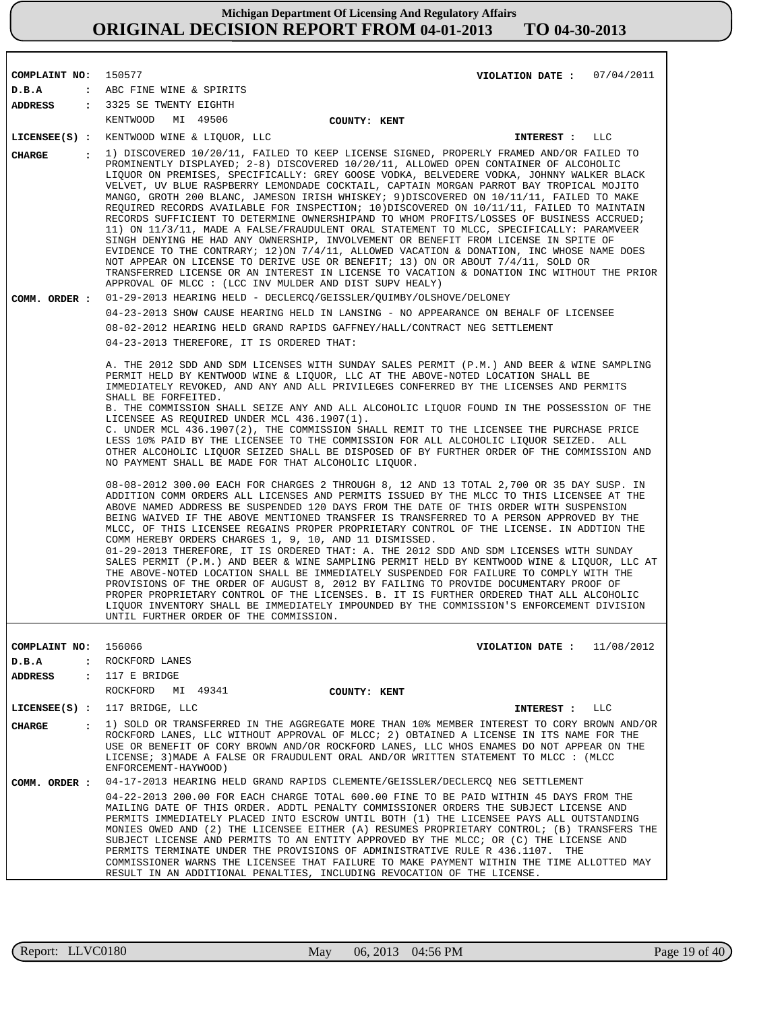| COMPLAINT NO: 150577    | VIOLATION DATE: 07/04/2011                                                                                                                                                                                                                                                                                                                                                                                                                                                                                                                                                                                                                                                                                                                                                                                                                                                                                                                                                                                                                                                                                                                                                            |
|-------------------------|---------------------------------------------------------------------------------------------------------------------------------------------------------------------------------------------------------------------------------------------------------------------------------------------------------------------------------------------------------------------------------------------------------------------------------------------------------------------------------------------------------------------------------------------------------------------------------------------------------------------------------------------------------------------------------------------------------------------------------------------------------------------------------------------------------------------------------------------------------------------------------------------------------------------------------------------------------------------------------------------------------------------------------------------------------------------------------------------------------------------------------------------------------------------------------------|
| D.B.A                   | : ABC FINE WINE & SPIRITS                                                                                                                                                                                                                                                                                                                                                                                                                                                                                                                                                                                                                                                                                                                                                                                                                                                                                                                                                                                                                                                                                                                                                             |
| ADDRESS                 | : 3325 SE TWENTY EIGHTH                                                                                                                                                                                                                                                                                                                                                                                                                                                                                                                                                                                                                                                                                                                                                                                                                                                                                                                                                                                                                                                                                                                                                               |
|                         | MI 49506<br>KENTWOOD<br>COUNTY: KENT                                                                                                                                                                                                                                                                                                                                                                                                                                                                                                                                                                                                                                                                                                                                                                                                                                                                                                                                                                                                                                                                                                                                                  |
|                         | LICENSEE(S) : KENTWOOD WINE & LIQUOR, LLC<br>INTEREST : LLC                                                                                                                                                                                                                                                                                                                                                                                                                                                                                                                                                                                                                                                                                                                                                                                                                                                                                                                                                                                                                                                                                                                           |
| CIIARGE<br>$\mathbf{r}$ | 1) DISCOVERED 10/20/11, FAILED TO KEEP LICENSE SIGNED, PROPERLY FRAMED AND/OR FAILED TO<br>PROMINENTLY DISPLAYED; 2-8) DISCOVERED 10/20/11, ALLOWED OPEN CONTAINER OF ALCOHOLIC<br>LIQUOR ON PREMISES, SPECIFICALLY: GREY GOOSE VODKA, BELVEDERE VODKA, JOHNNY WALKER BLACK<br>VELVET, UV BLUE RASPBERRY LEMONDADE COCKTAIL, CAPTAIN MORGAN PARROT BAY TROPICAL MOJITO<br>MANGO, GROTH 200 BLANC, JAMESON IRISH WHISKEY; 9)DISCOVERED ON 10/11/11, FAILED TO MAKE<br>REQUIRED RECORDS AVAILABLE FOR INSPECTION; 10) DISCOVERED ON 10/11/11, FAILED TO MAINTAIN<br>RECORDS SUFFICIENT TO DETERMINE OWNERSHIPAND TO WHOM PROFITS/LOSSES OF BUSINESS ACCRUED;<br>11) ON 11/3/11, MADE A FALSE/FRAUDULENT ORAL STATEMENT TO MLCC, SPECIFICALLY: PARAMVEER<br>SINGH DENYING HE HAD ANY OWNERSHIP, INVOLVEMENT OR BENEFIT FROM LICENSE IN SPITE OF<br>EVIDENCE TO THE CONTRARY; 12) ON 7/4/11, ALLOWED VACATION & DONATION, INC WHOSE NAME DOES<br>NOT APPEAR ON LICENSE TO DERIVE USE OR BENEFIT; 13) ON OR ABOUT 7/4/11, SOLD OR<br>TRANSFERRED LICENSE OR AN INTEREST IN LICENSE TO VACATION & DONATION INC WITHOUT THE PRIOR<br>APPROVAL OF MLCC : (LCC INV MULDER AND DIST SUPV HEALY) |
| COMM. ORDER :           | 01-29-2013 HEARING HELD - DECLERCQ/GEISSLER/QUIMBY/OLSHOVE/DELONEY                                                                                                                                                                                                                                                                                                                                                                                                                                                                                                                                                                                                                                                                                                                                                                                                                                                                                                                                                                                                                                                                                                                    |
|                         | 04-23-2013 SHOW CAUSE HEARING HELD IN LANSING - NO APPEARANCE ON BEHALF OF LICENSEE                                                                                                                                                                                                                                                                                                                                                                                                                                                                                                                                                                                                                                                                                                                                                                                                                                                                                                                                                                                                                                                                                                   |
|                         | 08-02-2012 HEARING HELD GRAND RAPIDS GAFFNEY/HALL/CONTRACT NEG SETTLEMENT                                                                                                                                                                                                                                                                                                                                                                                                                                                                                                                                                                                                                                                                                                                                                                                                                                                                                                                                                                                                                                                                                                             |
|                         | 04-23-2013 THEREFORE, IT IS ORDERED THAT:                                                                                                                                                                                                                                                                                                                                                                                                                                                                                                                                                                                                                                                                                                                                                                                                                                                                                                                                                                                                                                                                                                                                             |
|                         | A. THE 2012 SDD AND SDM LICENSES WITH SUNDAY SALES PERMIT (P.M.) AND BEER & WINE SAMPLING<br>PERMIT HELD BY KENTWOOD WINE & LIOUOR, LLC AT THE ABOVE-NOTED LOCATION SHALL BE<br>IMMEDIATELY REVOKED, AND ANY AND ALL PRIVILEGES CONFERRED BY THE LICENSES AND PERMITS<br>SHALL BE FORFEITED.<br>B. THE COMMISSION SHALL SEIZE ANY AND ALL ALCOHOLIC LIOUOR FOUND IN THE POSSESSION OF THE<br>LICENSEE AS REQUIRED UNDER MCL 436.1907(1).<br>C. UNDER MCL 436.1907(2), THE COMMISSION SHALL REMIT TO THE LICENSEE THE PURCHASE PRICE<br>LESS 10% PAID BY THE LICENSEE TO THE COMMISSION FOR ALL ALCOHOLIC LIQUOR SEIZED. ALL<br>OTHER ALCOHOLIC LIQUOR SEIZED SHALL BE DISPOSED OF BY FURTHER ORDER OF THE COMMISSION AND<br>NO PAYMENT SHALL BE MADE FOR THAT ALCOHOLIC LIQUOR.                                                                                                                                                                                                                                                                                                                                                                                                       |
|                         | 08-08-2012 300.00 EACH FOR CHARGES 2 THROUGH 8, 12 AND 13 TOTAL 2,700 OR 35 DAY SUSP. IN<br>ADDITION COMM ORDERS ALL LICENSES AND PERMITS ISSUED BY THE MLCC TO THIS LICENSEE AT THE<br>ABOVE NAMED ADDRESS BE SUSPENDED 120 DAYS FROM THE DATE OF THIS ORDER WITH SUSPENSION<br>BEING WAIVED IF THE ABOVE MENTIONED TRANSFER IS TRANSFERRED TO A PERSON APPROVED BY THE<br>MLCC, OF THIS LICENSEE REGAINS PROPER PROPRIETARY CONTROL OF THE LICENSE. IN ADDTION THE<br>COMM HEREBY ORDERS CHARGES 1, 9, 10, AND 11 DISMISSED.<br>01-29-2013 THEREFORE, IT IS ORDERED THAT: A. THE 2012 SDD AND SDM LICENSES WITH SUNDAY<br>SALES PERMIT (P.M.) AND BEER & WINE SAMPLING PERMIT HELD BY KENTWOOD WINE & LIOUOR, LLC AT<br>THE ABOVE-NOTED LOCATION SHALL BE IMMEDIATELY SUSPENDED FOR FAILURE TO COMPLY WITH THE<br>PROVISIONS OF THE ORDER OF AUGUST 8, 2012 BY FAILING TO PROVIDE DOCUMENTARY PROOF OF<br>PROPER PROPRIETARY CONTROL OF THE LICENSES. B. IT IS FURTHER ORDERED THAT ALL ALCOHOLIC<br>LIQUOR INVENTORY SHALL BE IMMEDIATELY IMPOUNDED BY THE COMMISSION'S ENFORCEMENT DIVISION                                                                                       |
|                         | UNTIL FURTHER ORDER OF THE COMMISSION.                                                                                                                                                                                                                                                                                                                                                                                                                                                                                                                                                                                                                                                                                                                                                                                                                                                                                                                                                                                                                                                                                                                                                |
| COMPLAINT NO: 156066    | VIOLATION DATE: $11/08/2012$                                                                                                                                                                                                                                                                                                                                                                                                                                                                                                                                                                                                                                                                                                                                                                                                                                                                                                                                                                                                                                                                                                                                                          |
| D.B.A                   | : ROCKFORD LANES                                                                                                                                                                                                                                                                                                                                                                                                                                                                                                                                                                                                                                                                                                                                                                                                                                                                                                                                                                                                                                                                                                                                                                      |
| <b>ADDRESS</b>          | : 117 E BRIDGE                                                                                                                                                                                                                                                                                                                                                                                                                                                                                                                                                                                                                                                                                                                                                                                                                                                                                                                                                                                                                                                                                                                                                                        |
|                         | ROCKFORD<br>MI 49341<br>COUNTY: KENT                                                                                                                                                                                                                                                                                                                                                                                                                                                                                                                                                                                                                                                                                                                                                                                                                                                                                                                                                                                                                                                                                                                                                  |
| $LICENSEE(S)$ :         | 117 BRIDGE, LLC<br>INTEREST :<br>LLC                                                                                                                                                                                                                                                                                                                                                                                                                                                                                                                                                                                                                                                                                                                                                                                                                                                                                                                                                                                                                                                                                                                                                  |
| CHARGE<br>$\mathbf{r}$  | 1) SOLD OR TRANSFERRED IN THE AGGREGATE MORE THAN 10% MEMBER INTEREST TO CORY BROWN AND/OR<br>ROCKFORD LANES, LLC WITHOUT APPROVAL OF MLCC; 2) OBTAINED A LICENSE IN ITS NAME FOR THE<br>USE OR BENEFIT OF CORY BROWN AND/OR ROCKFORD LANES, LLC WHOS ENAMES DO NOT APPEAR ON THE<br>LICENSE; 3) MADE A FALSE OR FRAUDULENT ORAL AND/OR WRITTEN STATEMENT TO MLCC : (MLCC<br>ENFORCEMENT-HAYWOOD)                                                                                                                                                                                                                                                                                                                                                                                                                                                                                                                                                                                                                                                                                                                                                                                     |
| COMM. ORDER :           | 04-17-2013 HEARING HELD GRAND RAPIDS CLEMENTE/GEISSLER/DECLERCO NEG SETTLEMENT                                                                                                                                                                                                                                                                                                                                                                                                                                                                                                                                                                                                                                                                                                                                                                                                                                                                                                                                                                                                                                                                                                        |
|                         | 04-22-2013 200.00 FOR EACH CHARGE TOTAL 600.00 FINE TO BE PAID WITHIN 45 DAYS FROM THE<br>MAILING DATE OF THIS ORDER. ADDTL PENALTY COMMISSIONER ORDERS THE SUBJECT LICENSE AND<br>PERMITS IMMEDIATELY PLACED INTO ESCROW UNTIL BOTH (1) THE LICENSEE PAYS ALL OUTSTANDING<br>MONIES OWED AND (2) THE LICENSEE EITHER (A) RESUMES PROPRIETARY CONTROL; (B) TRANSFERS THE<br>SUBJECT LICENSE AND PERMITS TO AN ENTITY APPROVED BY THE MLCC; OR (C) THE LICENSE AND<br>PERMITS TERMINATE UNDER THE PROVISIONS OF ADMINISTRATIVE RULE R 436.1107. THE<br>COMMISSIONER WARNS THE LICENSEE THAT FAILURE TO MAKE PAYMENT WITHIN THE TIME ALLOTTED MAY<br>RESULT IN AN ADDITIONAL PENALTIES, INCLUDING REVOCATION OF THE LICENSE.                                                                                                                                                                                                                                                                                                                                                                                                                                                            |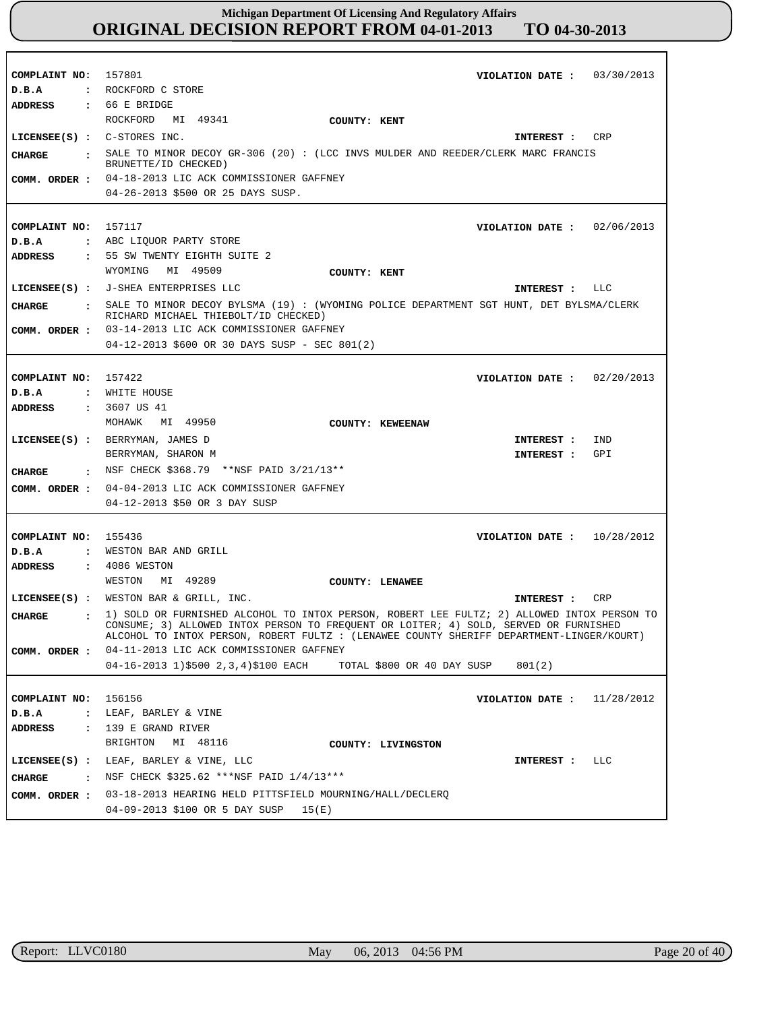| COMPLAINT NO: 157801<br>D.B.A<br>ADDRESS | VIOLATION DATE: $03/30/2013$<br>: ROCKFORD C STORE<br>$\cdot$ 66 E BRIDGE                                                           |
|------------------------------------------|-------------------------------------------------------------------------------------------------------------------------------------|
|                                          | ROCKFORD MI 49341<br>COUNTY: KENT                                                                                                   |
|                                          | LICENSEE(S) : C-STORES INC.<br>CRP<br>INTEREST :                                                                                    |
| CHARGE                                   | : SALE TO MINOR DECOY GR-306 (20): (LCC INVS MULDER AND REEDER/CLERK MARC FRANCIS                                                   |
|                                          | BRUNETTE/ID CHECKED)                                                                                                                |
|                                          | COMM. ORDER : 04-18-2013 LIC ACK COMMISSIONER GAFFNEY                                                                               |
|                                          | 04-26-2013 \$500 OR 25 DAYS SUSP.                                                                                                   |
| COMPLAINT NO:                            |                                                                                                                                     |
| D.B.A                                    | 157117<br>VIOLATION DATE: $02/06/2013$<br>: ABC LIQUOR PARTY STORE                                                                  |
| ADDRESS                                  | : 55 SW TWENTY EIGHTH SUITE 2                                                                                                       |
|                                          | WYOMING MI 49509<br>COUNTY: KENT                                                                                                    |
|                                          | LICENSEE(S) : J-SHEA ENTERPRISES LLC<br>INTEREST : LLC                                                                              |
| CHARGE                                   | : SALE TO MINOR DECOY BYLSMA (19): (WYOMING POLICE DEPARTMENT SGT HUNT, DET BYLSMA/CLERK                                            |
|                                          | RICHARD MICHAEL THIEBOLT/ID CHECKED)                                                                                                |
| COMM. ORDER :                            | 03-14-2013 LIC ACK COMMISSIONER GAFFNEY                                                                                             |
|                                          | 04-12-2013 \$600 OR 30 DAYS SUSP - SEC 801(2)                                                                                       |
|                                          |                                                                                                                                     |
| COMPLAINT NO: 157422                     | VIOLATION DATE: $02/20/2013$                                                                                                        |
| D.B.A                                    | : WHITE HOUSE                                                                                                                       |
| <b>ADDRESS</b>                           | : 3607 US 41<br>MOHAWK MI 49950                                                                                                     |
|                                          | COUNTY: KEWEENAW                                                                                                                    |
|                                          | LICENSEE(S) : BERRYMAN, JAMES D<br>IND<br>INTEREST :                                                                                |
|                                          | BERRYMAN, SHARON M<br>INTEREST :<br>GPI                                                                                             |
| CHARGE                                   | $\,$ NSF CHECK \$368.79 **NSF PAID 3/21/13**                                                                                        |
| COMM. ORDER :                            | 04-04-2013 LIC ACK COMMISSIONER GAFFNEY<br>04-12-2013 \$50 OR 3 DAY SUSP                                                            |
|                                          |                                                                                                                                     |
| COMPLAINT NO:                            | 155436<br>10/28/2012<br>VIOLATION DATE :                                                                                            |
| D.B.A                                    | : WESTON BAR AND GRILL                                                                                                              |
| ADDRESS                                  | : 4086 WESTON                                                                                                                       |
|                                          | MI 49289<br>WESTON<br>COUNTY: LENAWEE                                                                                               |
|                                          | LICENSEE(S) : WESTON BAR & GRILL, INC.<br>CRP<br>INTEREST :                                                                         |
| <b>CHARGE</b><br>$\ddot{\phantom{a}}$    | 1) SOLD OR FURNISHED ALCOHOL TO INTOX PERSON, ROBERT LEE FULTZ; 2) ALLOWED INTOX PERSON TO                                          |
|                                          | CONSUME; 3) ALLOWED INTOX PERSON TO FREQUENT OR LOITER; 4) SOLD, SERVED OR FURNISHED                                                |
|                                          | ALCOHOL TO INTOX PERSON, ROBERT FULTZ : (LENAWEE COUNTY SHERIFF DEPARTMENT-LINGER/KOURT)<br>04-11-2013 LIC ACK COMMISSIONER GAFFNEY |
| COMM. ORDER :                            | 04-16-2013 1)\$500 2,3,4)\$100 EACH<br>TOTAL \$800 OR 40 DAY SUSP<br>801(2)                                                         |
|                                          |                                                                                                                                     |
| COMPLAINT NO:                            | 156156<br>11/28/2012<br>VIOLATION DATE :                                                                                            |
| D.B.A<br>$\ddot{\phantom{a}}$            | LEAF, BARLEY & VINE                                                                                                                 |
| <b>ADDRESS</b><br>$\ddot{\cdot}$         | 139 E GRAND RIVER                                                                                                                   |
|                                          | BRIGHTON<br>MI 48116<br>COUNTY: LIVINGSTON                                                                                          |
| $LICENSEE(S)$ :                          | LEAF, BARLEY & VINE, LLC<br><b>LLC</b><br>INTEREST :                                                                                |
| <b>CHARGE</b><br>$\sim$ $\sim$           | NSF CHECK \$325.62 *** NSF PAID 1/4/13***                                                                                           |
| COMM. ORDER :                            | 03-18-2013 HEARING HELD PITTSFIELD MOURNING/HALL/DECLERO                                                                            |
|                                          | 04-09-2013 \$100 OR 5 DAY SUSP<br>15(E)                                                                                             |

r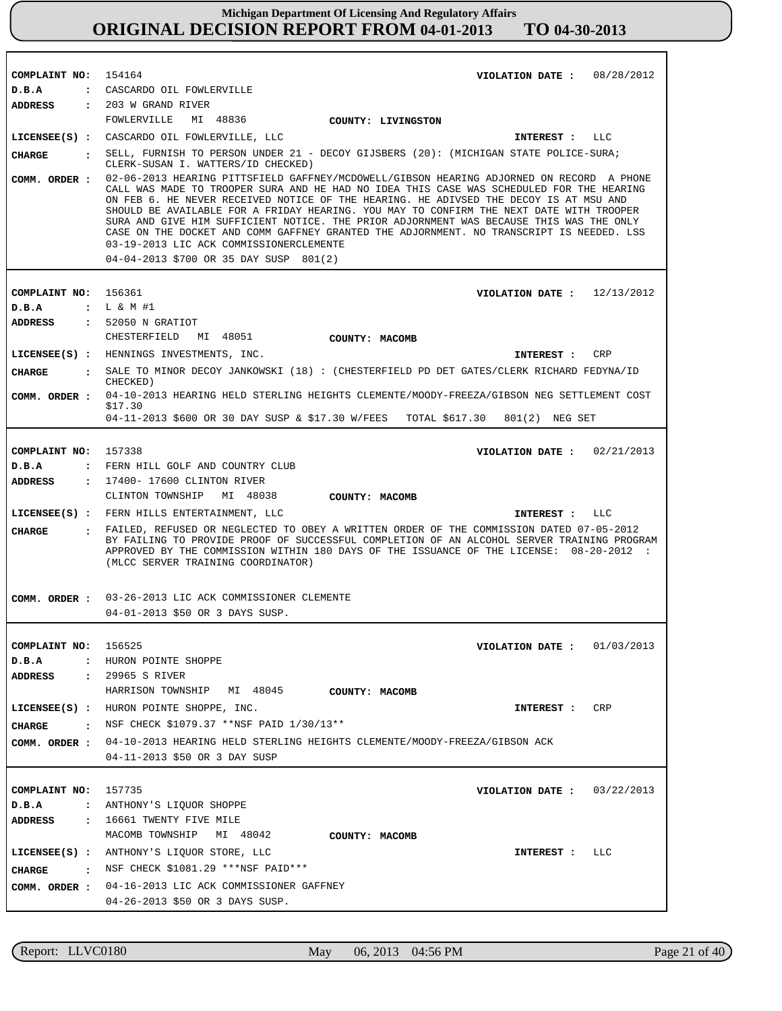| COMPLAINT NO:                     | 154164<br>08/28/2012<br>VIOLATION DATE :                                                                                                                                                                                                                                                                                                                                                                                                                                                                                                                                                                                                             |
|-----------------------------------|------------------------------------------------------------------------------------------------------------------------------------------------------------------------------------------------------------------------------------------------------------------------------------------------------------------------------------------------------------------------------------------------------------------------------------------------------------------------------------------------------------------------------------------------------------------------------------------------------------------------------------------------------|
| D.B.A                             | : CASCARDO OIL FOWLERVILLE                                                                                                                                                                                                                                                                                                                                                                                                                                                                                                                                                                                                                           |
| <b>ADDRESS</b>                    | : 203 W GRAND RIVER                                                                                                                                                                                                                                                                                                                                                                                                                                                                                                                                                                                                                                  |
|                                   | FOWLERVILLE<br>MI 48836 COUNTY: LIVINGSTON                                                                                                                                                                                                                                                                                                                                                                                                                                                                                                                                                                                                           |
|                                   | LICENSEE(S) : CASCARDO OIL FOWLERVILLE, LLC<br>INTEREST : LLC                                                                                                                                                                                                                                                                                                                                                                                                                                                                                                                                                                                        |
| $\sim 100$ km s $^{-1}$<br>CHARGE | SELL, FURNISH TO PERSON UNDER 21 - DECOY GIJSBERS (20): (MICHIGAN STATE POLICE-SURA;<br>CLERK-SUSAN I. WATTERS/ID CHECKED)                                                                                                                                                                                                                                                                                                                                                                                                                                                                                                                           |
| COMM. ORDER :                     | 02-06-2013 HEARING PITTSFIELD GAFFNEY/MCDOWELL/GIBSON HEARING ADJORNED ON RECORD A PHONE<br>CALL WAS MADE TO TROOPER SURA AND HE HAD NO IDEA THIS CASE WAS SCHEDULED FOR THE HEARING<br>ON FEB 6. HE NEVER RECEIVED NOTICE OF THE HEARING. HE ADIVSED THE DECOY IS AT MSU AND<br>SHOULD BE AVAILABLE FOR A FRIDAY HEARING. YOU MAY TO CONFIRM THE NEXT DATE WITH TROOPER<br>SURA AND GIVE HIM SUFFICIENT NOTICE. THE PRIOR ADJORNMENT WAS BECAUSE THIS WAS THE ONLY<br>CASE ON THE DOCKET AND COMM GAFFNEY GRANTED THE ADJORNMENT. NO TRANSCRIPT IS NEEDED. LSS<br>03-19-2013 LIC ACK COMMISSIONERCLEMENTE<br>04-04-2013 \$700 OR 35 DAY SUSP 801(2) |
|                                   |                                                                                                                                                                                                                                                                                                                                                                                                                                                                                                                                                                                                                                                      |
|                                   |                                                                                                                                                                                                                                                                                                                                                                                                                                                                                                                                                                                                                                                      |
| COMPLAINT NO: 156361<br>D.B.A     | VIOLATION DATE: $12/13/2012$<br>: L & M #1                                                                                                                                                                                                                                                                                                                                                                                                                                                                                                                                                                                                           |
| <b>ADDRESS</b>                    | $: 52050$ N GRATIOT                                                                                                                                                                                                                                                                                                                                                                                                                                                                                                                                                                                                                                  |
|                                   | CHESTERFIELD<br>MI 48051 COUNTY: MACOMB                                                                                                                                                                                                                                                                                                                                                                                                                                                                                                                                                                                                              |
|                                   | LICENSEE(S) : HENNINGS INVESTMENTS, INC.<br>CRP<br>INTEREST :                                                                                                                                                                                                                                                                                                                                                                                                                                                                                                                                                                                        |
| CHARGE                            | : SALE TO MINOR DECOY JANKOWSKI (18): (CHESTERFIELD PD DET GATES/CLERK RICHARD FEDYNA/ID<br>CHECKED)                                                                                                                                                                                                                                                                                                                                                                                                                                                                                                                                                 |
| COMM. ORDER :                     | 04-10-2013 HEARING HELD STERLING HEIGHTS CLEMENTE/MOODY-FREEZA/GIBSON NEG SETTLEMENT COST<br>\$17.30                                                                                                                                                                                                                                                                                                                                                                                                                                                                                                                                                 |
|                                   | 04-11-2013 \$600 OR 30 DAY SUSP & \$17.30 W/FEES TOTAL \$617.30 801(2) NEG SET                                                                                                                                                                                                                                                                                                                                                                                                                                                                                                                                                                       |
|                                   |                                                                                                                                                                                                                                                                                                                                                                                                                                                                                                                                                                                                                                                      |
| COMPLAINT NO: 157338<br>D.B.A     | VIOLATION DATE : $02/21/2013$<br>: FERN HILL GOLF AND COUNTRY CLUB                                                                                                                                                                                                                                                                                                                                                                                                                                                                                                                                                                                   |
| ADDRESS                           | : 17400- 17600 CLINTON RIVER                                                                                                                                                                                                                                                                                                                                                                                                                                                                                                                                                                                                                         |
|                                   | CLINTON TOWNSHIP MI 48038<br>COUNTY: MACOMB                                                                                                                                                                                                                                                                                                                                                                                                                                                                                                                                                                                                          |
|                                   | LICENSEE(S) : FERN HILLS ENTERTAINMENT, LLC<br>INTEREST : LLC                                                                                                                                                                                                                                                                                                                                                                                                                                                                                                                                                                                        |
| <b>CHARGE</b>                     | : FAILED, REFUSED OR NEGLECTED TO OBEY A WRITTEN ORDER OF THE COMMISSION DATED 07-05-2012<br>BY FAILING TO PROVIDE PROOF OF SUCCESSFUL COMPLETION OF AN ALCOHOL SERVER TRAINING PROGRAM                                                                                                                                                                                                                                                                                                                                                                                                                                                              |
|                                   | APPROVED BY THE COMMISSION WITHIN 180 DAYS OF THE ISSUANCE OF THE LICENSE: 08-20-2012 :<br>(MLCC SERVER TRAINING COORDINATOR)                                                                                                                                                                                                                                                                                                                                                                                                                                                                                                                        |
| COMM. ORDER :                     | 03-26-2013 LIC ACK COMMISSIONER CLEMENTE                                                                                                                                                                                                                                                                                                                                                                                                                                                                                                                                                                                                             |
|                                   | 04-01-2013 \$50 OR 3 DAYS SUSP.                                                                                                                                                                                                                                                                                                                                                                                                                                                                                                                                                                                                                      |
|                                   |                                                                                                                                                                                                                                                                                                                                                                                                                                                                                                                                                                                                                                                      |
| COMPLAINT NO: 156525              | VIOLATION DATE : $01/03/2013$                                                                                                                                                                                                                                                                                                                                                                                                                                                                                                                                                                                                                        |
| D.B.A                             | : HURON POINTE SHOPPE                                                                                                                                                                                                                                                                                                                                                                                                                                                                                                                                                                                                                                |
| ADDRESS                           | : 29965 S RIVER                                                                                                                                                                                                                                                                                                                                                                                                                                                                                                                                                                                                                                      |
|                                   | HARRISON TOWNSHIP MI 48045<br>COUNTY: MACOMB                                                                                                                                                                                                                                                                                                                                                                                                                                                                                                                                                                                                         |
|                                   | LICENSEE(S) : HURON POINTE SHOPPE, INC.<br>CRP<br>INTEREST :                                                                                                                                                                                                                                                                                                                                                                                                                                                                                                                                                                                         |
| CHARGE                            | $\cdot$ NSF CHECK \$1079.37 **NSF PAID 1/30/13**                                                                                                                                                                                                                                                                                                                                                                                                                                                                                                                                                                                                     |
|                                   | COMM. ORDER : 04-10-2013 HEARING HELD STERLING HEIGHTS CLEMENTE/MOODY-FREEZA/GIBSON ACK                                                                                                                                                                                                                                                                                                                                                                                                                                                                                                                                                              |
|                                   | 04-11-2013 \$50 OR 3 DAY SUSP                                                                                                                                                                                                                                                                                                                                                                                                                                                                                                                                                                                                                        |
|                                   |                                                                                                                                                                                                                                                                                                                                                                                                                                                                                                                                                                                                                                                      |
| COMPLAINT NO: 157735              | VIOLATION DATE: $03/22/2013$                                                                                                                                                                                                                                                                                                                                                                                                                                                                                                                                                                                                                         |
| D.B.A                             | : ANTHONY'S LIQUOR SHOPPE                                                                                                                                                                                                                                                                                                                                                                                                                                                                                                                                                                                                                            |
| ADDRESS                           | : 16661 TWENTY FIVE MILE<br>MACOMB TOWNSHIP MI 48042                                                                                                                                                                                                                                                                                                                                                                                                                                                                                                                                                                                                 |
|                                   | COUNTY: MACOMB                                                                                                                                                                                                                                                                                                                                                                                                                                                                                                                                                                                                                                       |
|                                   | LICENSEE(S) : ANTHONY'S LIQUOR STORE, LLC<br>LLC<br>INTEREST :                                                                                                                                                                                                                                                                                                                                                                                                                                                                                                                                                                                       |
| CHARGE                            | : NSF CHECK \$1081.29 ***NSF PAID***                                                                                                                                                                                                                                                                                                                                                                                                                                                                                                                                                                                                                 |
|                                   | COMM. ORDER : 04-16-2013 LIC ACK COMMISSIONER GAFFNEY                                                                                                                                                                                                                                                                                                                                                                                                                                                                                                                                                                                                |
|                                   | 04-26-2013 \$50 OR 3 DAYS SUSP.                                                                                                                                                                                                                                                                                                                                                                                                                                                                                                                                                                                                                      |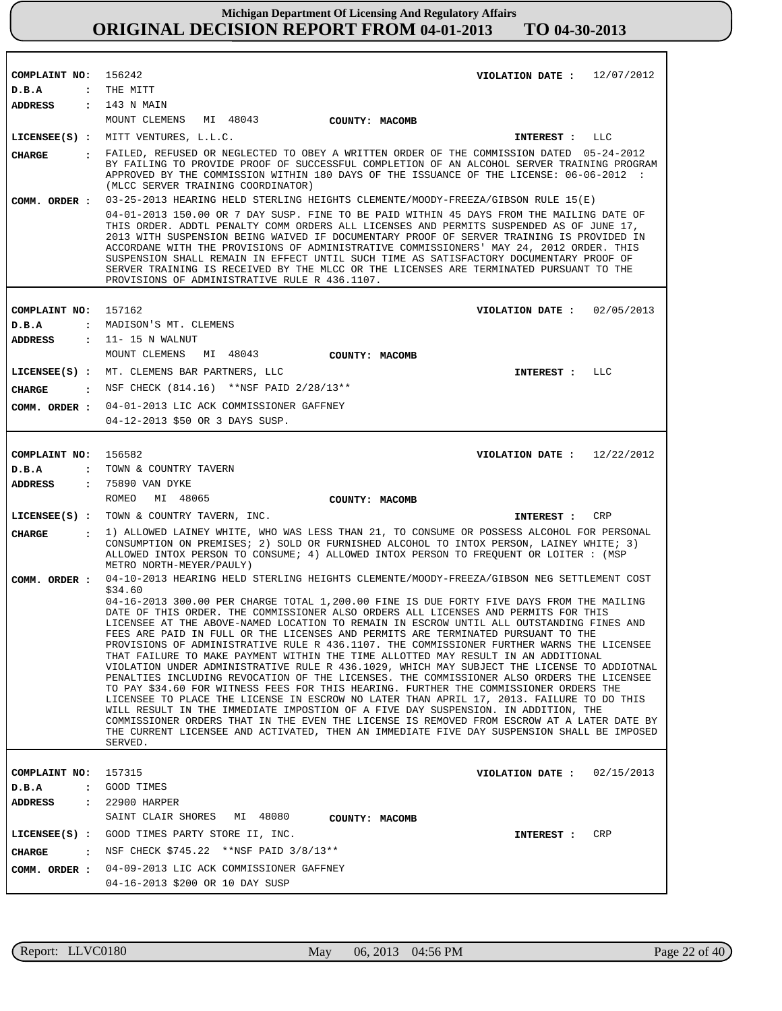| COMPLAINT NO:                 | 156242<br>VIOLATION DATE: $12/07/2012$                                                                                                                                                                                                                                                                                                                                                                                                                                                                                                                                                                                                                                                                                                                                                                                                                                                                                                                                                                                                                                                                                                                                                                                                  |
|-------------------------------|-----------------------------------------------------------------------------------------------------------------------------------------------------------------------------------------------------------------------------------------------------------------------------------------------------------------------------------------------------------------------------------------------------------------------------------------------------------------------------------------------------------------------------------------------------------------------------------------------------------------------------------------------------------------------------------------------------------------------------------------------------------------------------------------------------------------------------------------------------------------------------------------------------------------------------------------------------------------------------------------------------------------------------------------------------------------------------------------------------------------------------------------------------------------------------------------------------------------------------------------|
| D.B.A                         | : THE MITT                                                                                                                                                                                                                                                                                                                                                                                                                                                                                                                                                                                                                                                                                                                                                                                                                                                                                                                                                                                                                                                                                                                                                                                                                              |
| ADDRESS                       | : 143 N MAIN                                                                                                                                                                                                                                                                                                                                                                                                                                                                                                                                                                                                                                                                                                                                                                                                                                                                                                                                                                                                                                                                                                                                                                                                                            |
|                               | MOUNT CLEMENS<br>MI 48043<br>COUNTY: MACOMB                                                                                                                                                                                                                                                                                                                                                                                                                                                                                                                                                                                                                                                                                                                                                                                                                                                                                                                                                                                                                                                                                                                                                                                             |
|                               | LICENSEE(S) : MITT VENTURES, L.L.C.<br>LLC<br>INTEREST :                                                                                                                                                                                                                                                                                                                                                                                                                                                                                                                                                                                                                                                                                                                                                                                                                                                                                                                                                                                                                                                                                                                                                                                |
| CHARGE                        | : FAILED, REFUSED OR NEGLECTED TO OBEY A WRITTEN ORDER OF THE COMMISSION DATED 05-24-2012<br>BY FAILING TO PROVIDE PROOF OF SUCCESSFUL COMPLETION OF AN ALCOHOL SERVER TRAINING PROGRAM<br>APPROVED BY THE COMMISSION WITHIN 180 DAYS OF THE ISSUANCE OF THE LICENSE: 06-06-2012 :<br>(MLCC SERVER TRAINING COORDINATOR)                                                                                                                                                                                                                                                                                                                                                                                                                                                                                                                                                                                                                                                                                                                                                                                                                                                                                                                |
| COMM. ORDER :                 | 03-25-2013 HEARING HELD STERLING HEIGHTS CLEMENTE/MOODY-FREEZA/GIBSON RULE 15(E)<br>04-01-2013 150.00 OR 7 DAY SUSP. FINE TO BE PAID WITHIN 45 DAYS FROM THE MAILING DATE OF<br>THIS ORDER. ADDTL PENALTY COMM ORDERS ALL LICENSES AND PERMITS SUSPENDED AS OF JUNE 17,<br>2013 WITH SUSPENSION BEING WAIVED IF DOCUMENTARY PROOF OF SERVER TRAINING IS PROVIDED IN<br>ACCORDANE WITH THE PROVISIONS OF ADMINISTRATIVE COMMISSIONERS' MAY 24, 2012 ORDER. THIS<br>SUSPENSION SHALL REMAIN IN EFFECT UNTIL SUCH TIME AS SATISFACTORY DOCUMENTARY PROOF OF<br>SERVER TRAINING IS RECEIVED BY THE MLCC OR THE LICENSES ARE TERMINATED PURSUANT TO THE<br>PROVISIONS OF ADMINISTRATIVE RULE R 436.1107.                                                                                                                                                                                                                                                                                                                                                                                                                                                                                                                                     |
|                               |                                                                                                                                                                                                                                                                                                                                                                                                                                                                                                                                                                                                                                                                                                                                                                                                                                                                                                                                                                                                                                                                                                                                                                                                                                         |
| COMPLAINT NO: 157162          | VIOLATION DATE: $02/05/2013$                                                                                                                                                                                                                                                                                                                                                                                                                                                                                                                                                                                                                                                                                                                                                                                                                                                                                                                                                                                                                                                                                                                                                                                                            |
| D.B.A                         | : MADISON'S MT. CLEMENS                                                                                                                                                                                                                                                                                                                                                                                                                                                                                                                                                                                                                                                                                                                                                                                                                                                                                                                                                                                                                                                                                                                                                                                                                 |
| <b>ADDRESS</b>                | $: 11 - 15$ N WALNUT<br>MOUNT CLEMENS<br>MI 48043                                                                                                                                                                                                                                                                                                                                                                                                                                                                                                                                                                                                                                                                                                                                                                                                                                                                                                                                                                                                                                                                                                                                                                                       |
|                               | COUNTY: MACOMB                                                                                                                                                                                                                                                                                                                                                                                                                                                                                                                                                                                                                                                                                                                                                                                                                                                                                                                                                                                                                                                                                                                                                                                                                          |
|                               | LICENSEE(S) : MT. CLEMENS BAR PARTNERS, LLC<br>INTEREST : LLC                                                                                                                                                                                                                                                                                                                                                                                                                                                                                                                                                                                                                                                                                                                                                                                                                                                                                                                                                                                                                                                                                                                                                                           |
| CHARGE<br>$\mathbf{r}$        | NSF CHECK (814.16) ** NSF PAID 2/28/13**                                                                                                                                                                                                                                                                                                                                                                                                                                                                                                                                                                                                                                                                                                                                                                                                                                                                                                                                                                                                                                                                                                                                                                                                |
| COMM. ORDER :                 | 04-01-2013 LIC ACK COMMISSIONER GAFFNEY                                                                                                                                                                                                                                                                                                                                                                                                                                                                                                                                                                                                                                                                                                                                                                                                                                                                                                                                                                                                                                                                                                                                                                                                 |
|                               | 04-12-2013 \$50 OR 3 DAYS SUSP.                                                                                                                                                                                                                                                                                                                                                                                                                                                                                                                                                                                                                                                                                                                                                                                                                                                                                                                                                                                                                                                                                                                                                                                                         |
|                               |                                                                                                                                                                                                                                                                                                                                                                                                                                                                                                                                                                                                                                                                                                                                                                                                                                                                                                                                                                                                                                                                                                                                                                                                                                         |
| COMPLAINT NO: 156582          | VIOLATION DATE: $12/22/2012$                                                                                                                                                                                                                                                                                                                                                                                                                                                                                                                                                                                                                                                                                                                                                                                                                                                                                                                                                                                                                                                                                                                                                                                                            |
| D.B.A                         | : TOWN & COUNTRY TAVERN                                                                                                                                                                                                                                                                                                                                                                                                                                                                                                                                                                                                                                                                                                                                                                                                                                                                                                                                                                                                                                                                                                                                                                                                                 |
| ADDRESS                       | : 75890 VAN DYKE<br>ROMEO<br>MI 48065<br>COUNTY: MACOMB                                                                                                                                                                                                                                                                                                                                                                                                                                                                                                                                                                                                                                                                                                                                                                                                                                                                                                                                                                                                                                                                                                                                                                                 |
|                               | <b>CRP</b>                                                                                                                                                                                                                                                                                                                                                                                                                                                                                                                                                                                                                                                                                                                                                                                                                                                                                                                                                                                                                                                                                                                                                                                                                              |
|                               | LICENSEE(S) : TOWN & COUNTRY TAVERN, INC.<br>INTEREST :<br>1) ALLOWED LAINEY WHITE, WHO WAS LESS THAN 21, TO CONSUME OR POSSESS ALCOHOL FOR PERSONAL                                                                                                                                                                                                                                                                                                                                                                                                                                                                                                                                                                                                                                                                                                                                                                                                                                                                                                                                                                                                                                                                                    |
| <b>CHARGE</b><br>$\mathbf{r}$ | CONSUMPTION ON PREMISES; 2) SOLD OR FURNISHED ALCOHOL TO INTOX PERSON, LAINEY WHITE; 3)<br>ALLOWED INTOX PERSON TO CONSUME; 4) ALLOWED INTOX PERSON TO FREQUENT OR LOITER : (MSP<br>METRO NORTH-MEYER/PAULY)                                                                                                                                                                                                                                                                                                                                                                                                                                                                                                                                                                                                                                                                                                                                                                                                                                                                                                                                                                                                                            |
| COMM. ORDER :                 | 04-10-2013 HEARING HELD STERLING HEIGHTS CLEMENTE/MOODY-FREEZA/GIBSON NEG SETTLEMENT COST                                                                                                                                                                                                                                                                                                                                                                                                                                                                                                                                                                                                                                                                                                                                                                                                                                                                                                                                                                                                                                                                                                                                               |
|                               | \$34.60<br>04-16-2013 300.00 PER CHARGE TOTAL 1,200.00 FINE IS DUE FORTY FIVE DAYS FROM THE MAILING<br>DATE OF THIS ORDER. THE COMMISSIONER ALSO ORDERS ALL LICENSES AND PERMITS FOR THIS<br>LICENSEE AT THE ABOVE-NAMED LOCATION TO REMAIN IN ESCROW UNTIL ALL OUTSTANDING FINES AND<br>FEES ARE PAID IN FULL OR THE LICENSES AND PERMITS ARE TERMINATED PURSUANT TO THE<br>PROVISIONS OF ADMINISTRATIVE RULE R 436.1107. THE COMMISSIONER FURTHER WARNS THE LICENSEE<br>THAT FAILURE TO MAKE PAYMENT WITHIN THE TIME ALLOTTED MAY RESULT IN AN ADDITIONAL<br>VIOLATION UNDER ADMINISTRATIVE RULE R 436.1029, WHICH MAY SUBJECT THE LICENSE TO ADDIOTNAL<br>PENALTIES INCLUDING REVOCATION OF THE LICENSES. THE COMMISSIONER ALSO ORDERS THE LICENSEE<br>TO PAY \$34.60 FOR WITNESS FEES FOR THIS HEARING. FURTHER THE COMMISSIONER ORDERS THE<br>LICENSEE TO PLACE THE LICENSE IN ESCROW NO LATER THAN APRIL 17, 2013. FAILURE TO DO THIS<br>WILL RESULT IN THE IMMEDIATE IMPOSTION OF A FIVE DAY SUSPENSION. IN ADDITION, THE<br>COMMISSIONER ORDERS THAT IN THE EVEN THE LICENSE IS REMOVED FROM ESCROW AT A LATER DATE BY<br>THE CURRENT LICENSEE AND ACTIVATED, THEN AN IMMEDIATE FIVE DAY SUSPENSION SHALL BE IMPOSED<br>SERVED. |
| COMPLAINT NO:                 | 157315<br>02/15/2013<br>VIOLATION DATE :                                                                                                                                                                                                                                                                                                                                                                                                                                                                                                                                                                                                                                                                                                                                                                                                                                                                                                                                                                                                                                                                                                                                                                                                |
| $D$ . B. A<br>$\ddot{\cdot}$  | GOOD TIMES                                                                                                                                                                                                                                                                                                                                                                                                                                                                                                                                                                                                                                                                                                                                                                                                                                                                                                                                                                                                                                                                                                                                                                                                                              |
| ADDRESS<br>$\ddot{\cdot}$     | 22900 HARPER<br>SAINT CLAIR SHORES<br>MI 48080<br>COUNTY: MACOMB                                                                                                                                                                                                                                                                                                                                                                                                                                                                                                                                                                                                                                                                                                                                                                                                                                                                                                                                                                                                                                                                                                                                                                        |
| LICENSEE(S) :                 | GOOD TIMES PARTY STORE II, INC.<br>CRP<br>INTEREST :                                                                                                                                                                                                                                                                                                                                                                                                                                                                                                                                                                                                                                                                                                                                                                                                                                                                                                                                                                                                                                                                                                                                                                                    |
| CHARGE<br>$\ddot{\cdot}$      | NSF CHECK \$745.22 **NSF PAID 3/8/13**                                                                                                                                                                                                                                                                                                                                                                                                                                                                                                                                                                                                                                                                                                                                                                                                                                                                                                                                                                                                                                                                                                                                                                                                  |
| COMM. ORDER :                 | 04-09-2013 LIC ACK COMMISSIONER GAFFNEY                                                                                                                                                                                                                                                                                                                                                                                                                                                                                                                                                                                                                                                                                                                                                                                                                                                                                                                                                                                                                                                                                                                                                                                                 |
|                               | 04-16-2013 \$200 OR 10 DAY SUSP                                                                                                                                                                                                                                                                                                                                                                                                                                                                                                                                                                                                                                                                                                                                                                                                                                                                                                                                                                                                                                                                                                                                                                                                         |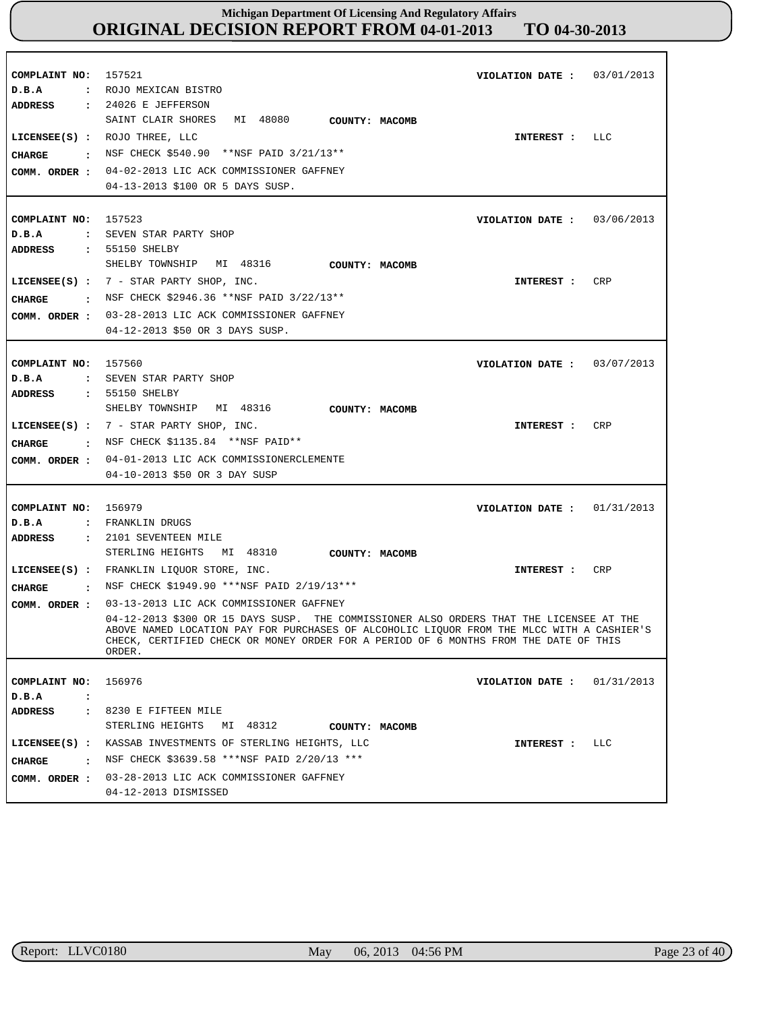| COMPLAINT NO: 157521<br>D.B.A                       | 03/01/2013<br>VIOLATION DATE :<br>: ROJO MEXICAN BISTRO                                                                                                                                                                                                                                                                           |
|-----------------------------------------------------|-----------------------------------------------------------------------------------------------------------------------------------------------------------------------------------------------------------------------------------------------------------------------------------------------------------------------------------|
| CIIARGE                                             | ADDRESS : 24026 E JEFFERSON<br>SAINT CLAIR SHORES MI 48080<br>COUNTY: MACOMB<br>LICENSEE(S) : ROJO THREE, LLC<br>LLC<br>INTEREST :<br>NSF CHECK \$540.90 **NSF PAID 3/21/13**<br>COMM. ORDER : 04-02-2013 LIC ACK COMMISSIONER GAFFNEY<br>04-13-2013 \$100 OR 5 DAYS SUSP.                                                        |
| COMPLAINT NO: 157523<br>D.B.A<br>ADDRESS            | VIOLATION DATE: $03/06/2013$<br>: SEVEN STAR PARTY SHOP<br>: 55150 SHELBY                                                                                                                                                                                                                                                         |
| CHARGE                                              | SHELBY TOWNSHIP MI 48316<br>COUNTY: MACOMB<br>LICENSEE(S) : $7$ - STAR PARTY SHOP, INC.<br>CRP<br>INTEREST :<br>: NSF CHECK \$2946.36 **NSF PAID 3/22/13**<br>COMM. ORDER : 03-28-2013 LIC ACK COMMISSIONER GAFFNEY<br>04-12-2013 \$50 OR 3 DAYS SUSP.                                                                            |
| COMPLAINT NO: 157560<br>D.B.A<br>ADDRESS            | VIOLATION DATE: 03/07/2013<br>: SEVEN STAR PARTY SHOP<br>: 55150 SHELBY                                                                                                                                                                                                                                                           |
| CHARGE                                              | SHELBY TOWNSHIP MI 48316<br>COUNTY: MACOMB<br>LICENSEE(S) : $7$ - STAR PARTY SHOP, INC.<br><b>CRP</b><br>INTEREST :<br>NSF CHECK \$1135.84 **NSF PAID**<br>COMM. ORDER : 04-01-2013 LIC ACK COMMISSIONERCLEMENTE<br>04-10-2013 \$50 OR 3 DAY SUSP                                                                                 |
| COMPLAINT NO: 156979<br>D.B.A<br>ADDRESS            | VIOLATION DATE : $01/31/2013$<br>: FRANKLIN DRUGS<br>: 2101 SEVENTEEN MILE                                                                                                                                                                                                                                                        |
| CHARGE                                              | STERLING HEIGHTS MI 48310<br>COUNTY: MACOMB<br>LICENSEE(S) : FRANKLIN LIOUOR STORE, INC.<br>CRP<br>INTEREST :<br>: NSF CHECK \$1949.90 ***NSF PAID 2/19/13***                                                                                                                                                                     |
| COMM. ORDER :                                       | 03-13-2013 LIC ACK COMMISSIONER GAFFNEY<br>04-12-2013 \$300 OR 15 DAYS SUSP. THE COMMISSIONER ALSO ORDERS THAT THE LICENSEE AT THE<br>ABOVE NAMED LOCATION PAY FOR PURCHASES OF ALCOHOLIC LIQUOR FROM THE MLCC WITH A CASHIER'S<br>CHECK, CERTIFIED CHECK OR MONEY ORDER FOR A PERIOD OF 6 MONTHS FROM THE DATE OF THIS<br>ORDER. |
| COMPLAINT NO:<br>D.B.A<br>$\ddot{\cdot}$<br>ADDRESS | 156976<br>01/31/2013<br>VIOLATION DATE :<br>: 8230 E FIFTEEN MILE                                                                                                                                                                                                                                                                 |
| CHARGE                                              | STERLING HEIGHTS MI 48312<br>COUNTY: MACOMB<br>LICENSEE(S) : KASSAB INVESTMENTS OF STERLING HEIGHTS, LLC<br>LLC<br>INTEREST :<br>: NSF CHECK \$3639.58 ***NSF PAID 2/20/13 ***<br>COMM. ORDER : 03-28-2013 LIC ACK COMMISSIONER GAFFNEY<br>04-12-2013 DISMISSED                                                                   |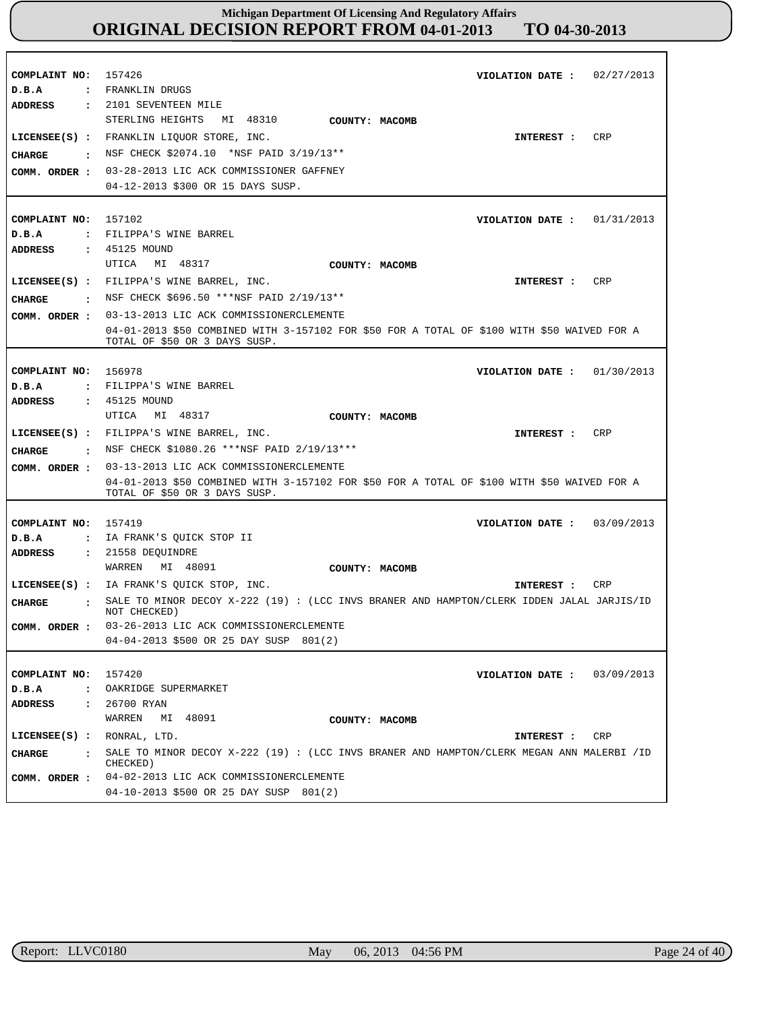| COMPLAINT NO:<br>D.B.A<br><b>ADDRESS</b>                         | 02/27/2013<br>157426<br>VIOLATION DATE :<br>: FRANKLIN DRUGS<br>: 2101 SEVENTEEN MILE                                                                                                                                                                                                                      |
|------------------------------------------------------------------|------------------------------------------------------------------------------------------------------------------------------------------------------------------------------------------------------------------------------------------------------------------------------------------------------------|
| <b>CHARGE</b><br>$\sim$ $\sim$<br>COMM. ORDER :                  | STERLING HEIGHTS MI 48310<br>COUNTY: MACOMB<br>LICENSEE(S) : FRANKLIN LIQUOR STORE, INC.<br><b>CRP</b><br>INTEREST :<br>NSF CHECK \$2074.10 *NSF PAID 3/19/13**<br>03-28-2013 LIC ACK COMMISSIONER GAFFNEY<br>04-12-2013 \$300 OR 15 DAYS SUSP.                                                            |
| COMPLAINT NO: 157102<br>D.B.A<br>ADDRESS                         | VIOLATION DATE: $01/31/2013$<br>: FILIPPA'S WINE BARREL<br>: 45125 MOUND                                                                                                                                                                                                                                   |
| <b>CHARGE</b><br>COMM. ORDER :                                   | MI 48317<br>UTICA<br>COUNTY: MACOMB<br>LICENSEE(S) : FILIPPA'S WINE BARREL, INC.<br>CRP<br>INTEREST :<br>$\cdot$ NSF CHECK \$696.50 ***NSF PAID 2/19/13**<br>03-13-2013 LIC ACK COMMISSIONERCLEMENTE                                                                                                       |
|                                                                  | 04-01-2013 \$50 COMBINED WITH 3-157102 FOR \$50 FOR A TOTAL OF \$100 WITH \$50 WAIVED FOR A<br>TOTAL OF \$50 OR 3 DAYS SUSP.                                                                                                                                                                               |
| COMPLAINT NO:<br>D.B.A<br>ADDRESS                                | 156978<br>VIOLATION DATE: $01/30/2013$<br>: FILIPPA'S WINE BARREL<br>: 45125 MOUND                                                                                                                                                                                                                         |
| CIIARGE                                                          | MI 48317<br>UTICA<br>COUNTY: MACOMB<br>LICENSEE(S) : FILIPPA'S WINE BARREL, INC.<br>CRP<br>INTEREST :<br>: NSF CHECK \$1080.26 ***NSF PAID 2/19/13***                                                                                                                                                      |
| COMM. ORDER :                                                    | 03-13-2013 LIC ACK COMMISSIONERCLEMENTE<br>04-01-2013 \$50 COMBINED WITH 3-157102 FOR \$50 FOR A TOTAL OF \$100 WITH \$50 WAIVED FOR A<br>TOTAL OF \$50 OR 3 DAYS SUSP.                                                                                                                                    |
| COMPLAINT NO:<br>D.B.A<br>$\ddot{\phantom{a}}$<br><b>ADDRESS</b> | 157419<br>VIOLATION DATE: $03/09/2013$<br>IA FRANK'S QUICK STOP II<br>: 21558 DEOUINDRE                                                                                                                                                                                                                    |
| <b>CHARGE</b><br>COMM. ORDER :                                   | WARREN<br>MI 48091<br>COUNTY: MACOMB<br>LICENSEE(S) : IA FRANK'S QUICK STOP, INC.<br>CRP<br>INTEREST :<br>: SALE TO MINOR DECOY X-222 (19) : (LCC INVS BRANER AND HAMPTON/CLERK IDDEN JALAL JARJIS/ID<br>NOT CHECKED)<br>03-26-2013 LIC ACK COMMISSIONERCLEMENTE<br>04-04-2013 \$500 OR 25 DAY SUSP 801(2) |
| COMPLAINT NO:<br>$D$ . B. A<br>$\ddot{\phantom{a}}$              | 157420<br>03/09/2013<br>VIOLATION DATE :<br>OAKRIDGE SUPERMARKET                                                                                                                                                                                                                                           |
| <b>ADDRESS</b><br>$\ddot{\phantom{a}}$<br>$LICENSE(S)$ :         | 26700 RYAN<br>WARREN<br>MI 48091<br>COUNTY: MACOMB<br>RONRAL, LTD.<br>INTEREST :<br>CRP                                                                                                                                                                                                                    |
| <b>CHARGE</b><br>$\ddot{\phantom{a}}$<br>COMM. ORDER :           | SALE TO MINOR DECOY X-222 (19) : (LCC INVS BRANER AND HAMPTON/CLERK MEGAN ANN MALERBI /ID<br>CHECKED)<br>04-02-2013 LIC ACK COMMISSIONERCLEMENTE<br>04-10-2013 \$500 OR 25 DAY SUSP 801(2)                                                                                                                 |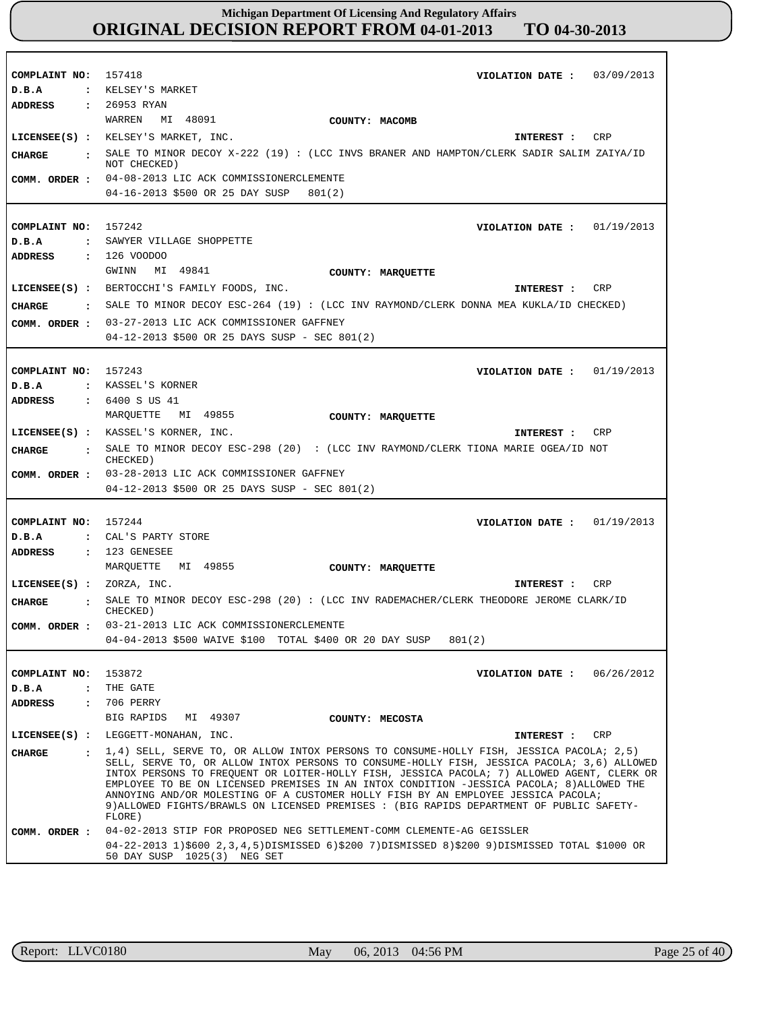| COMPLAINT NO:<br>D.B.A                                           | 157418<br>VIOLATION DATE: 03/09/2013<br>: KELSEY'S MARKET                                                                                                                                                                                                                                                                                                                                                                                                                                                                                                                     |
|------------------------------------------------------------------|-------------------------------------------------------------------------------------------------------------------------------------------------------------------------------------------------------------------------------------------------------------------------------------------------------------------------------------------------------------------------------------------------------------------------------------------------------------------------------------------------------------------------------------------------------------------------------|
| ADDRESS<br>CHARGE                                                | : 26953 RYAN<br>WARREN<br>MI 48091<br>COUNTY: MACOMB<br>LICENSEE(S) : KELSEY'S MARKET, INC.<br>CRP<br>INTEREST :<br>. SALE TO MINOR DECOY X-222 (19) : (LCC INVS BRANER AND HAMPTON/CLERK SADIR SALIM ZAIYA/ID                                                                                                                                                                                                                                                                                                                                                                |
|                                                                  | NOT CHECKED)<br>COMM. ORDER : 04-08-2013 LIC ACK COMMISSIONERCLEMENTE<br>04-16-2013 \$500 OR 25 DAY SUSP<br>801(2)                                                                                                                                                                                                                                                                                                                                                                                                                                                            |
| COMPLAINT NO:<br>D.B.A<br>$\mathbf{r}$                           | 157242<br>VIOLATION DATE: $01/19/2013$<br>SAWYER VILLAGE SHOPPETTE                                                                                                                                                                                                                                                                                                                                                                                                                                                                                                            |
| ADDRESS<br><b>CIIARGE</b>                                        | : 126 VOODOO<br>MI 49841<br>GWINN<br>COUNTY: MARQUETTE<br>LICENSEE(S) : BERTOCCHI'S FAMILY FOODS, INC.<br>CRP<br>INTEREST :<br>: SALE TO MINOR DECOY ESC-264 (19) : (LCC INV RAYMOND/CLERK DONNA MEA KUKLA/ID CHECKED)<br>COMM. ORDER : 03-27-2013 LIC ACK COMMISSIONER GAFFNEY<br>04-12-2013 \$500 OR 25 DAYS SUSP - SEC 801(2)                                                                                                                                                                                                                                              |
| COMPLAINT NO: 157243<br>D.B.A<br>ADDRESS                         | VIOLATION DATE: $01/19/2013$<br>: KASSEL'S KORNER<br>: 6400 S US 41<br>MI 49855<br>MAROUETTE                                                                                                                                                                                                                                                                                                                                                                                                                                                                                  |
| <b>CHARGE</b>                                                    | COUNTY: MARQUETTE<br>LICENSEE(S) : KASSEL'S KORNER, INC.<br>CRP<br>INTEREST :<br>: SALE TO MINOR DECOY ESC-298 (20) : (LCC INV RAYMOND/CLERK TIONA MARIE OGEA/ID NOT<br>CHECKED)<br>COMM. ORDER : 03-28-2013 LIC ACK COMMISSIONER GAFFNEY                                                                                                                                                                                                                                                                                                                                     |
|                                                                  | $04-12-2013$ \$500 OR 25 DAYS SUSP - SEC 801(2)                                                                                                                                                                                                                                                                                                                                                                                                                                                                                                                               |
| COMPLAINT NO:<br>D.B.A<br><b>ADDRESS</b>                         | 157244<br>01/19/2013<br>VIOLATION DATE :<br>: CAL'S PARTY STORE<br>$: 123$ GENESEE<br>MARQUETTE MI 49855                                                                                                                                                                                                                                                                                                                                                                                                                                                                      |
| LICENSEE $(s)$ : ZORZA, INC.<br><b>CIIARGE</b><br>$\mathbf{r}$   | COUNTY: MARQUETTE<br>CRP<br>INTEREST:<br>SALE TO MINOR DECOY ESC-298 (20) : (LCC INV RADEMACHER/CLERK THEODORE JEROME CLARK/ID<br>CHECKED)                                                                                                                                                                                                                                                                                                                                                                                                                                    |
| COMM. ORDER :                                                    | 03-21-2013 LIC ACK COMMISSIONERCLEMENTE<br>04-04-2013 \$500 WAIVE \$100 TOTAL \$400 OR 20 DAY SUSP<br>801(2)                                                                                                                                                                                                                                                                                                                                                                                                                                                                  |
| COMPLAINT NO:<br>D.B.A<br>$\ddot{\phantom{a}}$<br><b>ADDRESS</b> | 153872<br>VIOLATION DATE: $06/26/2012$<br>THE GATE<br>: 706 PERRY<br>BIG RAPIDS<br>MI 49307<br>COUNTY: MECOSTA                                                                                                                                                                                                                                                                                                                                                                                                                                                                |
|                                                                  | LICENSEE(S) : LEGGETT-MONAHAN, INC.<br>INTEREST :<br>CRP                                                                                                                                                                                                                                                                                                                                                                                                                                                                                                                      |
| <b>CHARGE</b>                                                    | : 1,4) SELL, SERVE TO, OR ALLOW INTOX PERSONS TO CONSUME-HOLLY FISH, JESSICA PACOLA; 2,5)<br>SELL, SERVE TO, OR ALLOW INTOX PERSONS TO CONSUME-HOLLY FISH, JESSICA PACOLA; 3,6) ALLOWED<br>INTOX PERSONS TO FREQUENT OR LOITER-HOLLY FISH, JESSICA PACOLA; 7) ALLOWED AGENT, CLERK OR<br>EMPLOYEE TO BE ON LICENSED PREMISES IN AN INTOX CONDITION -JESSICA PACOLA; 8) ALLOWED THE<br>ANNOYING AND/OR MOLESTING OF A CUSTOMER HOLLY FISH BY AN EMPLOYEE JESSICA PACOLA;<br>9) ALLOWED FIGHTS/BRAWLS ON LICENSED PREMISES : (BIG RAPIDS DEPARTMENT OF PUBLIC SAFETY-<br>FLORE) |
| COMM. ORDER :                                                    | 04-02-2013 STIP FOR PROPOSED NEG SETTLEMENT-COMM CLEMENTE-AG GEISSLER<br>04-22-2013 1)\$600 2,3,4,5)DISMISSED 6)\$200 7)DISMISSED 8)\$200 9)DISMISSED TOTAL \$1000 OR<br>50 DAY SUSP 1025(3) NEG SET                                                                                                                                                                                                                                                                                                                                                                          |

r

٦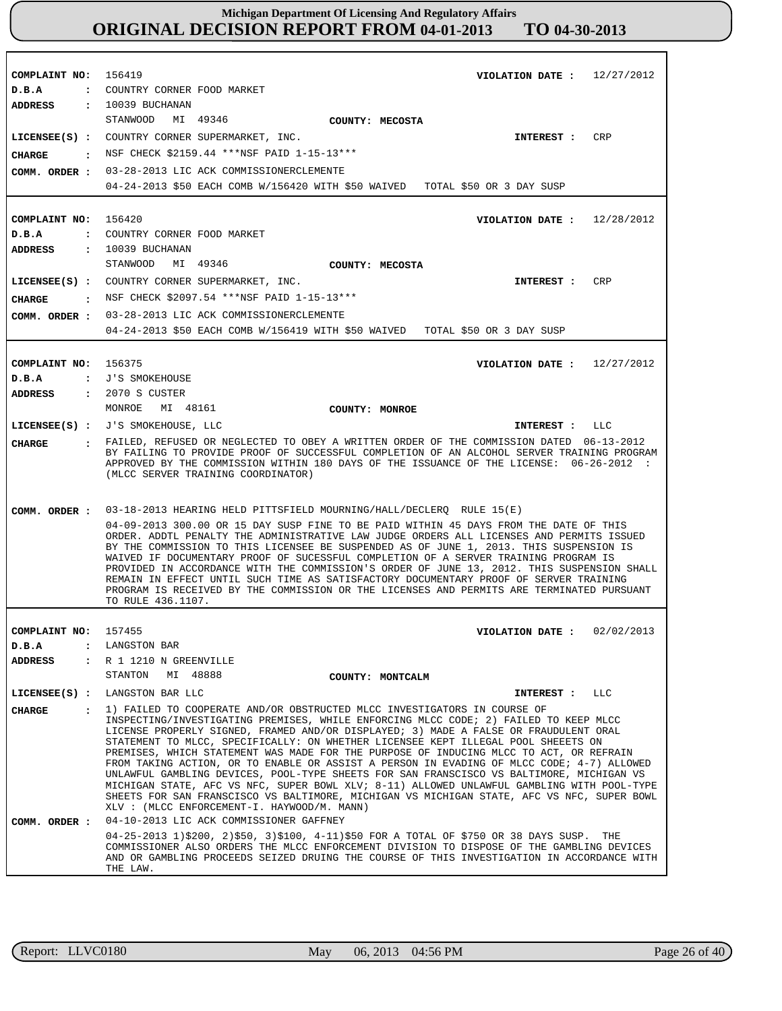| COMPLAINT NO: 156419<br>D.B.A<br>ADDRESS | VIOLATION DATE: $12/27/2012$<br>: COUNTRY CORNER FOOD MARKET<br>: 10039 BUCHANAN                                                                                                                                                                                                                                                                                                                                                                                                                                                                                                                                                                                                                                                                                                                                                                                                                                         |
|------------------------------------------|--------------------------------------------------------------------------------------------------------------------------------------------------------------------------------------------------------------------------------------------------------------------------------------------------------------------------------------------------------------------------------------------------------------------------------------------------------------------------------------------------------------------------------------------------------------------------------------------------------------------------------------------------------------------------------------------------------------------------------------------------------------------------------------------------------------------------------------------------------------------------------------------------------------------------|
| COMM. ORDER :                            | STANWOOD MI 49346<br>COUNTY: MECOSTA<br>LICENSEE(S) : COUNTRY CORNER SUPERMARKET, INC.<br>CRP<br><b>INTEREST :</b><br>CHARGE : NSF CHECK \$2159.44 *** NSF PAID 1-15-13 ***<br>03-28-2013 LIC ACK COMMISSIONERCLEMENTE<br>04-24-2013 \$50 EACH COMB W/156420 WITH \$50 WAIVED TOTAL \$50 OR 3 DAY SUSP                                                                                                                                                                                                                                                                                                                                                                                                                                                                                                                                                                                                                   |
| COMPLAINT NO:<br>D.B.A                   | 156420<br>VIOLATION DATE: $12/28/2012$<br>: COUNTRY CORNER FOOD MARKET                                                                                                                                                                                                                                                                                                                                                                                                                                                                                                                                                                                                                                                                                                                                                                                                                                                   |
| CIIARGE                                  | ADDRESS : 10039 BUCHANAN<br>STANWOOD<br>MI 49346<br>COUNTY: MECOSTA<br>LICENSEE(S) : COUNTRY CORNER SUPERMARKET, INC.<br>INTEREST :<br>CRP<br>: NSF CHECK \$2097.54 ***NSF PAID 1-15-13***                                                                                                                                                                                                                                                                                                                                                                                                                                                                                                                                                                                                                                                                                                                               |
|                                          | COMM. ORDER : 03-28-2013 LIC ACK COMMISSIONERCLEMENTE<br>04-24-2013 \$50 EACH COMB W/156419 WITH \$50 WAIVED TOTAL \$50 OR 3 DAY SUSP                                                                                                                                                                                                                                                                                                                                                                                                                                                                                                                                                                                                                                                                                                                                                                                    |
| COMPLAINT NO: 156375<br>D.B.A            | 12/27/2012<br>VIOLATION DATE :<br>: J'S SMOKEHOUSE                                                                                                                                                                                                                                                                                                                                                                                                                                                                                                                                                                                                                                                                                                                                                                                                                                                                       |
|                                          | ADDRESS : 2070 S CUSTER<br>MONROE MI 48161<br>COUNTY: MONROE<br>LICENSEE(S) : J'S SMOKEHOUSE, LLC<br>LLC<br><b>INTEREST :</b>                                                                                                                                                                                                                                                                                                                                                                                                                                                                                                                                                                                                                                                                                                                                                                                            |
| CHARGE                                   | : FAILED, REFUSED OR NEGLECTED TO OBEY A WRITTEN ORDER OF THE COMMISSION DATED 06-13-2012<br>BY FAILING TO PROVIDE PROOF OF SUCCESSFUL COMPLETION OF AN ALCOHOL SERVER TRAINING PROGRAM<br>APPROVED BY THE COMMISSION WITHIN 180 DAYS OF THE ISSUANCE OF THE LICENSE: 06-26-2012 :<br>(MLCC SERVER TRAINING COORDINATOR)                                                                                                                                                                                                                                                                                                                                                                                                                                                                                                                                                                                                 |
| COMM. ORDER :                            | 03-18-2013 HEARING HELD PITTSFIELD MOURNING/HALL/DECLERQ RULE 15(E)<br>04-09-2013 300.00 OR 15 DAY SUSP FINE TO BE PAID WITHIN 45 DAYS FROM THE DATE OF THIS<br>ORDER. ADDTL PENALTY THE ADMINISTRATIVE LAW JUDGE ORDERS ALL LICENSES AND PERMITS ISSUED<br>BY THE COMMISSION TO THIS LICENSEE BE SUSPENDED AS OF JUNE 1, 2013. THIS SUSPENSION IS<br>WAIVED IF DOCUMENTARY PROOF OF SUCESSFUL COMPLETION OF A SERVER TRAINING PROGRAM IS<br>PROVIDED IN ACCORDANCE WITH THE COMMISSION'S ORDER OF JUNE 13, 2012. THIS SUSPENSION SHALL<br>REMAIN IN EFFECT UNTIL SUCH TIME AS SATISFACTORY DOCUMENTARY PROOF OF SERVER TRAINING<br>PROGRAM IS RECEIVED BY THE COMMISSION OR THE LICENSES AND PERMITS ARE TERMINATED PURSUANT<br>TO RULE 436.1107.                                                                                                                                                                       |
| COMPLAINT NO:                            | 02/02/2013<br>157455<br>VIOLATION DATE :                                                                                                                                                                                                                                                                                                                                                                                                                                                                                                                                                                                                                                                                                                                                                                                                                                                                                 |
| D.B.A<br>$\ddot{\phantom{a}}$            | LANGSTON BAR                                                                                                                                                                                                                                                                                                                                                                                                                                                                                                                                                                                                                                                                                                                                                                                                                                                                                                             |
| ADDRESS                                  | : R 1 1210 N GREENVILLE<br>STANTON MI 48888<br>COUNTY: MONTCALM                                                                                                                                                                                                                                                                                                                                                                                                                                                                                                                                                                                                                                                                                                                                                                                                                                                          |
|                                          | LICENSEE(S) : LANGSTON BAR LLC<br><b>LLC</b><br><b>INTEREST :</b>                                                                                                                                                                                                                                                                                                                                                                                                                                                                                                                                                                                                                                                                                                                                                                                                                                                        |
| CHARGE                                   | : 1) FAILED TO COOPERATE AND/OR OBSTRUCTED MLCC INVESTIGATORS IN COURSE OF<br>INSPECTING/INVESTIGATING PREMISES, WHILE ENFORCING MLCC CODE; 2) FAILED TO KEEP MLCC<br>LICENSE PROPERLY SIGNED, FRAMED AND/OR DISPLAYED; 3) MADE A FALSE OR FRAUDULENT ORAL<br>STATEMENT TO MLCC, SPECIFICALLY: ON WHETHER LICENSEE KEPT ILLEGAL POOL SHEEETS ON<br>PREMISES, WHICH STATEMENT WAS MADE FOR THE PURPOSE OF INDUCING MLCC TO ACT, OR REFRAIN<br>FROM TAKING ACTION, OR TO ENABLE OR ASSIST A PERSON IN EVADING OF MLCC CODE; 4-7) ALLOWED<br>UNLAWFUL GAMBLING DEVICES, POOL-TYPE SHEETS FOR SAN FRANSCISCO VS BALTIMORE, MICHIGAN VS<br>MICHIGAN STATE, AFC VS NFC, SUPER BOWL XLV; 8-11) ALLOWED UNLAWFUL GAMBLING WITH POOL-TYPE<br>SHEETS FOR SAN FRANSCISCO VS BALTIMORE, MICHIGAN VS MICHIGAN STATE, AFC VS NFC, SUPER BOWL<br>XLV : (MLCC ENFORCEMENT-I. HAYWOOD/M. MANN)<br>04-10-2013 LIC ACK COMMISSIONER GAFFNEY |
| COMM. ORDER :                            | 04-25-2013 1)\$200, 2)\$50, 3)\$100, 4-11)\$50 FOR A TOTAL OF \$750 OR 38 DAYS SUSP. THE<br>COMMISSIONER ALSO ORDERS THE MLCC ENFORCEMENT DIVISION TO DISPOSE OF THE GAMBLING DEVICES<br>AND OR GAMBLING PROCEEDS SEIZED DRUING THE COURSE OF THIS INVESTIGATION IN ACCORDANCE WITH<br>THE LAW.                                                                                                                                                                                                                                                                                                                                                                                                                                                                                                                                                                                                                          |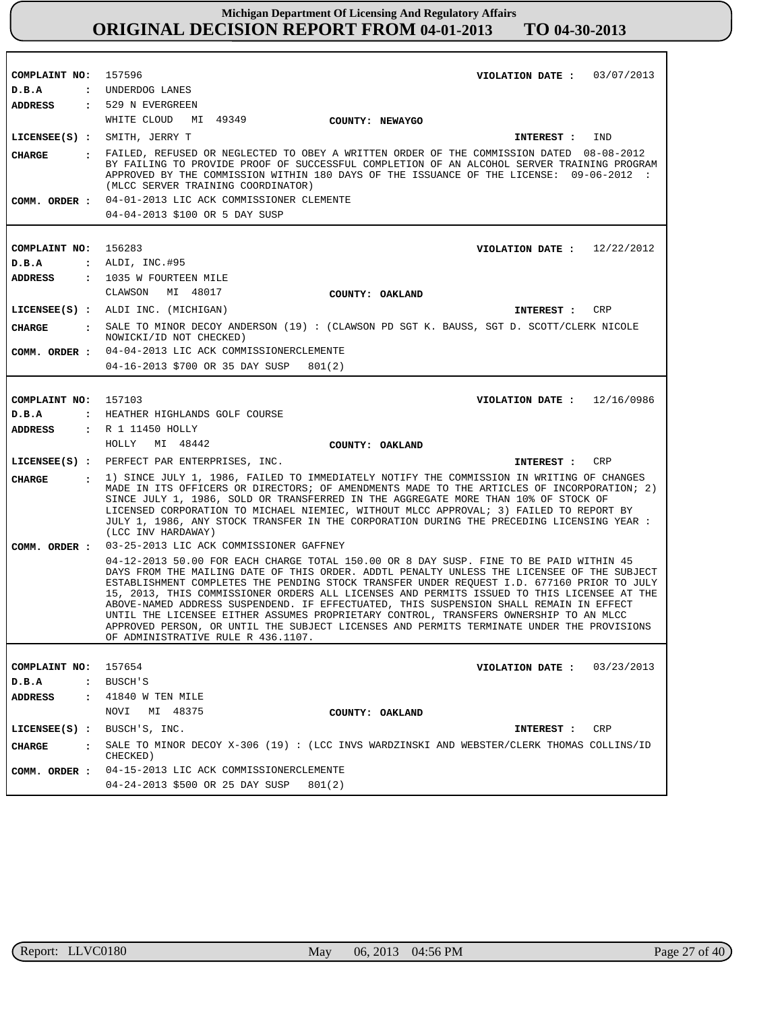| COMPLAINT NO:                          | 157596<br>VIOLATION DATE: $03/07/2013$                                                                                                                                                                                                                                                                                                                                                                                                                                                                                                                                                                                                                                                                 |
|----------------------------------------|--------------------------------------------------------------------------------------------------------------------------------------------------------------------------------------------------------------------------------------------------------------------------------------------------------------------------------------------------------------------------------------------------------------------------------------------------------------------------------------------------------------------------------------------------------------------------------------------------------------------------------------------------------------------------------------------------------|
| D.B.A                                  | : UNDERDOG LANES                                                                                                                                                                                                                                                                                                                                                                                                                                                                                                                                                                                                                                                                                       |
|                                        | ADDRESS : 529 N EVERGREEN                                                                                                                                                                                                                                                                                                                                                                                                                                                                                                                                                                                                                                                                              |
|                                        | WHITE CLOUD MI 49349<br><b>COUNTY: NEWAYGO</b>                                                                                                                                                                                                                                                                                                                                                                                                                                                                                                                                                                                                                                                         |
|                                        | LICENSEE(S) : SMITH, JERRY T<br>IND<br>INTEREST :                                                                                                                                                                                                                                                                                                                                                                                                                                                                                                                                                                                                                                                      |
| CHARGE                                 | FAILED, REFUSED OR NEGLECTED TO OBEY A WRITTEN ORDER OF THE COMMISSION DATED 08-08-2012<br>BY FAILING TO PROVIDE PROOF OF SUCCESSFUL COMPLETION OF AN ALCOHOL SERVER TRAINING PROGRAM<br>APPROVED BY THE COMMISSION WITHIN 180 DAYS OF THE ISSUANCE OF THE LICENSE: 09-06-2012 :<br>(MLCC SERVER TRAINING COORDINATOR)                                                                                                                                                                                                                                                                                                                                                                                 |
| COMM. ORDER :                          | 04-01-2013 LIC ACK COMMISSIONER CLEMENTE                                                                                                                                                                                                                                                                                                                                                                                                                                                                                                                                                                                                                                                               |
|                                        | 04-04-2013 \$100 OR 5 DAY SUSP                                                                                                                                                                                                                                                                                                                                                                                                                                                                                                                                                                                                                                                                         |
|                                        |                                                                                                                                                                                                                                                                                                                                                                                                                                                                                                                                                                                                                                                                                                        |
| COMPLAINT NO:                          | 156283<br>VIOLATION DATE : $12/22/2012$                                                                                                                                                                                                                                                                                                                                                                                                                                                                                                                                                                                                                                                                |
| D.B.A                                  | : ALDI, INC.#95                                                                                                                                                                                                                                                                                                                                                                                                                                                                                                                                                                                                                                                                                        |
| ADDRESS                                | : 1035 W FOURTEEN MILE                                                                                                                                                                                                                                                                                                                                                                                                                                                                                                                                                                                                                                                                                 |
|                                        | CLAWSON<br>MI 48017<br>COUNTY: OAKLAND                                                                                                                                                                                                                                                                                                                                                                                                                                                                                                                                                                                                                                                                 |
|                                        | LICENSEE(S) : ALDI INC. (MICHIGAN)<br>INTEREST : CRP                                                                                                                                                                                                                                                                                                                                                                                                                                                                                                                                                                                                                                                   |
| CHARGE                                 | : SALE TO MINOR DECOY ANDERSON (19) : (CLAWSON PD SGT K. BAUSS, SGT D. SCOTT/CLERK NICOLE<br>NOWICKI/ID NOT CHECKED)                                                                                                                                                                                                                                                                                                                                                                                                                                                                                                                                                                                   |
|                                        | COMM. ORDER : 04-04-2013 LIC ACK COMMISSIONERCLEMENTE                                                                                                                                                                                                                                                                                                                                                                                                                                                                                                                                                                                                                                                  |
|                                        | 04-16-2013 \$700 OR 35 DAY SUSP 801(2)                                                                                                                                                                                                                                                                                                                                                                                                                                                                                                                                                                                                                                                                 |
|                                        |                                                                                                                                                                                                                                                                                                                                                                                                                                                                                                                                                                                                                                                                                                        |
| COMPLAINT NO: 157103                   | VIOLATION DATE: 12/16/0986                                                                                                                                                                                                                                                                                                                                                                                                                                                                                                                                                                                                                                                                             |
| D.B.A                                  | : HEATHER HIGHLANDS GOLF COURSE                                                                                                                                                                                                                                                                                                                                                                                                                                                                                                                                                                                                                                                                        |
| ADDRESS                                | : R 1 11450 HOLLY                                                                                                                                                                                                                                                                                                                                                                                                                                                                                                                                                                                                                                                                                      |
|                                        | HOLLY<br>MI 48442<br><b>COUNTY: OAKLAND</b>                                                                                                                                                                                                                                                                                                                                                                                                                                                                                                                                                                                                                                                            |
|                                        | LICENSEE(S) : PERFECT PAR ENTERPRISES, INC.<br>CRP<br>INTEREST :                                                                                                                                                                                                                                                                                                                                                                                                                                                                                                                                                                                                                                       |
| <b>CHARGE</b>                          | . 1) SINCE JULY 1, 1986, FAILED TO IMMEDIATELY NOTIFY THE COMMISSION IN WRITING OF CHANGES<br>MADE IN ITS OFFICERS OR DIRECTORS; OF AMENDMENTS MADE TO THE ARTICLES OF INCORPORATION; 2)<br>SINCE JULY 1, 1986, SOLD OR TRANSFERRED IN THE AGGREGATE MORE THAN 10% OF STOCK OF<br>LICENSED CORPORATION TO MICHAEL NIEMIEC, WITHOUT MLCC APPROVAL; 3) FAILED TO REPORT BY<br>JULY 1, 1986, ANY STOCK TRANSFER IN THE CORPORATION DURING THE PRECEDING LICENSING YEAR:<br>(LCC INV HARDAWAY)                                                                                                                                                                                                             |
| COMM. ORDER :                          | 03-25-2013 LIC ACK COMMISSIONER GAFFNEY                                                                                                                                                                                                                                                                                                                                                                                                                                                                                                                                                                                                                                                                |
|                                        | 04-12-2013 50.00 FOR EACH CHARGE TOTAL 150.00 OR 8 DAY SUSP. FINE TO BE PAID WITHIN 45<br>DAYS FROM THE MAILING DATE OF THIS ORDER. ADDTL PENALTY UNLESS THE LICENSEE OF THE SUBJECT<br>ESTABLISHMENT COMPLETES THE PENDING STOCK TRANSFER UNDER REQUEST I.D. 677160 PRIOR TO JULY<br>15, 2013, THIS COMMISSIONER ORDERS ALL LICENSES AND PERMITS ISSUED TO THIS LICENSEE AT THE<br>ABOVE-NAMED ADDRESS SUSPENDEND. IF EFFECTUATED, THIS SUSPENSION SHALL REMAIN IN EFFECT<br>UNTIL THE LICENSEE EITHER ASSUMES PROPRIETARY CONTROL, TRANSFERS OWNERSHIP TO AN MLCC<br>APPROVED PERSON, OR UNTIL THE SUBJECT LICENSES AND PERMITS TERMINATE UNDER THE PROVISIONS<br>OF ADMINISTRATIVE RULE R 436.1107. |
|                                        |                                                                                                                                                                                                                                                                                                                                                                                                                                                                                                                                                                                                                                                                                                        |
| COMPLAINT NO:                          | 157654<br>03/23/2013<br>VIOLATION DATE :                                                                                                                                                                                                                                                                                                                                                                                                                                                                                                                                                                                                                                                               |
| D.B.A<br>$\ddot{\cdot}$                | BUSCH'S                                                                                                                                                                                                                                                                                                                                                                                                                                                                                                                                                                                                                                                                                                |
| <b>ADDRESS</b><br>$\ddot{\phantom{a}}$ | 41840 W TEN MILE                                                                                                                                                                                                                                                                                                                                                                                                                                                                                                                                                                                                                                                                                       |
|                                        |                                                                                                                                                                                                                                                                                                                                                                                                                                                                                                                                                                                                                                                                                                        |
|                                        | MI 48375<br>NOVI<br>COUNTY: OAKLAND                                                                                                                                                                                                                                                                                                                                                                                                                                                                                                                                                                                                                                                                    |
| $LICENSEE(S)$ :                        | BUSCH'S, INC.<br>CRP<br>INTEREST :                                                                                                                                                                                                                                                                                                                                                                                                                                                                                                                                                                                                                                                                     |
| CHARGE<br>$\ddot{\mathbf{r}}$          | SALE TO MINOR DECOY X-306 (19): (LCC INVS WARDZINSKI AND WEBSTER/CLERK THOMAS COLLINS/ID<br>CHECKED)                                                                                                                                                                                                                                                                                                                                                                                                                                                                                                                                                                                                   |
| COMM. ORDER :                          | 04-15-2013 LIC ACK COMMISSIONERCLEMENTE<br>04-24-2013 \$500 OR 25 DAY SUSP<br>801(2)                                                                                                                                                                                                                                                                                                                                                                                                                                                                                                                                                                                                                   |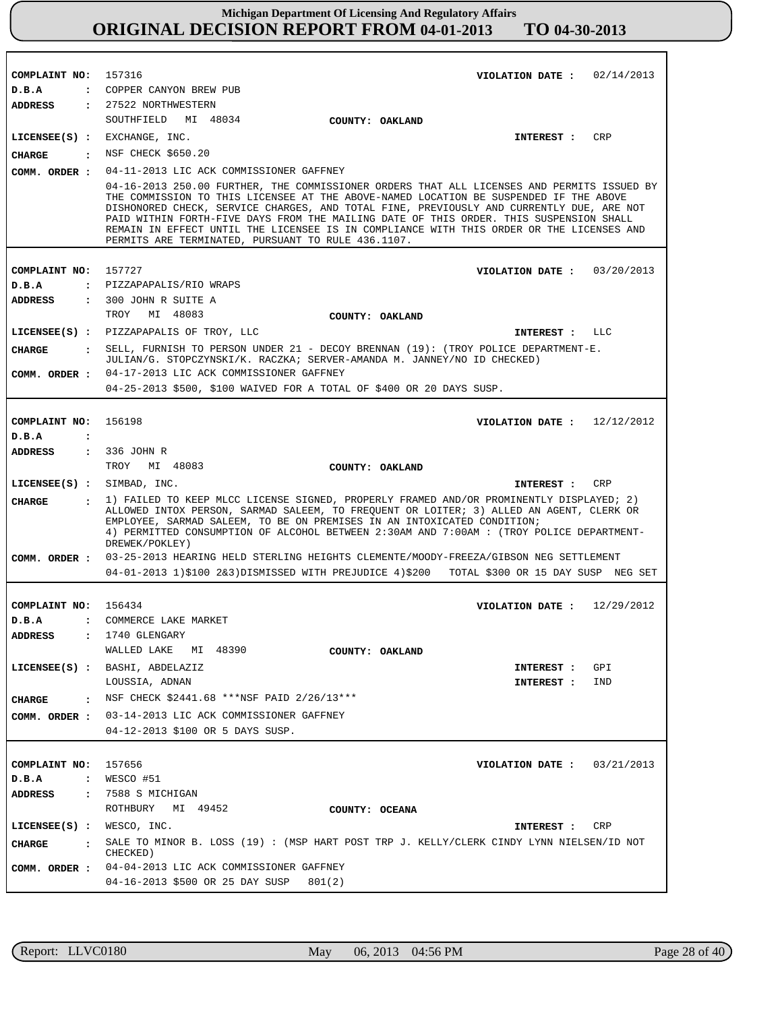| COMPLAINT NO: 157316          |                                                                                                                                                                                                                                                                                                                                                                                                                                                                                                                             |
|-------------------------------|-----------------------------------------------------------------------------------------------------------------------------------------------------------------------------------------------------------------------------------------------------------------------------------------------------------------------------------------------------------------------------------------------------------------------------------------------------------------------------------------------------------------------------|
| D.B.A                         | VIOLATION DATE: $02/14/2013$<br>: COPPER CANYON BREW PUB                                                                                                                                                                                                                                                                                                                                                                                                                                                                    |
|                               | ADDRESS : 27522 NORTHWESTERN                                                                                                                                                                                                                                                                                                                                                                                                                                                                                                |
|                               | SOUTHFIELD MI 48034<br>COUNTY: OAKLAND                                                                                                                                                                                                                                                                                                                                                                                                                                                                                      |
|                               | $LICENSEE(S)$ : EXCHANGE, INC.<br>CRP<br>INTEREST :                                                                                                                                                                                                                                                                                                                                                                                                                                                                         |
|                               | CHARGE : NSF CHECK \$650.20                                                                                                                                                                                                                                                                                                                                                                                                                                                                                                 |
|                               | COMM. ORDER : 04-11-2013 LIC ACK COMMISSIONER GAFFNEY                                                                                                                                                                                                                                                                                                                                                                                                                                                                       |
|                               | 04-16-2013 250.00 FURTHER, THE COMMISSIONER ORDERS THAT ALL LICENSES AND PERMITS ISSUED BY<br>THE COMMISSION TO THIS LICENSEE AT THE ABOVE-NAMED LOCATION BE SUSPENDED IF THE ABOVE<br>DISHONORED CHECK, SERVICE CHARGES, AND TOTAL FINE, PREVIOUSLY AND CURRENTLY DUE, ARE NOT<br>PAID WITHIN FORTH-FIVE DAYS FROM THE MAILING DATE OF THIS ORDER. THIS SUSPENSION SHALL<br>REMAIN IN EFFECT UNTIL THE LICENSEE IS IN COMPLIANCE WITH THIS ORDER OR THE LICENSES AND<br>PERMITS ARE TERMINATED, PURSUANT TO RULE 436.1107. |
| COMPLAINT NO: 157727          | VIOLATION DATE: $03/20/2013$                                                                                                                                                                                                                                                                                                                                                                                                                                                                                                |
| D.B.A                         | : PIZZAPAPALIS/RIO WRAPS                                                                                                                                                                                                                                                                                                                                                                                                                                                                                                    |
| ADDRESS                       | : 300 JOHN R SUITE A                                                                                                                                                                                                                                                                                                                                                                                                                                                                                                        |
|                               | TROY MI 48083<br>COUNTY: OAKLAND                                                                                                                                                                                                                                                                                                                                                                                                                                                                                            |
|                               | LICENSEE(S) : PIZZAPAPALIS OF TROY, LLC<br>INTEREST : LLC                                                                                                                                                                                                                                                                                                                                                                                                                                                                   |
| CHARGE                        | : SELL, FURNISH TO PERSON UNDER 21 - DECOY BRENNAN (19): (TROY POLICE DEPARTMENT-E.                                                                                                                                                                                                                                                                                                                                                                                                                                         |
|                               | JULIAN/G. STOPCZYNSKI/K. RACZKA; SERVER-AMANDA M. JANNEY/NO ID CHECKED)<br>COMM. ORDER : 04-17-2013 LIC ACK COMMISSIONER GAFFNEY                                                                                                                                                                                                                                                                                                                                                                                            |
|                               | 04-25-2013 \$500, \$100 WAIVED FOR A TOTAL OF \$400 OR 20 DAYS SUSP.                                                                                                                                                                                                                                                                                                                                                                                                                                                        |
|                               |                                                                                                                                                                                                                                                                                                                                                                                                                                                                                                                             |
| COMPLAINT NO: 156198          | VIOLATION DATE: $12/12/2012$                                                                                                                                                                                                                                                                                                                                                                                                                                                                                                |
| D.B.A<br>$\sim$ $\sim$        |                                                                                                                                                                                                                                                                                                                                                                                                                                                                                                                             |
| ADDRESS : 336 JOHN R          | TROY MI 48083<br>COUNTY: OAKLAND                                                                                                                                                                                                                                                                                                                                                                                                                                                                                            |
|                               |                                                                                                                                                                                                                                                                                                                                                                                                                                                                                                                             |
| LICENSEE(S) : SIMBAD, INC.    | INTEREST : CRP                                                                                                                                                                                                                                                                                                                                                                                                                                                                                                              |
| CHARGE                        | : 1) FAILED TO KEEP MLCC LICENSE SIGNED, PROPERLY FRAMED AND/OR PROMINENTLY DISPLAYED; 2)<br>ALLOWED INTOX PERSON, SARMAD SALEEM, TO FREQUENT OR LOITER; 3) ALLED AN AGENT, CLERK OR<br>EMPLOYEE, SARMAD SALEEM, TO BE ON PREMISES IN AN INTOXICATED CONDITION;<br>4) PERMITTED CONSUMPTION OF ALCOHOL BETWEEN 2:30AM AND 7:00AM: (TROY POLICE DEPARTMENT-<br>DREWEK/POKLEY)                                                                                                                                                |
|                               | COMM. ORDER : 03-25-2013 HEARING HELD STERLING HEIGHTS CLEMENTE/MOODY-FREEZA/GIBSON NEG SETTLEMENT<br>04-01-2013 1)\$100 2&3)DISMISSED WITH PREJUDICE 4)\$200 TOTAL \$300 OR 15 DAY SUSP NEG SET                                                                                                                                                                                                                                                                                                                            |
|                               |                                                                                                                                                                                                                                                                                                                                                                                                                                                                                                                             |
| COMPLAINT NO: 156434          | VIOLATION DATE: $12/29/2012$                                                                                                                                                                                                                                                                                                                                                                                                                                                                                                |
| D.B.A                         | : COMMERCE LAKE MARKET                                                                                                                                                                                                                                                                                                                                                                                                                                                                                                      |
| ADDRESS                       | 1740 GLENGARY<br>WALLED LAKE<br>MI 48390<br>COUNTY: OAKLAND                                                                                                                                                                                                                                                                                                                                                                                                                                                                 |
|                               | LICENSEE(S) : BASHI, ABDELAZIZ<br>GPI<br>INTEREST :                                                                                                                                                                                                                                                                                                                                                                                                                                                                         |
|                               | LOUSSIA, ADNAN<br>INTEREST :<br>IND                                                                                                                                                                                                                                                                                                                                                                                                                                                                                         |
| CHARGE<br>$\cdot$             | NSF CHECK \$2441.68 ***NSF PAID 2/26/13***                                                                                                                                                                                                                                                                                                                                                                                                                                                                                  |
|                               | COMM. ORDER : 03-14-2013 LIC ACK COMMISSIONER GAFFNEY                                                                                                                                                                                                                                                                                                                                                                                                                                                                       |
|                               | 04-12-2013 \$100 OR 5 DAYS SUSP.                                                                                                                                                                                                                                                                                                                                                                                                                                                                                            |
|                               |                                                                                                                                                                                                                                                                                                                                                                                                                                                                                                                             |
| COMPLAINT NO:                 | 157656<br>VIOLATION DATE :<br>03/21/2013                                                                                                                                                                                                                                                                                                                                                                                                                                                                                    |
| D.B.A                         | $:$ WESCO #51                                                                                                                                                                                                                                                                                                                                                                                                                                                                                                               |
| ADDRESS                       | : 7588 S MICHIGAN                                                                                                                                                                                                                                                                                                                                                                                                                                                                                                           |
|                               | ROTHBURY<br>MI 49452<br>COUNTY: OCEANA                                                                                                                                                                                                                                                                                                                                                                                                                                                                                      |
| $LICENSEE(S)$ : WESCO, INC.   | CRP<br>INTEREST :                                                                                                                                                                                                                                                                                                                                                                                                                                                                                                           |
| <b>CHARGE</b><br>$\mathbf{r}$ | SALE TO MINOR B. LOSS (19): (MSP HART POST TRP J. KELLY/CLERK CINDY LYNN NIELSEN/ID NOT<br>CHECKED)                                                                                                                                                                                                                                                                                                                                                                                                                         |
|                               | COMM. ORDER : 04-04-2013 LIC ACK COMMISSIONER GAFFNEY                                                                                                                                                                                                                                                                                                                                                                                                                                                                       |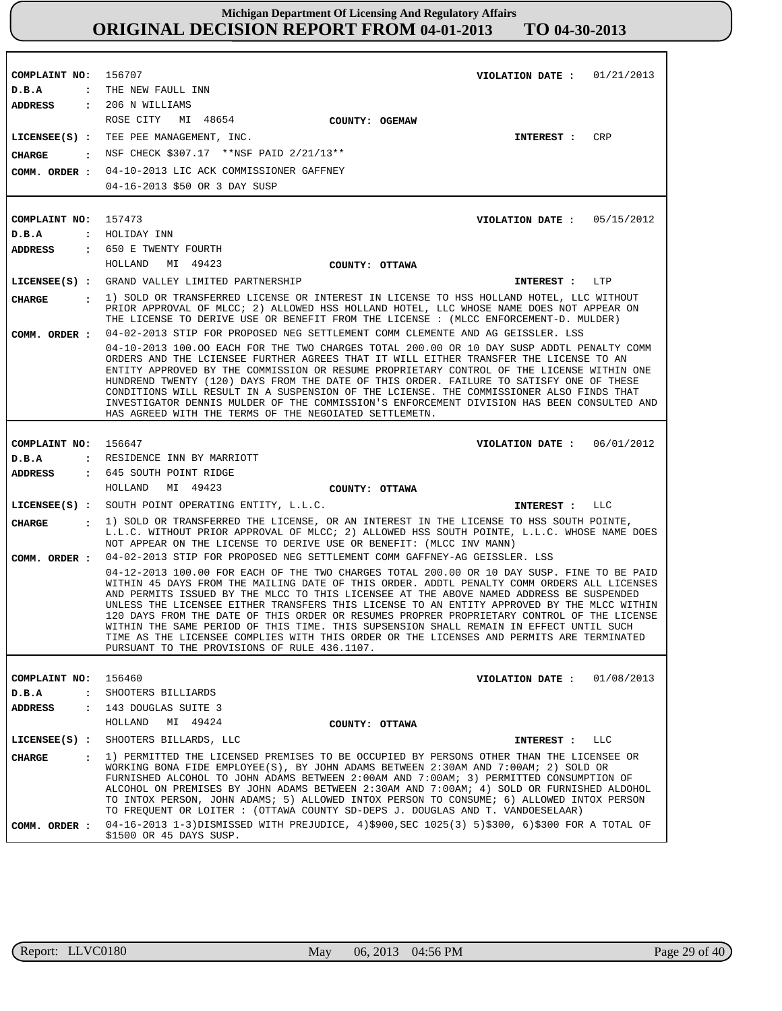**COMPLAINT NO: COMPLAINT NO: COMPLAINT NO:** 156647 **COMPLAINT NO:** 156460 156707 157473 **VIOLATION DATE : VIOLATION DATE : VIOLATION DATE : VIOLATION DATE :** 01/21/2013 05/15/2012 06/01/2012 01/08/2013 **D.B.A : D.B.A : D.B.A : D.B.A :** THE NEW FAULL INN HOLIDAY INN RESIDENCE INN BY MARRIOTT SHOOTERS BILLIARDS **ADDRESS : ADDRESS : ADDRESS : ADDRESS :** 206 N WILLIAMS 650 E TWENTY FOURTH 645 SOUTH POINT RIDGE 143 DOUGLAS SUITE 3 ROSE CITY MI 48654 HOLLAND MI 49423 HOLLAND MI 49423 HOLLAND MI 49424 04-10-2013 LIC ACK COMMISSIONER GAFFNEY 04-16-2013 \$50 OR 3 DAY SUSP 04-02-2013 STIP FOR PROPOSED NEG SETTLEMENT COMM CLEMENTE AND AG GEISSLER. LSS 04-10-2013 100.OO EACH FOR THE TWO CHARGES TOTAL 200.00 OR 10 DAY SUSP ADDTL PENALTY COMM ORDERS AND THE LCIENSEE FURTHER AGREES THAT IT WILL EITHER TRANSFER THE LICENSE TO AN ENTITY APPROVED BY THE COMMISSION OR RESUME PROPRIETARY CONTROL OF THE LICENSE WITHIN ONE HUNDREND TWENTY (120) DAYS FROM THE DATE OF THIS ORDER. FAILURE TO SATISFY ONE OF THESE CONDITIONS WILL RESULT IN A SUSPENSION OF THE LCIENSE. THE COMMISSIONER ALSO FINDS THAT INVESTIGATOR DENNIS MULDER OF THE COMMISSION'S ENFORCEMENT DIVISION HAS BEEN CONSULTED AND HAS AGREED WITH THE TERMS OF THE NEGOIATED SETTLEMETN. 04-02-2013 STIP FOR PROPOSED NEG SETTLEMENT COMM GAFFNEY-AG GEISSLER. LSS 04-12-2013 100.00 FOR EACH OF THE TWO CHARGES TOTAL 200.00 OR 10 DAY SUSP. FINE TO BE PAID WITHIN 45 DAYS FROM THE MAILING DATE OF THIS ORDER. ADDTL PENALTY COMM ORDERS ALL LICENSES AND PERMITS ISSUED BY THE MLCC TO THIS LICENSEE AT THE ABOVE NAMED ADDRESS BE SUSPENDED UNLESS THE LICENSEE EITHER TRANSFERS THIS LICENSE TO AN ENTITY APPROVED BY THE MLCC WITHIN 120 DAYS FROM THE DATE OF THIS ORDER OR RESUMES PROPRER PROPRIETARY CONTROL OF THE LICENSE WITHIN THE SAME PERIOD OF THIS TIME. THIS SUPSENSION SHALL REMAIN IN EFFECT UNTIL SUCH TIME AS THE LICENSEE COMPLIES WITH THIS ORDER OR THE LICENSES AND PERMITS ARE TERMINATED PURSUANT TO THE PROVISIONS OF RULE 436.1107. 04-16-2013 1-3)DISMISSED WITH PREJUDICE, 4)\$900,SEC 1025(3) 5)\$300, 6)\$300 FOR A TOTAL OF \$1500 OR 45 DAYS SUSP. **LICENSEE(S) : LICENSEE(S) :** GRAND VALLEY LIMITED PARTNERSHIP **LICENSEE(S) : LICENSEE(S) :** SHOOTERS BILLARDS, LLC TEE PEE MANAGEMENT, INC. SOUTH POINT OPERATING ENTITY, L.L.C. **CRP** T.TP LLC LLC **CHARGE : CHARGE : CHARGE : CHARGE :** NSF CHECK \$307.17 \*\*NSF PAID 2/21/13\*\* 1) SOLD OR TRANSFERRED LICENSE OR INTEREST IN LICENSE TO HSS HOLLAND HOTEL, LLC WITHOUT PRIOR APPROVAL OF MLCC; 2) ALLOWED HSS HOLLAND HOTEL, LLC WHOSE NAME DOES NOT APPEAR ON THE LICENSE TO DERIVE USE OR BENEFIT FROM THE LICENSE : (MLCC ENFORCEMENT-D. MULDER) 1) SOLD OR TRANSFERRED THE LICENSE, OR AN INTEREST IN THE LICENSE TO HSS SOUTH POINTE, L.L.C. WITHOUT PRIOR APPROVAL OF MLCC; 2) ALLOWED HSS SOUTH POINTE, L.L.C. WHOSE NAME DOES NOT APPEAR ON THE LICENSE TO DERIVE USE OR BENEFIT: (MLCC INV MANN) 1) PERMITTED THE LICENSED PREMISES TO BE OCCUPIED BY PERSONS OTHER THAN THE LICENSEE OR WORKING BONA FIDE EMPLOYEE(S), BY JOHN ADAMS BETWEEN 2:30AM AND 7:00AM; 2) SOLD OR FURNISHED ALCOHOL TO JOHN ADAMS BETWEEN 2:00AM AND 7:00AM; 3) PERMITTED CONSUMPTION OF ALCOHOL ON PREMISES BY JOHN ADAMS BETWEEN 2:30AM AND 7:00AM; 4) SOLD OR FURNISHED ALDOHOL TO INTOX PERSON, JOHN ADAMS; 5) ALLOWED INTOX PERSON TO CONSUME; 6) ALLOWED INTOX PERSON TO FREQUENT OR LOITER : (OTTAWA COUNTY SD-DEPS J. DOUGLAS AND T. VANDOESELAAR) **INTEREST : INTEREST : INTEREST : INTEREST : COMM. ORDER : COMM. ORDER : COMM. ORDER : COMM. ORDER : COUNTY: OGEMAW COUNTY: OTTAWA COUNTY: OTTAWA COUNTY: OTTAWA**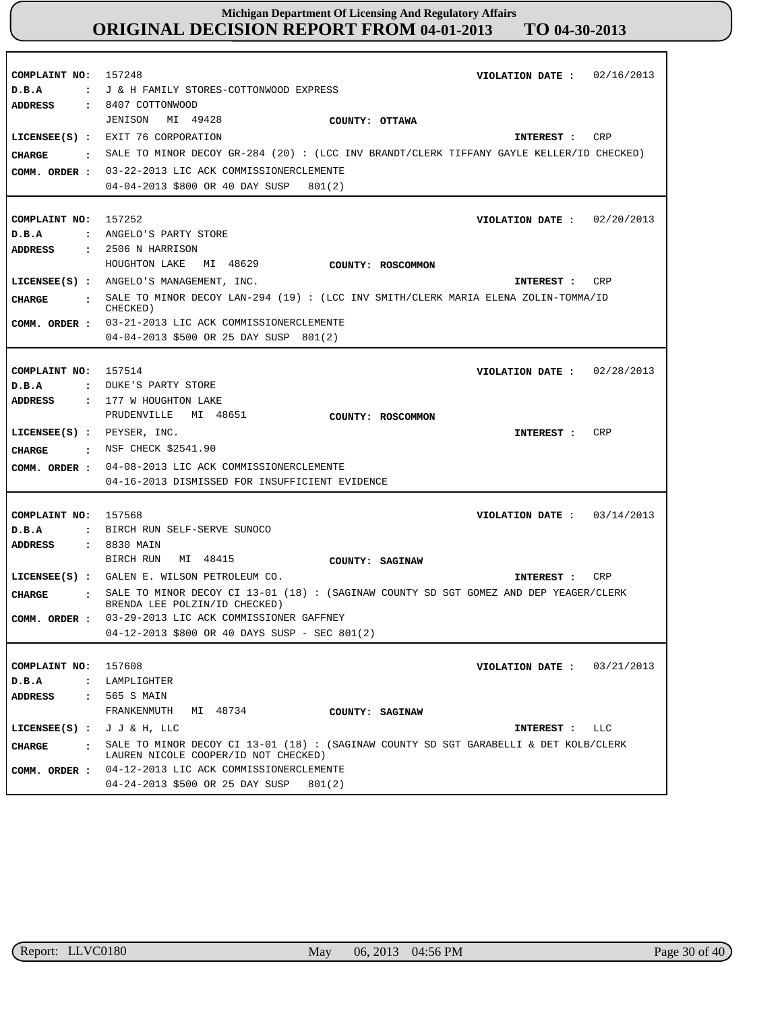| COMPLAINT NO:<br>D.B.A<br>$\mathbf{r}$<br><b>ADDRESS</b>                                 | 02/16/2013<br>157248<br>VIOLATION DATE :<br>J & H FAMILY STORES-COTTONWOOD EXPRESS<br>8407 COTTONWOOD                                                                                                                                                                                                                              |
|------------------------------------------------------------------------------------------|------------------------------------------------------------------------------------------------------------------------------------------------------------------------------------------------------------------------------------------------------------------------------------------------------------------------------------|
| $\mathbf{r}$<br><b>CHARGE</b><br>COMM. ORDER :                                           | MI 49428<br>JENISON<br>COUNTY: OTTAWA<br>LICENSEE(S) : EXIT 76 CORPORATION<br>CRP<br>INTEREST :<br>SALE TO MINOR DECOY GR-284 (20) : (LCC INV BRANDT/CLERK TIFFANY GAYLE KELLER/ID CHECKED)<br>03-22-2013 LIC ACK COMMISSIONERCLEMENTE<br>04-04-2013 \$800 OR 40 DAY SUSP<br>801(2)                                                |
| COMPLAINT NO:<br>D.B.A<br>ADDRESS                                                        | 157252<br>VIOLATION DATE: $02/20/2013$<br>: ANGELO'S PARTY STORE<br>$: 2506$ N HARRISON                                                                                                                                                                                                                                            |
| <b>CHARGE</b>                                                                            | HOUGHTON LAKE<br>MI 48629<br>COUNTY: ROSCOMMON<br>LICENSEE(S) : ANGELO'S MANAGEMENT, INC.<br>CRP<br>INTEREST :<br>: SALE TO MINOR DECOY LAN-294 (19) : (LCC INV SMITH/CLERK MARIA ELENA ZOLIN-TOMMA/ID<br>CHECKED)<br>COMM. ORDER : 03-21-2013 LIC ACK COMMISSIONERCLEMENTE<br>04-04-2013 \$500 OR 25 DAY SUSP 801(2)              |
| COMPLAINT NO:<br>D.B.A<br>$\ddot{\cdot}$<br>ADDRESS<br>$\ddot{\phantom{a}}$              | 157514<br>VIOLATION DATE: $02/28/2013$<br>DUKE'S PARTY STORE<br>177 W HOUGHTON LAKE<br>PRUDENVILLE<br>MI 48651<br>COUNTY: ROSCOMMON                                                                                                                                                                                                |
| LICENSEE(S) : PEXSER, INC.<br>CHARGE<br>$\sim$ $\sim$ $\sim$<br>COMM. ORDER :            | CRP<br>INTEREST :<br>NSF CHECK \$2541.90<br>04-08-2013 LIC ACK COMMISSIONERCLEMENTE<br>04-16-2013 DISMISSED FOR INSUFFICIENT EVIDENCE                                                                                                                                                                                              |
| COMPLAINT NO:<br>D.B.A<br>$\ddot{\phantom{a}}$<br><b>ADDRESS</b><br>$\ddot{\phantom{a}}$ | 157568<br>03/14/2013<br>VIOLATION DATE :<br>BIRCH RUN SELF-SERVE SUNOCO<br>8830 MAIN                                                                                                                                                                                                                                               |
| <b>CHARGE</b><br>$\mathbf{r}$<br>COMM. ORDER :                                           | BIRCH RUN<br>MI 48415<br>COUNTY: SAGINAW<br>LICENSEE(S) : GALEN E. WILSON PETROLEUM CO.<br>CRP<br>INTEREST :<br>SALE TO MINOR DECOY CI 13-01 (18) : (SAGINAW COUNTY SD SGT GOMEZ AND DEP YEAGER/CLERK<br>BRENDA LEE POLZIN/ID CHECKED)<br>03-29-2013 LIC ACK COMMISSIONER GAFFNEY<br>04-12-2013 \$800 OR 40 DAYS SUSP - SEC 801(2) |
| COMPLAINT NO:<br>D.B.A<br>ADDRESS                                                        | 157608<br>VIOLATION DATE: $03/21/2013$<br>: LAMPLIGHTER<br>: 565 S MAIN<br>FRANKENMUTH<br>MI 48734<br>COUNTY: SAGINAW                                                                                                                                                                                                              |
| LICENSEE(S) : $J J & H$ , LLC<br>CHARGE<br>$\sim$ $\sim$<br>COMM. ORDER :                | INTEREST : LLC<br>SALE TO MINOR DECOY CI 13-01 (18) : (SAGINAW COUNTY SD SGT GARABELLI & DET KOLB/CLERK<br>LAUREN NICOLE COOPER/ID NOT CHECKED)<br>04-12-2013 LIC ACK COMMISSIONERCLEMENTE<br>04-24-2013 \$500 OR 25 DAY SUSP<br>801(2)                                                                                            |

r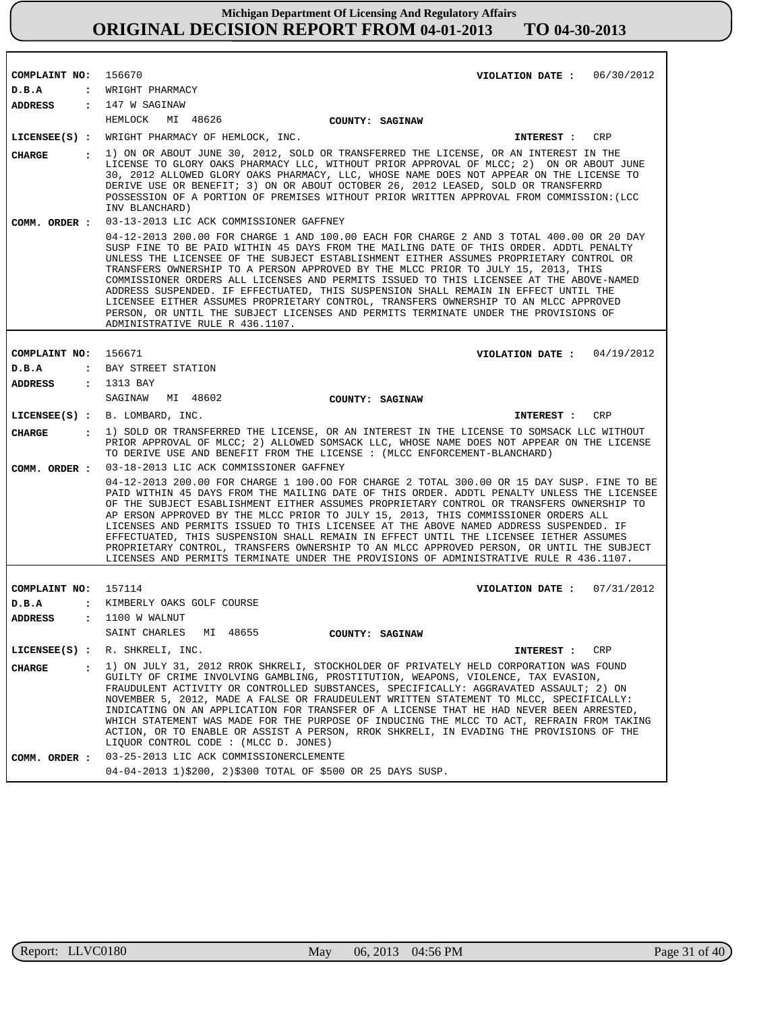| COMPLAINT NO:                   | 156670<br>VIOLATION DATE: $06/30/2012$<br>: WRIGHT PHARMACY                                                                                                                                                                                                                                                                                                                                                                                                                                                                                                                                                                                                                                                                                                           |
|---------------------------------|-----------------------------------------------------------------------------------------------------------------------------------------------------------------------------------------------------------------------------------------------------------------------------------------------------------------------------------------------------------------------------------------------------------------------------------------------------------------------------------------------------------------------------------------------------------------------------------------------------------------------------------------------------------------------------------------------------------------------------------------------------------------------|
| D.B.A                           |                                                                                                                                                                                                                                                                                                                                                                                                                                                                                                                                                                                                                                                                                                                                                                       |
| ADDRESS                         | : 147 W SAGINAW                                                                                                                                                                                                                                                                                                                                                                                                                                                                                                                                                                                                                                                                                                                                                       |
|                                 | HEMLOCK<br>MI 48626<br>COUNTY: SAGINAW                                                                                                                                                                                                                                                                                                                                                                                                                                                                                                                                                                                                                                                                                                                                |
|                                 | LICENSEE(S) : WRIGHT PHARMACY OF HEMLOCK, INC.<br>CRP<br>INTEREST :                                                                                                                                                                                                                                                                                                                                                                                                                                                                                                                                                                                                                                                                                                   |
| <b>CHARGE</b><br>$\mathbf{r}$   | 1) ON OR ABOUT JUNE 30, 2012, SOLD OR TRANSFERRED THE LICENSE, OR AN INTEREST IN THE<br>LICENSE TO GLORY OAKS PHARMACY LLC, WITHOUT PRIOR APPROVAL OF MLCC; 2) ON OR ABOUT JUNE<br>30, 2012 ALLOWED GLORY OAKS PHARMACY, LLC, WHOSE NAME DOES NOT APPEAR ON THE LICENSE TO<br>DERIVE USE OR BENEFIT; 3) ON OR ABOUT OCTOBER 26, 2012 LEASED, SOLD OR TRANSFERRD<br>POSSESSION OF A PORTION OF PREMISES WITHOUT PRIOR WRITTEN APPROVAL FROM COMMISSION: (LCC<br>INV BLANCHARD)                                                                                                                                                                                                                                                                                         |
| COMM. ORDER :                   | 03-13-2013 LIC ACK COMMISSIONER GAFFNEY                                                                                                                                                                                                                                                                                                                                                                                                                                                                                                                                                                                                                                                                                                                               |
|                                 | 04-12-2013 200.00 FOR CHARGE 1 AND 100.00 EACH FOR CHARGE 2 AND 3 TOTAL 400.00 OR 20 DAY<br>SUSP FINE TO BE PAID WITHIN 45 DAYS FROM THE MAILING DATE OF THIS ORDER. ADDTL PENALTY<br>UNLESS THE LICENSEE OF THE SUBJECT ESTABLISHMENT EITHER ASSUMES PROPRIETARY CONTROL OR<br>TRANSFERS OWNERSHIP TO A PERSON APPROVED BY THE MLCC PRIOR TO JULY 15, 2013, THIS<br>COMMISSIONER ORDERS ALL LICENSES AND PERMITS ISSUED TO THIS LICENSEE AT THE ABOVE-NAMED<br>ADDRESS SUSPENDED. IF EFFECTUATED, THIS SUSPENSION SHALL REMAIN IN EFFECT UNTIL THE<br>LICENSEE EITHER ASSUMES PROPRIETARY CONTROL, TRANSFERS OWNERSHIP TO AN MLCC APPROVED<br>PERSON, OR UNTIL THE SUBJECT LICENSES AND PERMITS TERMINATE UNDER THE PROVISIONS OF<br>ADMINISTRATIVE RULE R 436.1107. |
|                                 |                                                                                                                                                                                                                                                                                                                                                                                                                                                                                                                                                                                                                                                                                                                                                                       |
| COMPLAINT NO:                   | 156671<br>VIOLATION DATE : $04/19/2012$                                                                                                                                                                                                                                                                                                                                                                                                                                                                                                                                                                                                                                                                                                                               |
| D.B.A                           | : BAY STREET STATION                                                                                                                                                                                                                                                                                                                                                                                                                                                                                                                                                                                                                                                                                                                                                  |
| <b>ADDRESS</b>                  | : 1313 BAY                                                                                                                                                                                                                                                                                                                                                                                                                                                                                                                                                                                                                                                                                                                                                            |
|                                 | SAGINAW MI 48602<br>COUNTY: SAGINAW                                                                                                                                                                                                                                                                                                                                                                                                                                                                                                                                                                                                                                                                                                                                   |
|                                 | LICENSEE(S) : B. LOMBARD, INC.<br>CRP<br><b>INTEREST :</b>                                                                                                                                                                                                                                                                                                                                                                                                                                                                                                                                                                                                                                                                                                            |
| CHARGE<br>$\mathbf{r}$          | 1) SOLD OR TRANSFERRED THE LICENSE, OR AN INTEREST IN THE LICENSE TO SOMSACK LLC WITHOUT<br>PRIOR APPROVAL OF MLCC; 2) ALLOWED SOMSACK LLC, WHOSE NAME DOES NOT APPEAR ON THE LICENSE<br>TO DERIVE USE AND BENEFIT FROM THE LICENSE : (MLCC ENFORCEMENT-BLANCHARD)                                                                                                                                                                                                                                                                                                                                                                                                                                                                                                    |
| COMM. ORDER :                   | 03-18-2013 LIC ACK COMMISSIONER GAFFNEY                                                                                                                                                                                                                                                                                                                                                                                                                                                                                                                                                                                                                                                                                                                               |
|                                 | 04-12-2013 200.00 FOR CHARGE 1 100.00 FOR CHARGE 2 TOTAL 300.00 OR 15 DAY SUSP. FINE TO BE<br>PAID WITHIN 45 DAYS FROM THE MAILING DATE OF THIS ORDER. ADDTL PENALTY UNLESS THE LICENSEE<br>OF THE SUBJECT ESABLISHMENT EITHER ASSUMES PROPRIETARY CONTROL OR TRANSFERS OWNERSHIP TO<br>AP ERSON APPROVED BY THE MLCC PRIOR TO JULY 15, 2013, THIS COMMISSIONER ORDERS ALL<br>LICENSES AND PERMITS ISSUED TO THIS LICENSEE AT THE ABOVE NAMED ADDRESS SUSPENDED. IF<br>EFFECTUATED, THIS SUSPENSION SHALL REMAIN IN EFFECT UNTIL THE LICENSEE IETHER ASSUMES<br>PROPRIETARY CONTROL, TRANSFERS OWNERSHIP TO AN MLCC APPROVED PERSON, OR UNTIL THE SUBJECT<br>LICENSES AND PERMITS TERMINATE UNDER THE PROVISIONS OF ADMINISTRATIVE RULE R 436.1107.                   |
|                                 |                                                                                                                                                                                                                                                                                                                                                                                                                                                                                                                                                                                                                                                                                                                                                                       |
| COMPLAINT NO:                   | 157114<br>07/31/2012<br>VIOLATION DATE :                                                                                                                                                                                                                                                                                                                                                                                                                                                                                                                                                                                                                                                                                                                              |
| D.B.A<br>$\ddot{\cdot}$         | KIMBERLY OAKS GOLF COURSE                                                                                                                                                                                                                                                                                                                                                                                                                                                                                                                                                                                                                                                                                                                                             |
| <b>ADDRESS</b>                  | 1100 W WALNUT                                                                                                                                                                                                                                                                                                                                                                                                                                                                                                                                                                                                                                                                                                                                                         |
|                                 | SAINT CHARLES<br>MI 48655<br>COUNTY: SAGINAW                                                                                                                                                                                                                                                                                                                                                                                                                                                                                                                                                                                                                                                                                                                          |
| $LICENSEE(S)$ :                 | R. SHKRELI, INC.<br>CRP<br>INTEREST :                                                                                                                                                                                                                                                                                                                                                                                                                                                                                                                                                                                                                                                                                                                                 |
| <b>CHARGE</b><br>$\ddot{\cdot}$ | 1) ON JULY 31, 2012 RROK SHKRELI, STOCKHOLDER OF PRIVATELY HELD CORPORATION WAS FOUND<br>GUILTY OF CRIME INVOLVING GAMBLING, PROSTITUTION, WEAPONS, VIOLENCE, TAX EVASION,<br>FRAUDULENT ACTIVITY OR CONTROLLED SUBSTANCES, SPECIFICALLY: AGGRAVATED ASSAULT; 2) ON<br>NOVEMBER 5, 2012, MADE A FALSE OR FRAUDEULENT WRITTEN STATEMENT TO MLCC, SPECIFICALLY:<br>INDICATING ON AN APPLICATION FOR TRANSFER OF A LICENSE THAT HE HAD NEVER BEEN ARRESTED,<br>WHICH STATEMENT WAS MADE FOR THE PURPOSE OF INDUCING THE MLCC TO ACT, REFRAIN FROM TAKING<br>ACTION, OR TO ENABLE OR ASSIST A PERSON, RROK SHKRELI, IN EVADING THE PROVISIONS OF THE<br>LIQUOR CONTROL CODE : (MLCC D. JONES)                                                                             |
| COMM. ORDER :                   | 03-25-2013 LIC ACK COMMISSIONERCLEMENTE                                                                                                                                                                                                                                                                                                                                                                                                                                                                                                                                                                                                                                                                                                                               |
|                                 | 04-04-2013 1)\$200, 2)\$300 TOTAL OF \$500 OR 25 DAYS SUSP.                                                                                                                                                                                                                                                                                                                                                                                                                                                                                                                                                                                                                                                                                                           |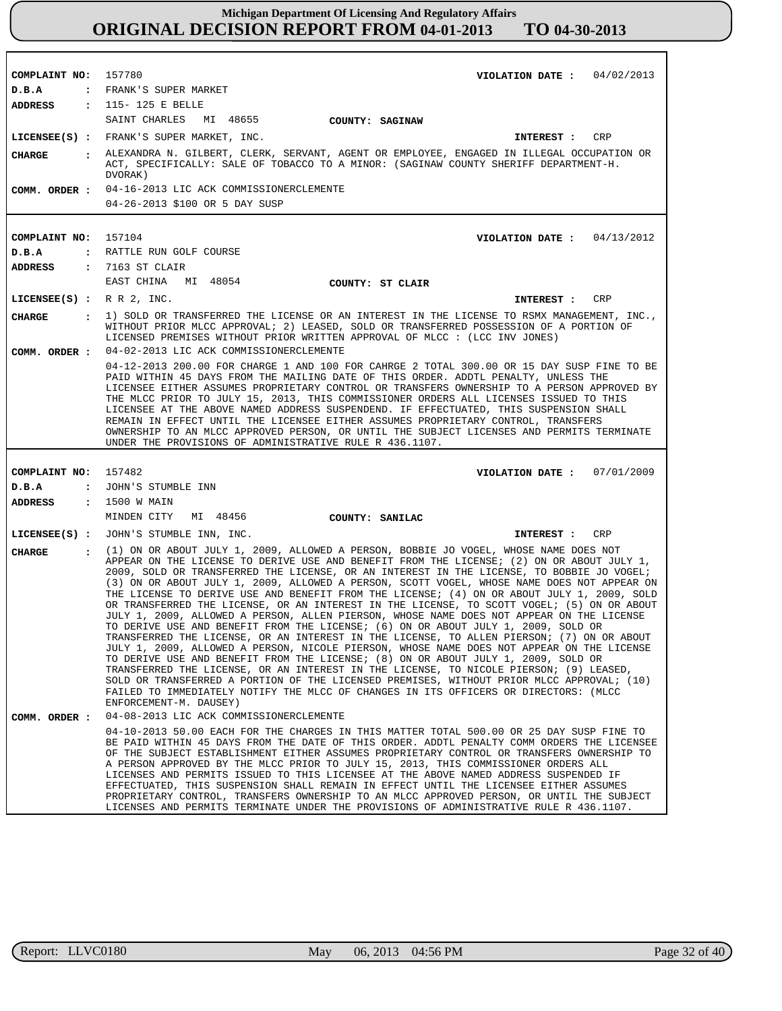| COMPLAINT NO: 157780                  | VIOLATION DATE: $04/02/2013$                                                                                                                                                                                                                                                                                                                                                                                                                                                                                                                                                                                                                                                                                                                                                                                                                                                                                                                                                                                                                                                                                                                                                                                                                                                                                                                      |
|---------------------------------------|---------------------------------------------------------------------------------------------------------------------------------------------------------------------------------------------------------------------------------------------------------------------------------------------------------------------------------------------------------------------------------------------------------------------------------------------------------------------------------------------------------------------------------------------------------------------------------------------------------------------------------------------------------------------------------------------------------------------------------------------------------------------------------------------------------------------------------------------------------------------------------------------------------------------------------------------------------------------------------------------------------------------------------------------------------------------------------------------------------------------------------------------------------------------------------------------------------------------------------------------------------------------------------------------------------------------------------------------------|
| D.B.A                                 | : FRANK'S SUPER MARKET                                                                                                                                                                                                                                                                                                                                                                                                                                                                                                                                                                                                                                                                                                                                                                                                                                                                                                                                                                                                                                                                                                                                                                                                                                                                                                                            |
|                                       | ADDRESS : 115-125 E BELLE                                                                                                                                                                                                                                                                                                                                                                                                                                                                                                                                                                                                                                                                                                                                                                                                                                                                                                                                                                                                                                                                                                                                                                                                                                                                                                                         |
|                                       | SAINT CHARLES MI 48655<br>COUNTY: SAGINAW                                                                                                                                                                                                                                                                                                                                                                                                                                                                                                                                                                                                                                                                                                                                                                                                                                                                                                                                                                                                                                                                                                                                                                                                                                                                                                         |
|                                       | LICENSEE(S) : FRANK'S SUPER MARKET, INC.<br>CRP<br><b>INTEREST :</b>                                                                                                                                                                                                                                                                                                                                                                                                                                                                                                                                                                                                                                                                                                                                                                                                                                                                                                                                                                                                                                                                                                                                                                                                                                                                              |
| CHARGE                                | : ALEXANDRA N. GILBERT, CLERK, SERVANT, AGENT OR EMPLOYEE, ENGAGED IN ILLEGAL OCCUPATION OR<br>ACT, SPECIFICALLY: SALE OF TOBACCO TO A MINOR: (SAGINAW COUNTY SHERIFF DEPARTMENT-H.<br>DVORAK)                                                                                                                                                                                                                                                                                                                                                                                                                                                                                                                                                                                                                                                                                                                                                                                                                                                                                                                                                                                                                                                                                                                                                    |
| COMM. ORDER :                         | 04-16-2013 LIC ACK COMMISSIONERCLEMENTE<br>04-26-2013 \$100 OR 5 DAY SUSP                                                                                                                                                                                                                                                                                                                                                                                                                                                                                                                                                                                                                                                                                                                                                                                                                                                                                                                                                                                                                                                                                                                                                                                                                                                                         |
|                                       |                                                                                                                                                                                                                                                                                                                                                                                                                                                                                                                                                                                                                                                                                                                                                                                                                                                                                                                                                                                                                                                                                                                                                                                                                                                                                                                                                   |
| COMPLAINT NO: 157104                  | VIOLATION DATE : $04/13/2012$                                                                                                                                                                                                                                                                                                                                                                                                                                                                                                                                                                                                                                                                                                                                                                                                                                                                                                                                                                                                                                                                                                                                                                                                                                                                                                                     |
| D.B.A                                 | : RATTLE RUN GOLF COURSE                                                                                                                                                                                                                                                                                                                                                                                                                                                                                                                                                                                                                                                                                                                                                                                                                                                                                                                                                                                                                                                                                                                                                                                                                                                                                                                          |
| ADDRESS                               | : 7163 ST CLAIR                                                                                                                                                                                                                                                                                                                                                                                                                                                                                                                                                                                                                                                                                                                                                                                                                                                                                                                                                                                                                                                                                                                                                                                                                                                                                                                                   |
|                                       | EAST CHINA MI 48054<br>COUNTY: ST CLAIR                                                                                                                                                                                                                                                                                                                                                                                                                                                                                                                                                                                                                                                                                                                                                                                                                                                                                                                                                                                                                                                                                                                                                                                                                                                                                                           |
| LICENSEE $(S)$ : R R 2, INC.          | CRP<br><b>INTEREST :</b>                                                                                                                                                                                                                                                                                                                                                                                                                                                                                                                                                                                                                                                                                                                                                                                                                                                                                                                                                                                                                                                                                                                                                                                                                                                                                                                          |
| <b>CHARGE</b><br>$\sim$ $\sim$ $\sim$ | 1) SOLD OR TRANSFERRED THE LICENSE OR AN INTEREST IN THE LICENSE TO RSMX MANAGEMENT, INC.,<br>WITHOUT PRIOR MLCC APPROVAL; 2) LEASED, SOLD OR TRANSFERRED POSSESSION OF A PORTION OF<br>LICENSED PREMISES WITHOUT PRIOR WRITTEN APPROVAL OF MLCC : (LCC INV JONES)                                                                                                                                                                                                                                                                                                                                                                                                                                                                                                                                                                                                                                                                                                                                                                                                                                                                                                                                                                                                                                                                                |
|                                       | COMM. ORDER : 04-02-2013 LIC ACK COMMISSIONERCLEMENTE                                                                                                                                                                                                                                                                                                                                                                                                                                                                                                                                                                                                                                                                                                                                                                                                                                                                                                                                                                                                                                                                                                                                                                                                                                                                                             |
|                                       | 04-12-2013 200.00 FOR CHARGE 1 AND 100 FOR CAHRGE 2 TOTAL 300.00 OR 15 DAY SUSP FINE TO BE<br>PAID WITHIN 45 DAYS FROM THE MAILING DATE OF THIS ORDER. ADDTL PENALTY, UNLESS THE<br>LICENSEE EITHER ASSUMES PROPRIETARY CONTROL OR TRANSFERS OWNERSHIP TO A PERSON APPROVED BY<br>THE MLCC PRIOR TO JULY 15, 2013, THIS COMMISSIONER ORDERS ALL LICENSES ISSUED TO THIS<br>LICENSEE AT THE ABOVE NAMED ADDRESS SUSPENDEND. IF EFFECTUATED, THIS SUSPENSION SHALL<br>REMAIN IN EFFECT UNTIL THE LICENSEE EITHER ASSUMES PROPRIETARY CONTROL, TRANSFERS<br>OWNERSHIP TO AN MLCC APPROVED PERSON, OR UNTIL THE SUBJECT LICENSES AND PERMITS TERMINATE<br>UNDER THE PROVISIONS OF ADMINISTRATIVE RULE R 436.1107.                                                                                                                                                                                                                                                                                                                                                                                                                                                                                                                                                                                                                                     |
|                                       |                                                                                                                                                                                                                                                                                                                                                                                                                                                                                                                                                                                                                                                                                                                                                                                                                                                                                                                                                                                                                                                                                                                                                                                                                                                                                                                                                   |
| COMPLAINT NO: 157482                  | VIOLATION DATE: $07/01/2009$                                                                                                                                                                                                                                                                                                                                                                                                                                                                                                                                                                                                                                                                                                                                                                                                                                                                                                                                                                                                                                                                                                                                                                                                                                                                                                                      |
| D.B.A                                 | : JOHN'S STUMBLE INN                                                                                                                                                                                                                                                                                                                                                                                                                                                                                                                                                                                                                                                                                                                                                                                                                                                                                                                                                                                                                                                                                                                                                                                                                                                                                                                              |
| ADDRESS                               | : 1500 W MAIN                                                                                                                                                                                                                                                                                                                                                                                                                                                                                                                                                                                                                                                                                                                                                                                                                                                                                                                                                                                                                                                                                                                                                                                                                                                                                                                                     |
|                                       | MINDEN CITY MI 48456<br>COUNTY: SANILAC                                                                                                                                                                                                                                                                                                                                                                                                                                                                                                                                                                                                                                                                                                                                                                                                                                                                                                                                                                                                                                                                                                                                                                                                                                                                                                           |
|                                       | LICENSEE(S) : JOHN'S STUMBLE INN, INC.<br>CRP<br><b>INTEREST :</b>                                                                                                                                                                                                                                                                                                                                                                                                                                                                                                                                                                                                                                                                                                                                                                                                                                                                                                                                                                                                                                                                                                                                                                                                                                                                                |
| <b>CHARGE</b><br>$\mathbf{r}$         | (1) ON OR ABOUT JULY 1, 2009, ALLOWED A PERSON, BOBBIE JO VOGEL, WHOSE NAME DOES NOT<br>APPEAR ON THE LICENSE TO DERIVE USE AND BENEFIT FROM THE LICENSE; (2) ON OR ABOUT JULY 1,<br>2009, SOLD OR TRANSFERRED THE LICENSE, OR AN INTEREST IN THE LICENSE, TO BOBBIE JO VOGEL;<br>(3) ON OR ABOUT JULY 1, 2009, ALLOWED A PERSON, SCOTT VOGEL, WHOSE NAME DOES NOT APPEAR ON<br>THE LICENSE TO DERIVE USE AND BENEFIT FROM THE LICENSE; (4) ON OR ABOUT JULY 1, 2009, SOLD<br>OR TRANSFERRED THE LICENSE, OR AN INTEREST IN THE LICENSE, TO SCOTT VOGEL; (5) ON OR ABOUT<br>JULY 1, 2009, ALLOWED A PERSON, ALLEN PIERSON, WHOSE NAME DOES NOT APPEAR ON THE LICENSE<br>TO DERIVE USE AND BENEFIT FROM THE LICENSE; (6) ON OR ABOUT JULY 1, 2009, SOLD OR<br>TRANSFERRED THE LICENSE, OR AN INTEREST IN THE LICENSE, TO ALLEN PIERSON; (7) ON OR ABOUT<br>JULY 1, 2009, ALLOWED A PERSON, NICOLE PIERSON, WHOSE NAME DOES NOT APPEAR ON THE LICENSE<br>TO DERIVE USE AND BENEFIT FROM THE LICENSE; (8) ON OR ABOUT JULY 1, 2009, SOLD OR<br>TRANSFERRED THE LICENSE, OR AN INTEREST IN THE LICENSE, TO NICOLE PIERSON; (9) LEASED,<br>SOLD OR TRANSFERRED A PORTION OF THE LICENSED PREMISES, WITHOUT PRIOR MLCC APPROVAL; (10)<br>FAILED TO IMMEDIATELY NOTIFY THE MLCC OF CHANGES IN ITS OFFICERS OR DIRECTORS: (MLCC<br>ENFORCEMENT-M. DAUSEY) |
| COMM. ORDER :                         | 04-08-2013 LIC ACK COMMISSIONERCLEMENTE                                                                                                                                                                                                                                                                                                                                                                                                                                                                                                                                                                                                                                                                                                                                                                                                                                                                                                                                                                                                                                                                                                                                                                                                                                                                                                           |
|                                       | 04-10-2013 50.00 EACH FOR THE CHARGES IN THIS MATTER TOTAL 500.00 OR 25 DAY SUSP FINE TO<br>BE PAID WITHIN 45 DAYS FROM THE DATE OF THIS ORDER. ADDTL PENALTY COMM ORDERS THE LICENSEE<br>OF THE SUBJECT ESTABLISHMENT EITHER ASSUMES PROPRIETARY CONTROL OR TRANSFERS OWNERSHIP TO<br>A PERSON APPROVED BY THE MLCC PRIOR TO JULY 15, 2013, THIS COMMISSIONER ORDERS ALL<br>LICENSES AND PERMITS ISSUED TO THIS LICENSEE AT THE ABOVE NAMED ADDRESS SUSPENDED IF<br>EFFECTUATED, THIS SUSPENSION SHALL REMAIN IN EFFECT UNTIL THE LICENSEE EITHER ASSUMES<br>PROPRIETARY CONTROL, TRANSFERS OWNERSHIP TO AN MLCC APPROVED PERSON, OR UNTIL THE SUBJECT<br>LICENSES AND PERMITS TERMINATE UNDER THE PROVISIONS OF ADMINISTRATIVE RULE R 436.1107.                                                                                                                                                                                                                                                                                                                                                                                                                                                                                                                                                                                                 |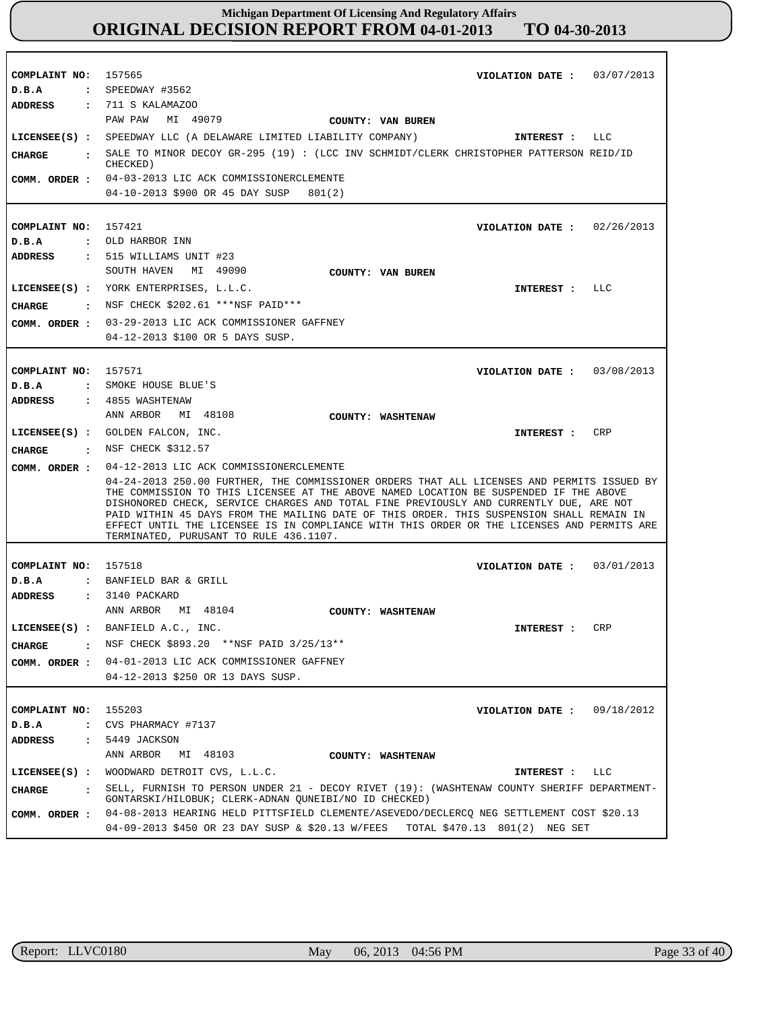| COMPLAINT NO: 157565<br>D.B.A             | VIOLATION DATE: $03/07/2013$                                                                                                                                                                                                                                                                                                                                                                                                                                                                                      |
|-------------------------------------------|-------------------------------------------------------------------------------------------------------------------------------------------------------------------------------------------------------------------------------------------------------------------------------------------------------------------------------------------------------------------------------------------------------------------------------------------------------------------------------------------------------------------|
|                                           | $:$ SPEEDWAY #3562<br>ADDRESS : 711 S KALAMAZOO                                                                                                                                                                                                                                                                                                                                                                                                                                                                   |
|                                           |                                                                                                                                                                                                                                                                                                                                                                                                                                                                                                                   |
|                                           | PAW PAW MI 49079<br>COUNTY: VAN BUREN                                                                                                                                                                                                                                                                                                                                                                                                                                                                             |
|                                           | LICENSEE(S) : SPEEDWAY LLC (A DELAWARE LIMITED LIABILITY COMPANY)<br>LLC<br>INTEREST :                                                                                                                                                                                                                                                                                                                                                                                                                            |
| CHARGE                                    | $\colon$ SALE TO MINOR DECOY GR-295 (19) : (LCC INV SCHMIDT/CLERK CHRISTOPHER PATTERSON REID/ID<br>CHECKED)                                                                                                                                                                                                                                                                                                                                                                                                       |
|                                           | COMM. ORDER : 04-03-2013 LIC ACK COMMISSIONERCLEMENTE                                                                                                                                                                                                                                                                                                                                                                                                                                                             |
|                                           | 04-10-2013 \$900 OR 45 DAY SUSP<br>801(2)                                                                                                                                                                                                                                                                                                                                                                                                                                                                         |
|                                           |                                                                                                                                                                                                                                                                                                                                                                                                                                                                                                                   |
| COMPLAINT NO: 157421                      | VIOLATION DATE: $02/26/2013$                                                                                                                                                                                                                                                                                                                                                                                                                                                                                      |
| D.B.A                                     | : OLD HARBOR INN                                                                                                                                                                                                                                                                                                                                                                                                                                                                                                  |
| ADDRESS                                   | $: 515$ WILLIAMS UNIT #23                                                                                                                                                                                                                                                                                                                                                                                                                                                                                         |
|                                           | SOUTH HAVEN MI 49090<br>COUNTY: VAN BUREN                                                                                                                                                                                                                                                                                                                                                                                                                                                                         |
|                                           | LICENSEE(S) : YORK ENTERPRISES, L.L.C.<br>INTEREST : LLC                                                                                                                                                                                                                                                                                                                                                                                                                                                          |
|                                           | CHARGE : NSF CHECK \$202.61 ***NSF PAID***                                                                                                                                                                                                                                                                                                                                                                                                                                                                        |
|                                           | COMM. ORDER : 03-29-2013 LIC ACK COMMISSIONER GAFFNEY                                                                                                                                                                                                                                                                                                                                                                                                                                                             |
|                                           | 04-12-2013 \$100 OR 5 DAYS SUSP.                                                                                                                                                                                                                                                                                                                                                                                                                                                                                  |
|                                           |                                                                                                                                                                                                                                                                                                                                                                                                                                                                                                                   |
|                                           |                                                                                                                                                                                                                                                                                                                                                                                                                                                                                                                   |
| COMPLAINT NO: 157571                      | VIOLATION DATE: 03/08/2013                                                                                                                                                                                                                                                                                                                                                                                                                                                                                        |
| D.B.A                                     | : SMOKE HOUSE BLUE'S                                                                                                                                                                                                                                                                                                                                                                                                                                                                                              |
| <b>ADDRESS</b>                            | : 4855 WASHTENAW                                                                                                                                                                                                                                                                                                                                                                                                                                                                                                  |
|                                           | ANN ARBOR MI 48108<br>COUNTY: WASHTENAW                                                                                                                                                                                                                                                                                                                                                                                                                                                                           |
|                                           | LICENSEE(S) : GOLDEN FALCON, INC.<br>CRP<br>INTEREST :                                                                                                                                                                                                                                                                                                                                                                                                                                                            |
| CHARGE                                    | : NSF CHECK \$312.57                                                                                                                                                                                                                                                                                                                                                                                                                                                                                              |
| COMM. ORDER :                             | 04-12-2013 LIC ACK COMMISSIONERCLEMENTE                                                                                                                                                                                                                                                                                                                                                                                                                                                                           |
|                                           | 04-24-2013 250.00 FURTHER, THE COMMISSIONER ORDERS THAT ALL LICENSES AND PERMITS ISSUED BY<br>THE COMMISSION TO THIS LICENSEE AT THE ABOVE NAMED LOCATION BE SUSPENDED IF THE ABOVE<br>DISHONORED CHECK, SERVICE CHARGES AND TOTAL FINE PREVIOUSLY AND CURRENTLY DUE, ARE NOT<br>PAID WITHIN 45 DAYS FROM THE MAILING DATE OF THIS ORDER. THIS SUSPENSION SHALL REMAIN IN<br>EFFECT UNTIL THE LICENSEE IS IN COMPLIANCE WITH THIS ORDER OR THE LICENSES AND PERMITS ARE<br>TERMINATED, PURUSANT TO RULE 436.1107. |
|                                           |                                                                                                                                                                                                                                                                                                                                                                                                                                                                                                                   |
| COMPLAINT NO: 157518<br>D.B.A             | VIOLATION DATE: $03/01/2013$                                                                                                                                                                                                                                                                                                                                                                                                                                                                                      |
| ADDRESS                                   | : BANFIELD BAR & GRILL<br>: 3140 PACKARD                                                                                                                                                                                                                                                                                                                                                                                                                                                                          |
|                                           | ANN ARBOR MI 48104                                                                                                                                                                                                                                                                                                                                                                                                                                                                                                |
|                                           | COUNTY: WASHTENAW<br>LICENSEE(S) : BANFIELD A.C., INC.<br>INTEREST :<br>CRP                                                                                                                                                                                                                                                                                                                                                                                                                                       |
|                                           |                                                                                                                                                                                                                                                                                                                                                                                                                                                                                                                   |
| CHARGE<br><b>Contract Contract Street</b> | NSF CHECK \$893.20 **NSF PAID 3/25/13**                                                                                                                                                                                                                                                                                                                                                                                                                                                                           |
| COMM. ORDER :                             | 04-01-2013 LIC ACK COMMISSIONER GAFFNEY                                                                                                                                                                                                                                                                                                                                                                                                                                                                           |
|                                           | 04-12-2013 \$250 OR 13 DAYS SUSP.                                                                                                                                                                                                                                                                                                                                                                                                                                                                                 |
|                                           |                                                                                                                                                                                                                                                                                                                                                                                                                                                                                                                   |
| COMPLAINT NO:                             | 155203<br>09/18/2012<br>VIOLATION DATE :                                                                                                                                                                                                                                                                                                                                                                                                                                                                          |
| D.B.A<br>$\ddot{\cdot}$                   | CVS PHARMACY #7137                                                                                                                                                                                                                                                                                                                                                                                                                                                                                                |
| <b>ADDRESS</b><br>$\ddot{\cdot}$          | 5449 JACKSON                                                                                                                                                                                                                                                                                                                                                                                                                                                                                                      |
|                                           | ANN ARBOR<br>MI 48103<br>COUNTY: WASHTENAW                                                                                                                                                                                                                                                                                                                                                                                                                                                                        |
| $LICENSEE(S)$ :                           | WOODWARD DETROIT CVS, L.L.C.<br>INTEREST :<br>LLC                                                                                                                                                                                                                                                                                                                                                                                                                                                                 |
| <b>CHARGE</b><br>$\ddot{\cdot}$           | SELL, FURNISH TO PERSON UNDER 21 - DECOY RIVET (19): (WASHTENAW COUNTY SHERIFF DEPARTMENT-<br>GONTARSKI/HILOBUK; CLERK-ADNAN QUNEIBI/NO ID CHECKED)                                                                                                                                                                                                                                                                                                                                                               |
| COMM. ORDER :                             | 04-08-2013 HEARING HELD PITTSFIELD CLEMENTE/ASEVEDO/DECLERCQ NEG SETTLEMENT COST \$20.13                                                                                                                                                                                                                                                                                                                                                                                                                          |
|                                           | 04-09-2013 \$450 OR 23 DAY SUSP & \$20.13 W/FEES<br>TOTAL \$470.13 801(2) NEG SET                                                                                                                                                                                                                                                                                                                                                                                                                                 |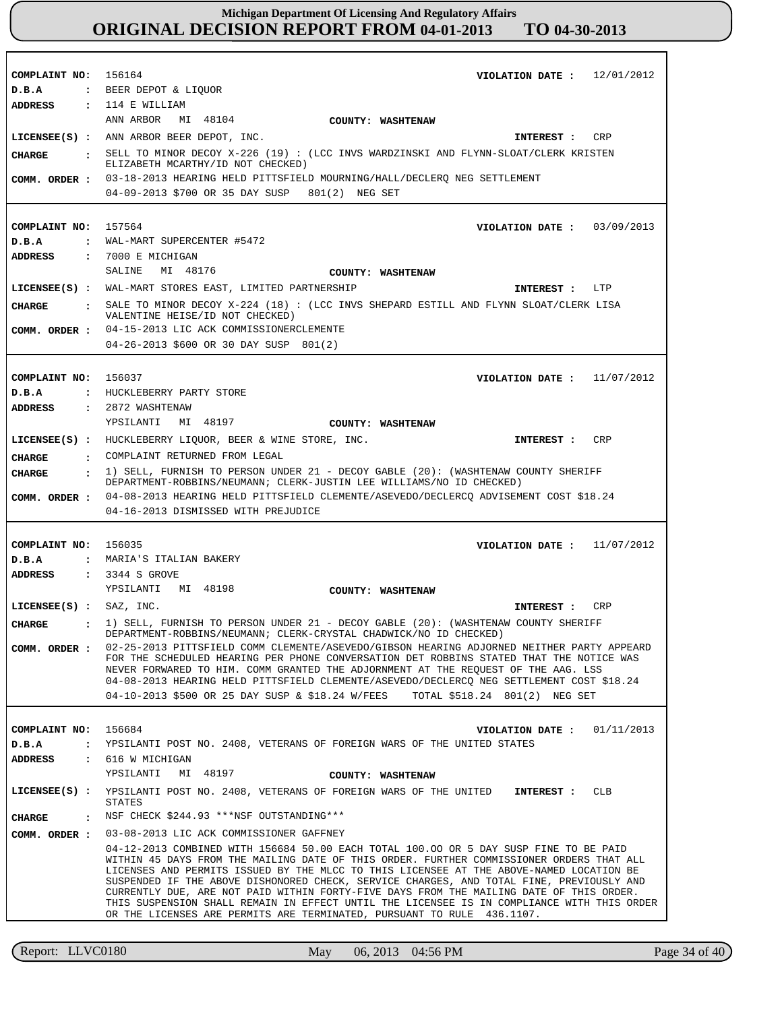| COMPLAINT NO: 156164          | VIOLATION DATE : $12/01/2012$                                                                                                                                                                                                                                                                                                                                                                                                                                                                                                                                                                                |
|-------------------------------|--------------------------------------------------------------------------------------------------------------------------------------------------------------------------------------------------------------------------------------------------------------------------------------------------------------------------------------------------------------------------------------------------------------------------------------------------------------------------------------------------------------------------------------------------------------------------------------------------------------|
| D.B.A                         | : BEER DEPOT & LIQUOR                                                                                                                                                                                                                                                                                                                                                                                                                                                                                                                                                                                        |
| <b>ADDRESS</b>                | : 114 E WILLIAM                                                                                                                                                                                                                                                                                                                                                                                                                                                                                                                                                                                              |
|                               | ANN ARBOR MI 48104<br><b>COUNTY: WASHTENAW</b>                                                                                                                                                                                                                                                                                                                                                                                                                                                                                                                                                               |
|                               |                                                                                                                                                                                                                                                                                                                                                                                                                                                                                                                                                                                                              |
|                               | LICENSEE(S) : ANN ARBOR BEER DEPOT, INC.<br><b>CRP</b><br>INTEREST :                                                                                                                                                                                                                                                                                                                                                                                                                                                                                                                                         |
| <b>CHARGE</b>                 | : SELL TO MINOR DECOY X-226 (19) : (LCC INVS WARDZINSKI AND FLYNN-SLOAT/CLERK KRISTEN<br>ELIZABETH MCARTHY/ID NOT CHECKED)                                                                                                                                                                                                                                                                                                                                                                                                                                                                                   |
| COMM. ORDER :                 | 03-18-2013 HEARING HELD PITTSFIELD MOURNING/HALL/DECLERO NEG SETTLEMENT                                                                                                                                                                                                                                                                                                                                                                                                                                                                                                                                      |
|                               | 04-09-2013 \$700 OR 35 DAY SUSP 801(2) NEG SET                                                                                                                                                                                                                                                                                                                                                                                                                                                                                                                                                               |
|                               |                                                                                                                                                                                                                                                                                                                                                                                                                                                                                                                                                                                                              |
|                               |                                                                                                                                                                                                                                                                                                                                                                                                                                                                                                                                                                                                              |
| COMPLAINT NO:                 | 157564<br>VIOLATION DATE: $03/09/2013$                                                                                                                                                                                                                                                                                                                                                                                                                                                                                                                                                                       |
| D.B.A                         | : WAL-MART SUPERCENTER #5472                                                                                                                                                                                                                                                                                                                                                                                                                                                                                                                                                                                 |
| ADDRESS                       | $: 7000$ E MICHIGAN                                                                                                                                                                                                                                                                                                                                                                                                                                                                                                                                                                                          |
|                               | SALINE<br>MI 48176<br>COUNTY: WASHTENAW                                                                                                                                                                                                                                                                                                                                                                                                                                                                                                                                                                      |
|                               | LICENSEE(S) : WAL-MART STORES EAST, LIMITED PARTNERSHIP<br>LTP<br><b>INTEREST :</b>                                                                                                                                                                                                                                                                                                                                                                                                                                                                                                                          |
| CHARGE                        | : SALE TO MINOR DECOY X-224 (18) : (LCC INVS SHEPARD ESTILL AND FLYNN SLOAT/CLERK LISA<br>VALENTINE HEISE/ID NOT CHECKED)                                                                                                                                                                                                                                                                                                                                                                                                                                                                                    |
| COMM. ORDER :                 | 04-15-2013 LIC ACK COMMISSIONERCLEMENTE                                                                                                                                                                                                                                                                                                                                                                                                                                                                                                                                                                      |
|                               | 04-26-2013 \$600 OR 30 DAY SUSP 801(2)                                                                                                                                                                                                                                                                                                                                                                                                                                                                                                                                                                       |
|                               |                                                                                                                                                                                                                                                                                                                                                                                                                                                                                                                                                                                                              |
| COMPLAINT NO:                 | 156037<br>VIOLATION DATE: $11/07/2012$                                                                                                                                                                                                                                                                                                                                                                                                                                                                                                                                                                       |
| D.B.A                         | : HUCKLEBERRY PARTY STORE                                                                                                                                                                                                                                                                                                                                                                                                                                                                                                                                                                                    |
| <b>ADDRESS</b>                | : 2872 WASHTENAW                                                                                                                                                                                                                                                                                                                                                                                                                                                                                                                                                                                             |
|                               | YPSILANTI MI 48197<br>COUNTY: WASHTENAW                                                                                                                                                                                                                                                                                                                                                                                                                                                                                                                                                                      |
|                               | LICENSEE(S) : HUCKLEBERRY LIQUOR, BEER & WINE STORE, INC.<br>CRP<br>INTEREST :                                                                                                                                                                                                                                                                                                                                                                                                                                                                                                                               |
|                               |                                                                                                                                                                                                                                                                                                                                                                                                                                                                                                                                                                                                              |
| <b>CHARGE</b><br>$\mathbf{r}$ | COMPLAINT RETURNED FROM LEGAL                                                                                                                                                                                                                                                                                                                                                                                                                                                                                                                                                                                |
| CIIARGE                       | $\colon$ 1) SELL, FURNISH TO PERSON UNDER 21 - DECOY GABLE (20): (WASHTENAW COUNTY SHERIFF<br>DEPARTMENT-ROBBINS/NEUMANN; CLERK-JUSTIN LEE WILLIAMS/NO ID CHECKED)                                                                                                                                                                                                                                                                                                                                                                                                                                           |
| COMM. ORDER :                 | 04-08-2013 HEARING HELD PITTSFIELD CLEMENTE/ASEVEDO/DECLERCQ ADVISEMENT COST \$18.24                                                                                                                                                                                                                                                                                                                                                                                                                                                                                                                         |
|                               | 04-16-2013 DISMISSED WITH PREJUDICE                                                                                                                                                                                                                                                                                                                                                                                                                                                                                                                                                                          |
|                               |                                                                                                                                                                                                                                                                                                                                                                                                                                                                                                                                                                                                              |
| COMPLAINT NO: 156035          | VIOLATION DATE: $11/07/2012$                                                                                                                                                                                                                                                                                                                                                                                                                                                                                                                                                                                 |
| D.B.A                         | : MARIA'S ITALIAN BAKERY                                                                                                                                                                                                                                                                                                                                                                                                                                                                                                                                                                                     |
| <b>ADDRESS</b>                | : 3344 S GROVE                                                                                                                                                                                                                                                                                                                                                                                                                                                                                                                                                                                               |
|                               | YPSILANTI MI 48198<br>COUNTY: WASHTENAW                                                                                                                                                                                                                                                                                                                                                                                                                                                                                                                                                                      |
| $LICENSEE(S)$ : SAZ, INC.     | <b>CRP</b><br>INTEREST :                                                                                                                                                                                                                                                                                                                                                                                                                                                                                                                                                                                     |
| <b>CHARGE</b>                 | 1) SELL, FURNISH TO PERSON UNDER 21 - DECOY GABLE (20): (WASHTENAW COUNTY SHERIFF<br>DEPARTMENT-ROBBINS/NEUMANN; CLERK-CRYSTAL CHADWICK/NO ID CHECKED)                                                                                                                                                                                                                                                                                                                                                                                                                                                       |
|                               | COMM. ORDER: 02-25-2013 PITTSFIELD COMM CLEMENTE/ASEVEDO/GIBSON HEARING ADJORNED NEITHER PARTY APPEARD<br>FOR THE SCHEDULED HEARING PER PHONE CONVERSATION DET ROBBINS STATED THAT THE NOTICE WAS                                                                                                                                                                                                                                                                                                                                                                                                            |
|                               | NEVER FORWARED TO HIM. COMM GRANTED THE ADJORNMENT AT THE REQUEST OF THE AAG. LSS<br>04-08-2013 HEARING HELD PITTSFIELD CLEMENTE/ASEVEDO/DECLERCQ NEG SETTLEMENT COST \$18.24                                                                                                                                                                                                                                                                                                                                                                                                                                |
|                               | 04-10-2013 \$500 OR 25 DAY SUSP & \$18.24 W/FEES TOTAL \$518.24 801(2) NEG SET                                                                                                                                                                                                                                                                                                                                                                                                                                                                                                                               |
|                               |                                                                                                                                                                                                                                                                                                                                                                                                                                                                                                                                                                                                              |
|                               |                                                                                                                                                                                                                                                                                                                                                                                                                                                                                                                                                                                                              |
| COMPLAINT NO:                 | 156684<br>01/11/2013<br>VIOLATION DATE :<br>: YPSILANTI POST NO. 2408, VETERANS OF FOREIGN WARS OF THE UNITED STATES                                                                                                                                                                                                                                                                                                                                                                                                                                                                                         |
| D.B.A<br><b>ADDRESS</b>       | : 616 W MICHIGAN                                                                                                                                                                                                                                                                                                                                                                                                                                                                                                                                                                                             |
|                               | YPSILANTI<br>MI 48197<br>COUNTY: WASHTENAW                                                                                                                                                                                                                                                                                                                                                                                                                                                                                                                                                                   |
|                               | LICENSEE(S) : YPSILANTI POST NO. 2408, VETERANS OF FOREIGN WARS OF THE UNITED INTEREST :<br><b>CLB</b><br>STATES                                                                                                                                                                                                                                                                                                                                                                                                                                                                                             |
| <b>CHARGE</b>                 | : NSF CHECK \$244.93 ***NSF OUTSTANDING***                                                                                                                                                                                                                                                                                                                                                                                                                                                                                                                                                                   |
| COMM. ORDER :                 | 03-08-2013 LIC ACK COMMISSIONER GAFFNEY<br>04-12-2013 COMBINED WITH 156684 50.00 EACH TOTAL 100.00 OR 5 DAY SUSP FINE TO BE PAID<br>WITHIN 45 DAYS FROM THE MAILING DATE OF THIS ORDER. FURTHER COMMISSIONER ORDERS THAT ALL<br>LICENSES AND PERMITS ISSUED BY THE MLCC TO THIS LICENSEE AT THE ABOVE-NAMED LOCATION BE<br>SUSPENDED IF THE ABOVE DISHONORED CHECK, SERVICE CHARGES, AND TOTAL FINE, PREVIOUSLY AND<br>CURRENTLY DUE, ARE NOT PAID WITHIN FORTY-FIVE DAYS FROM THE MAILING DATE OF THIS ORDER.<br>THIS SUSPENSION SHALL REMAIN IN EFFECT UNTIL THE LICENSEE IS IN COMPLIANCE WITH THIS ORDER |
|                               | OR THE LICENSES ARE PERMITS ARE TERMINATED, PURSUANT TO RULE 436.1107.                                                                                                                                                                                                                                                                                                                                                                                                                                                                                                                                       |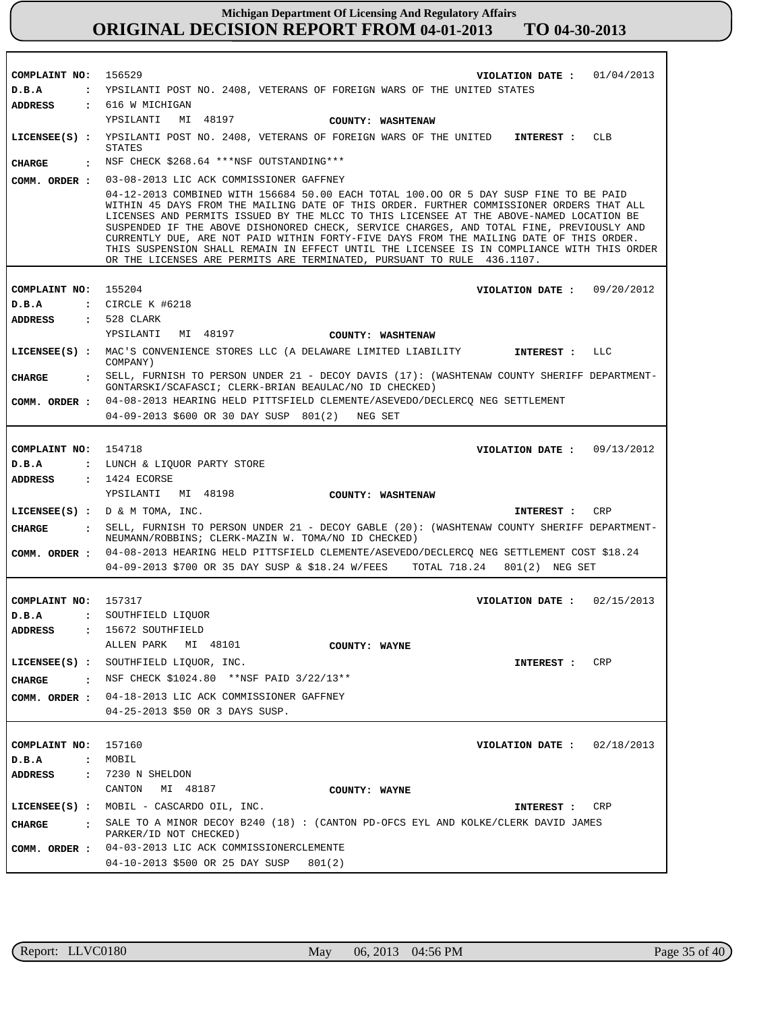| COMPLAINT NO:           |                                                                                                                                                                                                                                                                                                                                                                                                                                                                                                                                                                                                                                             |  |  |
|-------------------------|---------------------------------------------------------------------------------------------------------------------------------------------------------------------------------------------------------------------------------------------------------------------------------------------------------------------------------------------------------------------------------------------------------------------------------------------------------------------------------------------------------------------------------------------------------------------------------------------------------------------------------------------|--|--|
|                         | 156529<br>VIOLATION DATE: $01/04/2013$                                                                                                                                                                                                                                                                                                                                                                                                                                                                                                                                                                                                      |  |  |
| D.B.A                   | : YPSILANTI POST NO. 2408, VETERANS OF FOREIGN WARS OF THE UNITED STATES                                                                                                                                                                                                                                                                                                                                                                                                                                                                                                                                                                    |  |  |
| <b>ADDRESS</b>          | : 616 W MICHIGAN                                                                                                                                                                                                                                                                                                                                                                                                                                                                                                                                                                                                                            |  |  |
|                         | YPSILANTI MI 48197<br>COUNTY: WASHTENAW                                                                                                                                                                                                                                                                                                                                                                                                                                                                                                                                                                                                     |  |  |
|                         | LICENSEE(S) : YPSILANTI POST NO. 2408, VETERANS OF FOREIGN WARS OF THE UNITED INTEREST :<br><b>CLB</b><br>STATES                                                                                                                                                                                                                                                                                                                                                                                                                                                                                                                            |  |  |
| <b>CHARGE</b>           | : NSF CHECK \$268.64 *** NSF OUTSTANDING***                                                                                                                                                                                                                                                                                                                                                                                                                                                                                                                                                                                                 |  |  |
| COMM. ORDER :           | 03-08-2013 LIC ACK COMMISSIONER GAFFNEY                                                                                                                                                                                                                                                                                                                                                                                                                                                                                                                                                                                                     |  |  |
|                         | 04-12-2013 COMBINED WITH 156684 50.00 EACH TOTAL 100.00 OR 5 DAY SUSP FINE TO BE PAID<br>WITHIN 45 DAYS FROM THE MAILING DATE OF THIS ORDER. FURTHER COMMISSIONER ORDERS THAT ALL<br>LICENSES AND PERMITS ISSUED BY THE MLCC TO THIS LICENSEE AT THE ABOVE-NAMED LOCATION BE<br>SUSPENDED IF THE ABOVE DISHONORED CHECK, SERVICE CHARGES, AND TOTAL FINE, PREVIOUSLY AND<br>CURRENTLY DUE, ARE NOT PAID WITHIN FORTY-FIVE DAYS FROM THE MAILING DATE OF THIS ORDER.<br>THIS SUSPENSION SHALL REMAIN IN EFFECT UNTIL THE LICENSEE IS IN COMPLIANCE WITH THIS ORDER<br>OR THE LICENSES ARE PERMITS ARE TERMINATED, PURSUANT TO RULE 436.1107. |  |  |
|                         |                                                                                                                                                                                                                                                                                                                                                                                                                                                                                                                                                                                                                                             |  |  |
| COMPLAINT NO:           | 155204<br>VIOLATION DATE: $09/20/2012$                                                                                                                                                                                                                                                                                                                                                                                                                                                                                                                                                                                                      |  |  |
| D.B.A                   | $:$ CIRCLE K #6218                                                                                                                                                                                                                                                                                                                                                                                                                                                                                                                                                                                                                          |  |  |
| <b>ADDRESS</b>          | $: 528$ CLARK                                                                                                                                                                                                                                                                                                                                                                                                                                                                                                                                                                                                                               |  |  |
|                         | YPSILANTI<br>MI 48197<br>COUNTY: WASHTENAW                                                                                                                                                                                                                                                                                                                                                                                                                                                                                                                                                                                                  |  |  |
|                         | LICENSEE(S) : MAC'S CONVENIENCE STORES LLC (A DELAWARE LIMITED LIABILITY<br><b>LLC</b><br>INTEREST :<br>COMPANY)                                                                                                                                                                                                                                                                                                                                                                                                                                                                                                                            |  |  |
| <b>CHARGE</b>           | E SELL, FURNISH TO PERSON UNDER 21 - DECOY DAVIS (17): (WASHTENAW COUNTY SHERIFF DEPARTMENT-<br>GONTARSKI/SCAFASCI; CLERK-BRIAN BEAULAC/NO ID CHECKED)                                                                                                                                                                                                                                                                                                                                                                                                                                                                                      |  |  |
| COMM. ORDER :           | 04-08-2013 HEARING HELD PITTSFIELD CLEMENTE/ASEVEDO/DECLERCQ NEG SETTLEMENT                                                                                                                                                                                                                                                                                                                                                                                                                                                                                                                                                                 |  |  |
|                         | 04-09-2013 \$600 OR 30 DAY SUSP 801(2)<br>NEG SET                                                                                                                                                                                                                                                                                                                                                                                                                                                                                                                                                                                           |  |  |
|                         |                                                                                                                                                                                                                                                                                                                                                                                                                                                                                                                                                                                                                                             |  |  |
| COMPLAINT NO: 154718    | VIOLATION DATE: $09/13/2012$                                                                                                                                                                                                                                                                                                                                                                                                                                                                                                                                                                                                                |  |  |
| D.B.A                   | : LUNCH & LIQUOR PARTY STORE                                                                                                                                                                                                                                                                                                                                                                                                                                                                                                                                                                                                                |  |  |
| <b>ADDRESS</b>          | $: 1424$ ECORSE                                                                                                                                                                                                                                                                                                                                                                                                                                                                                                                                                                                                                             |  |  |
|                         | YPSILANTI MI 48198<br>COUNTY: WASHTENAW                                                                                                                                                                                                                                                                                                                                                                                                                                                                                                                                                                                                     |  |  |
|                         |                                                                                                                                                                                                                                                                                                                                                                                                                                                                                                                                                                                                                                             |  |  |
|                         | INTEREST :<br>CRP                                                                                                                                                                                                                                                                                                                                                                                                                                                                                                                                                                                                                           |  |  |
|                         | LICENSEE $(S)$ : $D \& M$ TOMA, INC.                                                                                                                                                                                                                                                                                                                                                                                                                                                                                                                                                                                                        |  |  |
| <b>CHARGE</b>           | : SELL, FURNISH TO PERSON UNDER 21 - DECOY GABLE (20): (WASHTENAW COUNTY SHERIFF DEPARTMENT-<br>NEUMANN/ROBBINS; CLERK-MAZIN W. TOMA/NO ID CHECKED)                                                                                                                                                                                                                                                                                                                                                                                                                                                                                         |  |  |
|                         | COMM. ORDER : 04-08-2013 HEARING HELD PITTSFIELD CLEMENTE/ASEVEDO/DECLERCQ NEG SETTLEMENT COST \$18.24                                                                                                                                                                                                                                                                                                                                                                                                                                                                                                                                      |  |  |
|                         | 04-09-2013 \$700 OR 35 DAY SUSP & \$18.24 W/FEES<br>TOTAL 718.24 801(2) NEG SET                                                                                                                                                                                                                                                                                                                                                                                                                                                                                                                                                             |  |  |
|                         |                                                                                                                                                                                                                                                                                                                                                                                                                                                                                                                                                                                                                                             |  |  |
| COMPLAINT NO: 157317    | VIOLATION DATE: $02/15/2013$                                                                                                                                                                                                                                                                                                                                                                                                                                                                                                                                                                                                                |  |  |
| D.B.A                   | : SOUTHFIELD LIQUOR                                                                                                                                                                                                                                                                                                                                                                                                                                                                                                                                                                                                                         |  |  |
|                         | ADDRESS : 15672 SOUTHFIELD                                                                                                                                                                                                                                                                                                                                                                                                                                                                                                                                                                                                                  |  |  |
|                         | ALLEN PARK MI 48101<br>COUNTY: WAYNE                                                                                                                                                                                                                                                                                                                                                                                                                                                                                                                                                                                                        |  |  |
|                         | LICENSEE(S) : SOUTHFIELD LIQUOR, INC.<br>CRP<br><b>INTEREST :</b>                                                                                                                                                                                                                                                                                                                                                                                                                                                                                                                                                                           |  |  |
| CHARGE                  | : NSF CHECK \$1024.80 **NSF PAID 3/22/13**                                                                                                                                                                                                                                                                                                                                                                                                                                                                                                                                                                                                  |  |  |
|                         | COMM. ORDER : 04-18-2013 LIC ACK COMMISSIONER GAFFNEY                                                                                                                                                                                                                                                                                                                                                                                                                                                                                                                                                                                       |  |  |
|                         | 04-25-2013 \$50 OR 3 DAYS SUSP.                                                                                                                                                                                                                                                                                                                                                                                                                                                                                                                                                                                                             |  |  |
|                         |                                                                                                                                                                                                                                                                                                                                                                                                                                                                                                                                                                                                                                             |  |  |
| COMPLAINT NO: 157160    | VIOLATION DATE : $02/18/2013$                                                                                                                                                                                                                                                                                                                                                                                                                                                                                                                                                                                                               |  |  |
| D.B.A<br>$\ddot{\cdot}$ | MOBIL                                                                                                                                                                                                                                                                                                                                                                                                                                                                                                                                                                                                                                       |  |  |
| <b>ADDRESS</b>          | $: 7230 N$ SHELDON                                                                                                                                                                                                                                                                                                                                                                                                                                                                                                                                                                                                                          |  |  |
|                         | CANTON MI 48187<br>COUNTY: WAYNE                                                                                                                                                                                                                                                                                                                                                                                                                                                                                                                                                                                                            |  |  |
|                         | LICENSEE(S) : MOBIL - CASCARDO OIL, INC.<br>CRP<br>INTEREST :                                                                                                                                                                                                                                                                                                                                                                                                                                                                                                                                                                               |  |  |
| CHARGE                  | : SALE TO A MINOR DECOY B240 (18) : (CANTON PD-OFCS EYL AND KOLKE/CLERK DAVID JAMES<br>PARKER/ID NOT CHECKED)                                                                                                                                                                                                                                                                                                                                                                                                                                                                                                                               |  |  |
|                         | COMM. ORDER : 04-03-2013 LIC ACK COMMISSIONERCLEMENTE                                                                                                                                                                                                                                                                                                                                                                                                                                                                                                                                                                                       |  |  |

r

٦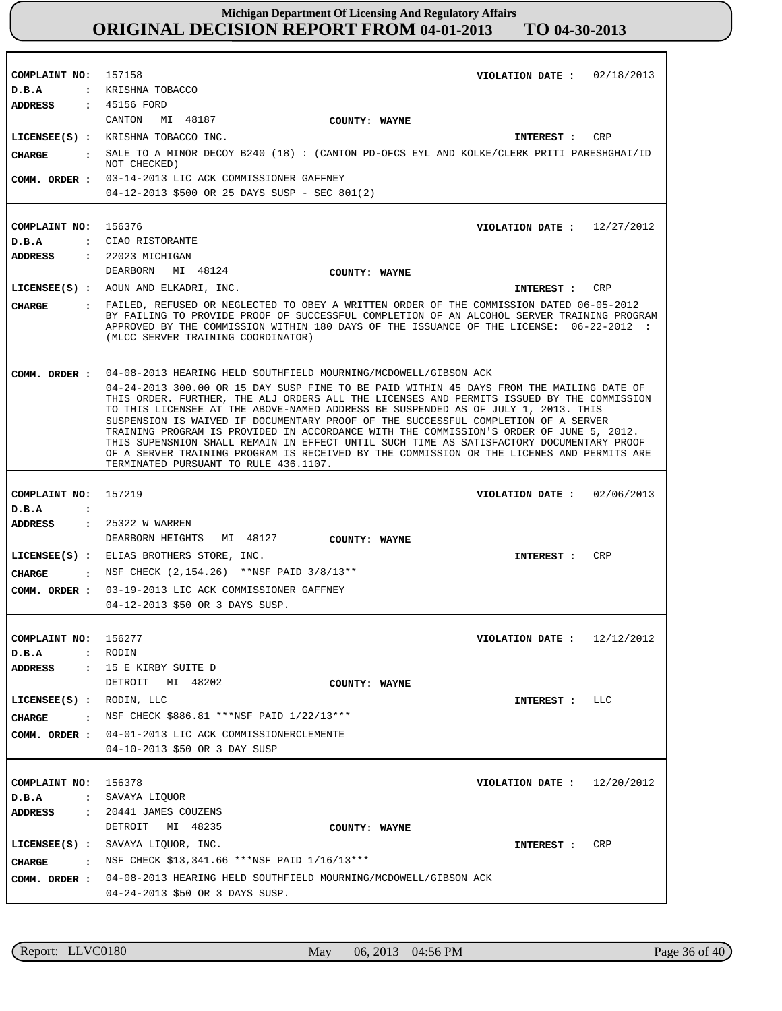**COMPLAINT NO: COMPLAINT NO:** 156376 **COMPLAINT NO:** 157219 **COMPLAINT NO:** 156277 **COMPLAINT NO:** 156378 157158 **VIOLATION DATE : VIOLATION DATE : VIOLATION DATE : VIOLATION DATE : VIOLATION DATE :** 02/18/2013 12/27/2012 02/06/2013 12/12/2012 12/20/2012 **D.B.A : D.B.A : D.B.A : D.B.A : D.B.A :** KRISHNA TOBACCO CIAO RISTORANTE RODIN SAVAYA LIQUOR **ADDRESS : ADDRESS : ADDRESS : ADDRESS : ADDRESS :** 45156 FORD 22023 MICHIGAN 25322 W WARREN 15 E KIRBY SUITE D 20441 JAMES COUZENS CANTON MI 48187 DEARBORN MI 48124 DEARBORN HEIGHTS MI 48127 DETROIT MI 48202 DETROIT MI 48235 03-14-2013 LIC ACK COMMISSIONER GAFFNEY 04-12-2013 \$500 OR 25 DAYS SUSP - SEC 801(2) 04-08-2013 HEARING HELD SOUTHFIELD MOURNING/MCDOWELL/GIBSON ACK 04-24-2013 300.00 OR 15 DAY SUSP FINE TO BE PAID WITHIN 45 DAYS FROM THE MAILING DATE OF THIS ORDER. FURTHER, THE ALJ ORDERS ALL THE LICENSES AND PERMITS ISSUED BY THE COMMISSION TO THIS LICENSEE AT THE ABOVE-NAMED ADDRESS BE SUSPENDED AS OF JULY 1, 2013. THIS SUSPENSION IS WAIVED IF DOCUMENTARY PROOF OF THE SUCCESSFUL COMPLETION OF A SERVER TRAINING PROGRAM IS PROVIDED IN ACCORDANCE WITH THE COMMISSION'S ORDER OF JUNE 5, 2012. THIS SUPENSNION SHALL REMAIN IN EFFECT UNTIL SUCH TIME AS SATISFACTORY DOCUMENTARY PROOF OF A SERVER TRAINING PROGRAM IS RECEIVED BY THE COMMISSION OR THE LICENES AND PERMITS ARE TERMINATED PURSUANT TO RULE 436.1107. 03-19-2013 LIC ACK COMMISSIONER GAFFNEY **COMM. ORDER :** 04-12-2013 \$50 OR 3 DAYS SUSP. 04-01-2013 LIC ACK COMMISSIONERCLEMENTE 04-10-2013 \$50 OR 3 DAY SUSP COMM. ORDER : 04-08-2013 HEARING HELD SOUTHFIELD MOURNING/MCDOWELL/GIBSON ACK 04-24-2013 \$50 OR 3 DAYS SUSP. **LICENSEE(S) :** KRISHNA TOBACCO INC. **LICENSEE(S) :** AOUN AND ELKADRI, INC. **LICENSEE(S) :** ELIAS BROTHERS STORE, INC. **LICENSEE(S) :** RODIN, LLC **LICENSEE(S) :** SAVAYA LIQUOR, INC. CRP CRP CRP LLC CR<sub>P</sub> **CHARGE : CHARGE : CHARGE : CHARGE : CHARGE :** SALE TO A MINOR DECOY B240 (18) : (CANTON PD-OFCS EYL AND KOLKE/CLERK PRITI PARESHGHAI/ID NOT CHECKED) FAILED, REFUSED OR NEGLECTED TO OBEY A WRITTEN ORDER OF THE COMMISSION DATED 06-05-2012 BY FAILING TO PROVIDE PROOF OF SUCCESSFUL COMPLETION OF AN ALCOHOL SERVER TRAINING PROGRAM APPROVED BY THE COMMISSION WITHIN 180 DAYS OF THE ISSUANCE OF THE LICENSE: 06-22-2012 : (MLCC SERVER TRAINING COORDINATOR) NSF CHECK (2,154.26) \*\*NSF PAID 3/8/13\*\* NSF CHECK \$886.81 \*\*\*NSF PAID 1/22/13\*\*\* : NSF CHECK \$13,341.66 \*\*\* NSF PAID 1/16/13 \*\*\* **INTEREST : INTEREST : INTEREST : INTEREST : INTEREST : COMM. ORDER : COMM. ORDER : COMM. ORDER : COUNTY: WAYNE COUNTY: WAYNE COUNTY: WAYNE COUNTY: WAYNE COUNTY: WAYNE**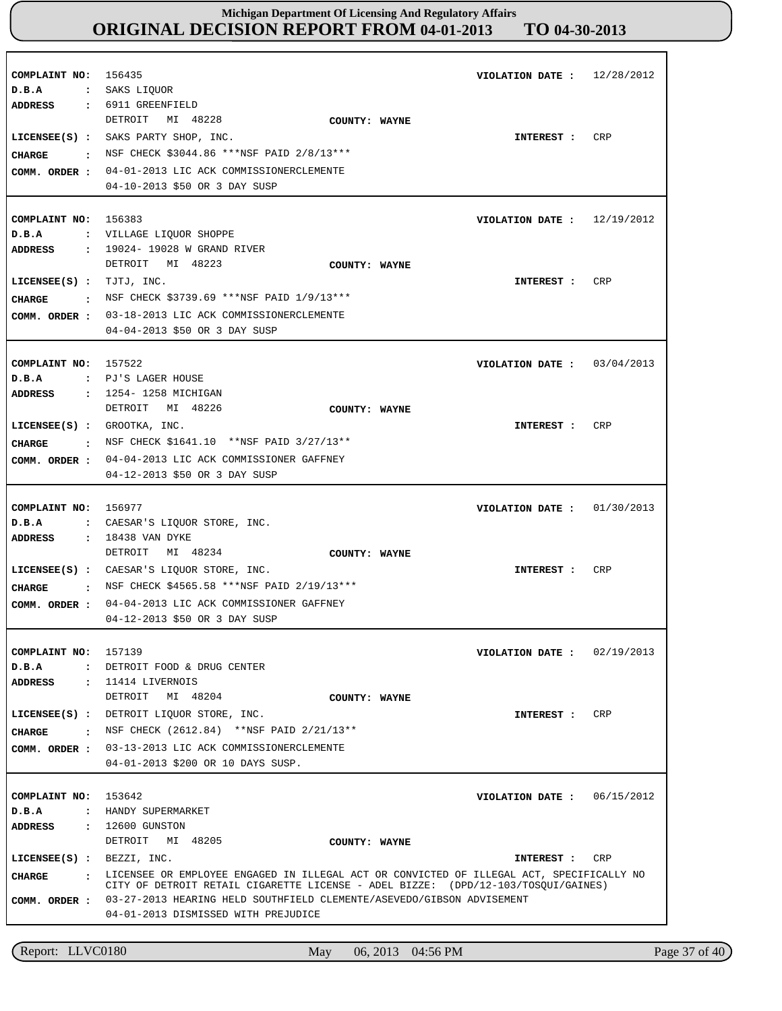| COMPLAINT NO:<br>D.B.A                                   | 156435<br>: SAKS LIQUOR                                                                                                                                                                                                                                                                                       | VIOLATION DATE :              | 12/28/2012 |
|----------------------------------------------------------|---------------------------------------------------------------------------------------------------------------------------------------------------------------------------------------------------------------------------------------------------------------------------------------------------------------|-------------------------------|------------|
| ADDRESS<br>CIIARGE<br>$\sim$ $\sim$ $\sim$               | : 6911 GREENFIELD<br>DETROIT<br>MI 48228<br>COUNTY: WAYNE<br>LICENSEE(S) : SAKS PARTY SHOP, INC.<br>NSF CHECK \$3044.86 ***NSF PAID 2/8/13***<br>COMM. ORDER : 04-01-2013 LIC ACK COMMISSIONERCLEMENTE<br>04-10-2013 \$50 OR 3 DAY SUSP                                                                       | INTEREST :                    | CRP        |
| COMPLAINT NO: 156383<br>D.B.A                            | : VILLAGE LIQUOR SHOPPE<br>: 19024- 19028 W GRAND RIVER                                                                                                                                                                                                                                                       | VIOLATION DATE :              | 12/19/2012 |
| ADDRESS<br>LICENSEE $(s)$ : TJTJ, INC.<br>CHARGE         | DETROIT MI 48223<br>COUNTY: WAYNE<br>: NSF CHECK \$3739.69 ***NSF PAID 1/9/13***<br>COMM. ORDER : 03-18-2013 LIC ACK COMMISSIONERCLEMENTE<br>04-04-2013 \$50 OR 3 DAY SUSP                                                                                                                                    | <b>INTEREST :</b>             | CRP        |
| COMPLAINT NO: 157522<br>D.B.A<br><b>ADDRESS</b>          | : PJ'S LAGER HOUSE<br>: 1254-1258 MICHIGAN                                                                                                                                                                                                                                                                    | VIOLATION DATE :              | 03/04/2013 |
| $LICENSEE(S)$ : GROOTKA, INC.<br>CHARGE<br>COMM. ORDER : | DETROIT MI 48226<br>COUNTY: WAYNE<br>: NSF CHECK \$1641.10 **NSF PAID 3/27/13**<br>04-04-2013 LIC ACK COMMISSIONER GAFFNEY<br>04-12-2013 \$50 OR 3 DAY SUSP                                                                                                                                                   | INTEREST :                    | CRP        |
| COMPLAINT NO: 156977<br>D.B.A                            | : CAESAR'S LIQUOR STORE, INC.                                                                                                                                                                                                                                                                                 | VIOLATION DATE :              | 01/30/2013 |
| ADDRESS<br>CHARGE<br>COMM. ORDER :                       | : 18438 VAN DYKE<br>DETROIT MI 48234<br>COUNTY: WAYNE<br>LICENSEE(S) : CAESAR'S LIQUOR STORE, INC.<br>: NSF CHECK \$4565.58 ***NSF PAID 2/19/13***<br>04-04-2013 LIC ACK COMMISSIONER GAFFNEY<br>04-12-2013 \$50 OR 3 DAY SUSP                                                                                | INTEREST :                    | CRP        |
| COMPLAINT NO: 157139<br>ADDRESS                          | D.B.A : DETROIT FOOD & DRUG CENTER<br>$: 11414$ LIVERNOIS                                                                                                                                                                                                                                                     | VIOLATION DATE: $02/19/2013$  |            |
|                                                          | DETROIT MI 48204<br>COUNTY: WAYNE<br>LICENSEE(S) : DETROIT LIQUOR STORE, INC.<br><b>CHARGE :</b> NSF CHECK (2612.84) **NSF PAID 2/21/13**<br>COMM. ORDER : 03-13-2013 LIC ACK COMMISSIONERCLEMENTE<br>04-01-2013 \$200 OR 10 DAYS SUSP.                                                                       | INTEREST :                    | <b>CRP</b> |
| COMPLAINT NO: 153642<br>D.B.A<br>ADDRESS                 | : HANDY SUPERMARKET<br>: 12600 GUNSTON<br>DETROIT MI 48205<br>COUNTY: WAYNE                                                                                                                                                                                                                                   | VIOLATION DATE : $06/15/2012$ |            |
| LICENSEE $(s)$ : BEZZI, INC.<br>CIIARGE                  | . LICENSEE OR EMPLOYEE ENGAGED IN ILLEGAL ACT OR CONVICTED OF ILLEGAL ACT, SPECIFICALLY NO<br>CITY OF DETROIT RETAIL CIGARETTE LICENSE - ADEL BIZZE: (DPD/12-103/TOSQUI/GAINES)<br>COMM. ORDER : 03-27-2013 HEARING HELD SOUTHFIELD CLEMENTE/ASEVEDO/GIBSON ADVISEMENT<br>04-01-2013 DISMISSED WITH PREJUDICE | INTEREST : CRP                |            |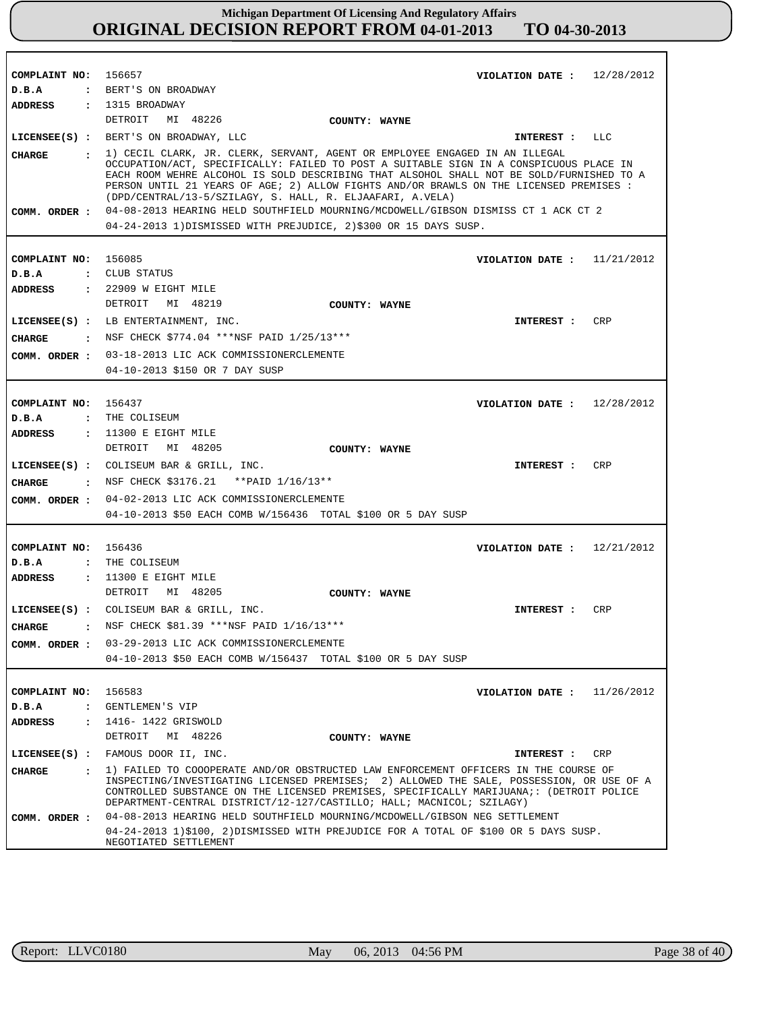| COMPLAINT NO: 156657<br>D.B.A          | : BERT'S ON BROADWAY                                                                                                                                                                                                                                                                                                                                                                                                                                                                                                                                                                 | VIOLATION DATE: $12/28/2012$  |            |
|----------------------------------------|--------------------------------------------------------------------------------------------------------------------------------------------------------------------------------------------------------------------------------------------------------------------------------------------------------------------------------------------------------------------------------------------------------------------------------------------------------------------------------------------------------------------------------------------------------------------------------------|-------------------------------|------------|
| ADDRESS                                | : 1315 BROADWAY                                                                                                                                                                                                                                                                                                                                                                                                                                                                                                                                                                      |                               |            |
|                                        | DETROIT MI 48226                                                                                                                                                                                                                                                                                                                                                                                                                                                                                                                                                                     |                               |            |
|                                        | COUNTY: WAYNE                                                                                                                                                                                                                                                                                                                                                                                                                                                                                                                                                                        |                               |            |
|                                        | LICENSEE(S) : BERT'S ON BROADWAY, LLC                                                                                                                                                                                                                                                                                                                                                                                                                                                                                                                                                | INTEREST : LLC                |            |
| CHARGE<br>COMM. ORDER :                | . 1) CECIL CLARK, JR. CLERK, SERVANT, AGENT OR EMPLOYEE ENGAGED IN AN ILLEGAL<br>OCCUPATION/ACT, SPECIFICALLY: FAILED TO POST A SUITABLE SIGN IN A CONSPICUOUS PLACE IN<br>EACH ROOM WEHRE ALCOHOL IS SOLD DESCRIBING THAT ALSOHOL SHALL NOT BE SOLD/FURNISHED TO A<br>PERSON UNTIL 21 YEARS OF AGE; 2) ALLOW FIGHTS AND/OR BRAWLS ON THE LICENSED PREMISES :<br>(DPD/CENTRAL/13-5/SZILAGY, S. HALL, R. ELJAAFARI, A.VELA)<br>04-08-2013 HEARING HELD SOUTHFIELD MOURNING/MCDOWELL/GIBSON DISMISS CT 1 ACK CT 2<br>04-24-2013 1) DISMISSED WITH PREJUDICE, 2) \$300 OR 15 DAYS SUSP. |                               |            |
|                                        |                                                                                                                                                                                                                                                                                                                                                                                                                                                                                                                                                                                      |                               |            |
| COMPLAINT NO: 156085<br>D.B.A          | : CLUB STATUS                                                                                                                                                                                                                                                                                                                                                                                                                                                                                                                                                                        | VIOLATION DATE: $11/21/2012$  |            |
| ADDRESS                                | : 22909 W EIGHT MILE                                                                                                                                                                                                                                                                                                                                                                                                                                                                                                                                                                 |                               |            |
|                                        | DETROIT MI 48219<br>COUNTY: WAYNE                                                                                                                                                                                                                                                                                                                                                                                                                                                                                                                                                    |                               |            |
|                                        | LICENSEE(S) : LB ENTERTAINMENT, INC.                                                                                                                                                                                                                                                                                                                                                                                                                                                                                                                                                 | INTEREST :                    | <b>CRP</b> |
|                                        | : NSF CHECK \$774.04 ***NSF PAID $1/25/13***$                                                                                                                                                                                                                                                                                                                                                                                                                                                                                                                                        |                               |            |
| CHARGE                                 | COMM. ORDER : 03-18-2013 LIC ACK COMMISSIONERCLEMENTE                                                                                                                                                                                                                                                                                                                                                                                                                                                                                                                                |                               |            |
|                                        | 04-10-2013 \$150 OR 7 DAY SUSP                                                                                                                                                                                                                                                                                                                                                                                                                                                                                                                                                       |                               |            |
|                                        |                                                                                                                                                                                                                                                                                                                                                                                                                                                                                                                                                                                      |                               |            |
| COMPLAINT NO: 156437                   |                                                                                                                                                                                                                                                                                                                                                                                                                                                                                                                                                                                      | VIOLATION DATE: $12/28/2012$  |            |
| D.B.A                                  | : THE COLISEUM                                                                                                                                                                                                                                                                                                                                                                                                                                                                                                                                                                       |                               |            |
| ADDRESS                                | $: 11300$ E EIGHT MILE                                                                                                                                                                                                                                                                                                                                                                                                                                                                                                                                                               |                               |            |
|                                        | DETROIT MI 48205<br>COUNTY: WAYNE                                                                                                                                                                                                                                                                                                                                                                                                                                                                                                                                                    |                               |            |
|                                        | LICENSEE(S) : COLISEUM BAR & GRILL, INC.                                                                                                                                                                                                                                                                                                                                                                                                                                                                                                                                             | INTEREST :                    | CRP        |
| CHARGE                                 | : NSF CHECK \$3176.21 ** PAID 1/16/13**                                                                                                                                                                                                                                                                                                                                                                                                                                                                                                                                              |                               |            |
|                                        | COMM. ORDER : 04-02-2013 LIC ACK COMMISSIONERCLEMENTE                                                                                                                                                                                                                                                                                                                                                                                                                                                                                                                                |                               |            |
|                                        | 04-10-2013 \$50 EACH COMB W/156436 TOTAL \$100 OR 5 DAY SUSP                                                                                                                                                                                                                                                                                                                                                                                                                                                                                                                         |                               |            |
|                                        |                                                                                                                                                                                                                                                                                                                                                                                                                                                                                                                                                                                      |                               |            |
| COMPLAINT NO: 156436                   |                                                                                                                                                                                                                                                                                                                                                                                                                                                                                                                                                                                      | VIOLATION DATE: $12/21/2012$  |            |
| D.B.A                                  | : THE COLISEUM                                                                                                                                                                                                                                                                                                                                                                                                                                                                                                                                                                       |                               |            |
| <b>ADDRESS</b>                         | $: 11300$ E EIGHT MILE                                                                                                                                                                                                                                                                                                                                                                                                                                                                                                                                                               |                               |            |
|                                        | DETROIT MI 48205<br>COUNTY: WAYNE                                                                                                                                                                                                                                                                                                                                                                                                                                                                                                                                                    |                               |            |
|                                        | LICENSEE(S) : COLISEUM BAR & GRILL, INC.                                                                                                                                                                                                                                                                                                                                                                                                                                                                                                                                             | INTEREST :                    | CRP        |
| <b>CIIARGE</b><br>$\ddot{\phantom{a}}$ | NSF CHECK \$81.39 ***NSF PAID 1/16/13***                                                                                                                                                                                                                                                                                                                                                                                                                                                                                                                                             |                               |            |
| COMM. ORDER :                          | 03-29-2013 LIC ACK COMMISSIONERCLEMENTE                                                                                                                                                                                                                                                                                                                                                                                                                                                                                                                                              |                               |            |
|                                        | 04-10-2013 \$50 EACH COMB W/156437 TOTAL \$100 OR 5 DAY SUSP                                                                                                                                                                                                                                                                                                                                                                                                                                                                                                                         |                               |            |
|                                        |                                                                                                                                                                                                                                                                                                                                                                                                                                                                                                                                                                                      |                               |            |
| COMPLAINT NO:                          | 156583                                                                                                                                                                                                                                                                                                                                                                                                                                                                                                                                                                               | VIOLATION DATE : $11/26/2012$ |            |
| D.B.A                                  | : GENTLEMEN'S VIP                                                                                                                                                                                                                                                                                                                                                                                                                                                                                                                                                                    |                               |            |
| ADDRESS<br>$\mathbf{r}$                | 1416- 1422 GRISWOLD                                                                                                                                                                                                                                                                                                                                                                                                                                                                                                                                                                  |                               |            |
|                                        | DETROIT<br>MI 48226<br>COUNTY: WAYNE                                                                                                                                                                                                                                                                                                                                                                                                                                                                                                                                                 |                               |            |
| $LICENSEE(S)$ :                        | FAMOUS DOOR II, INC.                                                                                                                                                                                                                                                                                                                                                                                                                                                                                                                                                                 | INTEREST :                    | CRP        |
| <b>CHARGE</b><br>$\mathbf{r}$          | 1) FAILED TO COOOPERATE AND/OR OBSTRUCTED LAW ENFORCEMENT OFFICERS IN THE COURSE OF<br>INSPECTING/INVESTIGATING LICENSED PREMISES; 2) ALLOWED THE SALE, POSSESSION, OR USE OF A<br>CONTROLLED SUBSTANCE ON THE LICENSED PREMISES, SPECIFICALLY MARIJUANA;: (DETROIT POLICE<br>DEPARTMENT-CENTRAL DISTRICT/12-127/CASTILLO; HALL; MACNICOL; SZILAGY)                                                                                                                                                                                                                                  |                               |            |
| COMM. ORDER :                          | 04-08-2013 HEARING HELD SOUTHFIELD MOURNING/MCDOWELL/GIBSON NEG SETTLEMENT                                                                                                                                                                                                                                                                                                                                                                                                                                                                                                           |                               |            |
|                                        | 04-24-2013 1)\$100, 2)DISMISSED WITH PREJUDICE FOR A TOTAL OF \$100 OR 5 DAYS SUSP.<br>NEGOTIATED SETTLEMENT                                                                                                                                                                                                                                                                                                                                                                                                                                                                         |                               |            |

r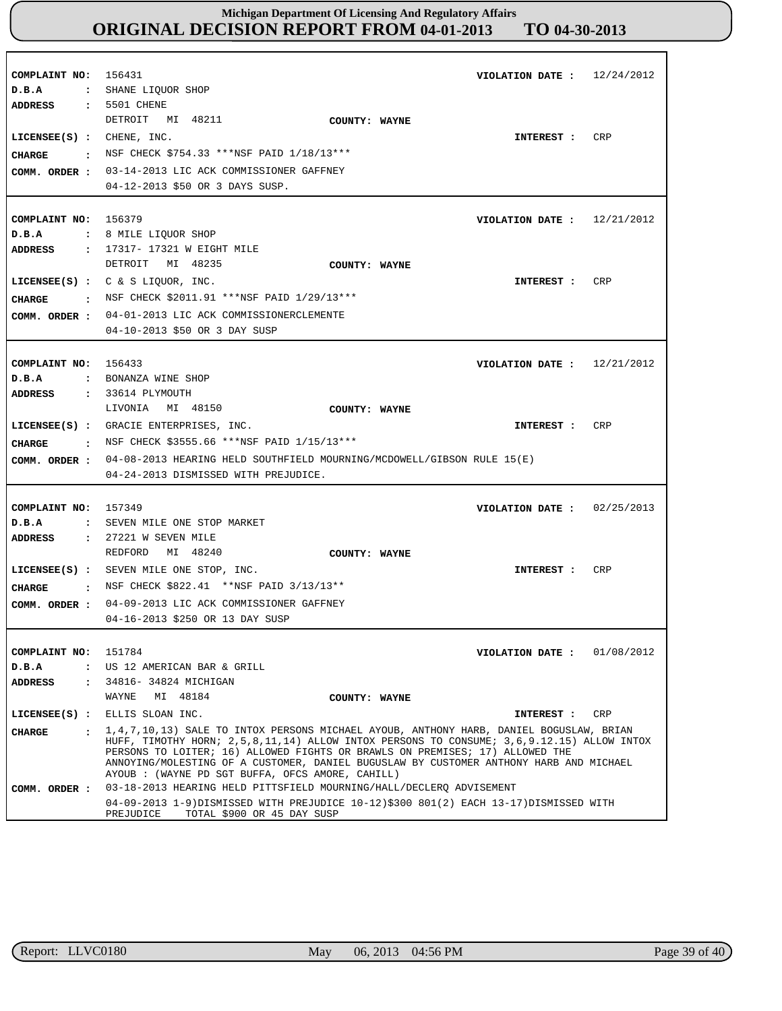| COMPLAINT NO:<br>D.B.A<br>ADDRESS               | 12/24/2012<br>156431<br>VIOLATION DATE :<br>: SHANE LIQUOR SHOP<br>: 5501 CHENE                                                                                                                                                                                                                                         |
|-------------------------------------------------|-------------------------------------------------------------------------------------------------------------------------------------------------------------------------------------------------------------------------------------------------------------------------------------------------------------------------|
| $LICENSEE(S)$ : CHENE, INC.<br><b>CHARGE</b>    | DETROIT MI 48211<br>COUNTY: WAYNE<br><b>CRP</b><br>INTEREST :<br>: NSF CHECK \$754.33 ***NSF PAID 1/18/13***<br>COMM. ORDER : 03-14-2013 LIC ACK COMMISSIONER GAFFNEY<br>04-12-2013 \$50 OR 3 DAYS SUSP.                                                                                                                |
| COMPLAINT NO: 156379<br>D.B.A                   | VIOLATION DATE : $12/21/2012$<br>: 8 MILE LIQUOR SHOP                                                                                                                                                                                                                                                                   |
| ADDRESS<br><b>CHARGE</b>                        | : 17317- 17321 W EIGHT MILE<br>DETROIT MI 48235<br>COUNTY: WAYNE<br>LICENSEE(S) : $C & S$ LIQUOR, INC.<br>CRP<br>INTEREST :<br>: NSF CHECK \$2011.91 ***NSF PAID 1/29/13***<br>COMM. ORDER : 04-01-2013 LIC ACK COMMISSIONERCLEMENTE<br>04-10-2013 \$50 OR 3 DAY SUSP                                                   |
| COMPLAINT NO: 156433<br>D.B.A<br><b>ADDRESS</b> | VIOLATION DATE: $12/21/2012$<br>: BONANZA WINE SHOP<br>: 33614 PLYMOUTH                                                                                                                                                                                                                                                 |
| CHARGE                                          | LIVONIA MI 48150<br>COUNTY: WAYNE<br>CRP<br>LICENSEE(S) : GRACIE ENTERPRISES, INC.<br>INTEREST:<br>NSF CHECK \$3555.66 ***NSF PAID 1/15/13***<br>COMM. ORDER: 04-08-2013 HEARING HELD SOUTHFIELD MOURNING/MCDOWELL/GIBSON RULE 15(E)<br>04-24-2013 DISMISSED WITH PREJUDICE.                                            |
| COMPLAINT NO: 157349<br>D.B.A<br><b>ADDRESS</b> | VIOLATION DATE: $02/25/2013$<br>: SEVEN MILE ONE STOP MARKET<br>$: 27221$ W SEVEN MILE                                                                                                                                                                                                                                  |
| <b>CHARGE</b><br>COMM. ORDER :                  | MI 48240<br>REDFORD<br>COUNTY: WAYNE<br>LICENSEE(S) : SEVEN MILE ONE STOP, INC.<br>CRP<br>INTEREST :<br>: NSF CHECK \$822.41 **NSF PAID 3/13/13**<br>04-09-2013 LIC ACK COMMISSIONER GAFFNEY<br>04-16-2013 \$250 OR 13 DAY SUSP                                                                                         |
| COMPLAINT NO: 151784<br>D.B.A<br><b>ADDRESS</b> | VIOLATION DATE: 01/08/2012<br>: US 12 AMERICAN BAR & GRILL<br>: 34816- 34824 MICHIGAN<br>WAYNE<br>MI 48184<br>COUNTY: WAYNE                                                                                                                                                                                             |
|                                                 | LICENSEE(S) : ELLIS SLOAN INC.<br>CRP<br>INTEREST :                                                                                                                                                                                                                                                                     |
| CHARGE                                          | HUFF, TIMOTHY HORN; 2,5,8,11,14) ALLOW INTOX PERSONS TO CONSUME; 3,6,9.12.15) ALLOW INTOX<br>PERSONS TO LOITER; 16) ALLOWED FIGHTS OR BRAWLS ON PREMISES; 17) ALLOWED THE<br>ANNOYING/MOLESTING OF A CUSTOMER, DANIEL BUGUSLAW BY CUSTOMER ANTHONY HARB AND MICHAEL<br>AYOUB : (WAYNE PD SGT BUFFA, OFCS AMORE, CAHILL) |
| COMM. ORDER :                                   | 03-18-2013 HEARING HELD PITTSFIELD MOURNING/HALL/DECLERQ ADVISEMENT<br>04-09-2013 1-9)DISMISSED WITH PREJUDICE 10-12)\$300 801(2) EACH 13-17)DISMISSED WITH<br>PREJUDICE<br>TOTAL \$900 OR 45 DAY SUSP                                                                                                                  |